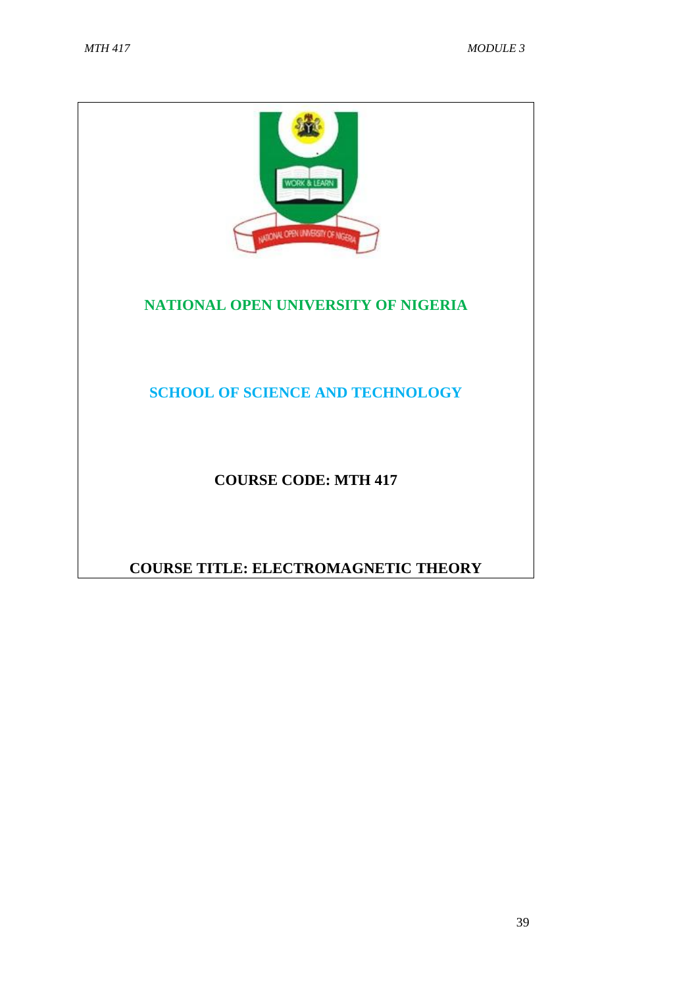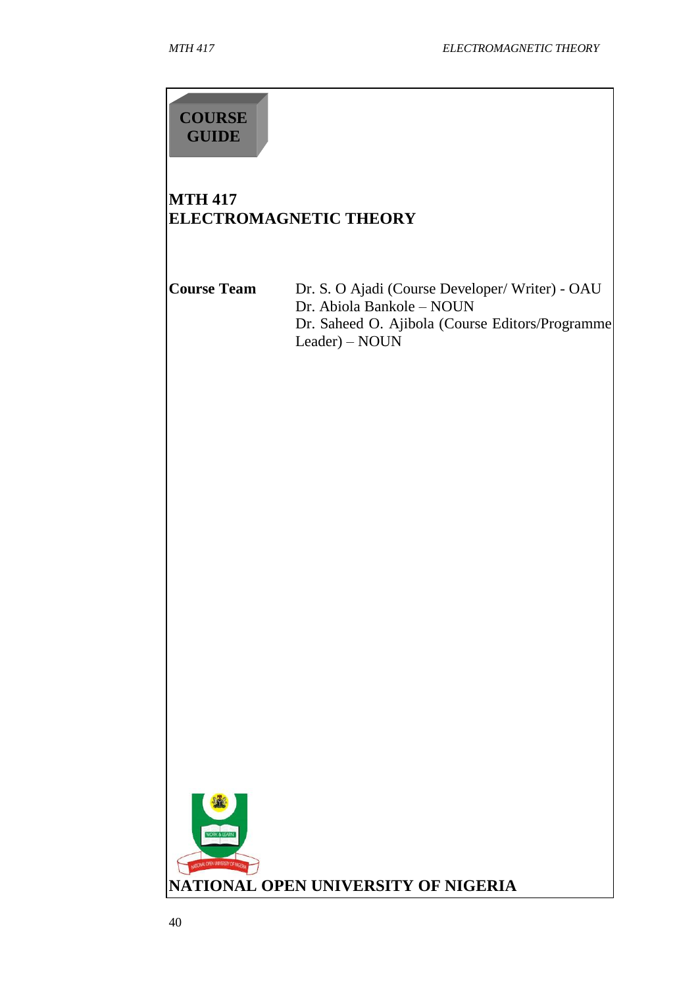# **COURSE GUIDE**

# **MTH 417 ELECTROMAGNETIC THEORY**

**Course Team** Dr. S. O Ajadi (Course Developer/ Writer) - OAU Dr. Abiola Bankole – NOUN Dr. Saheed O. Ajibola (Course Editors/Programme Leader) – NOUN

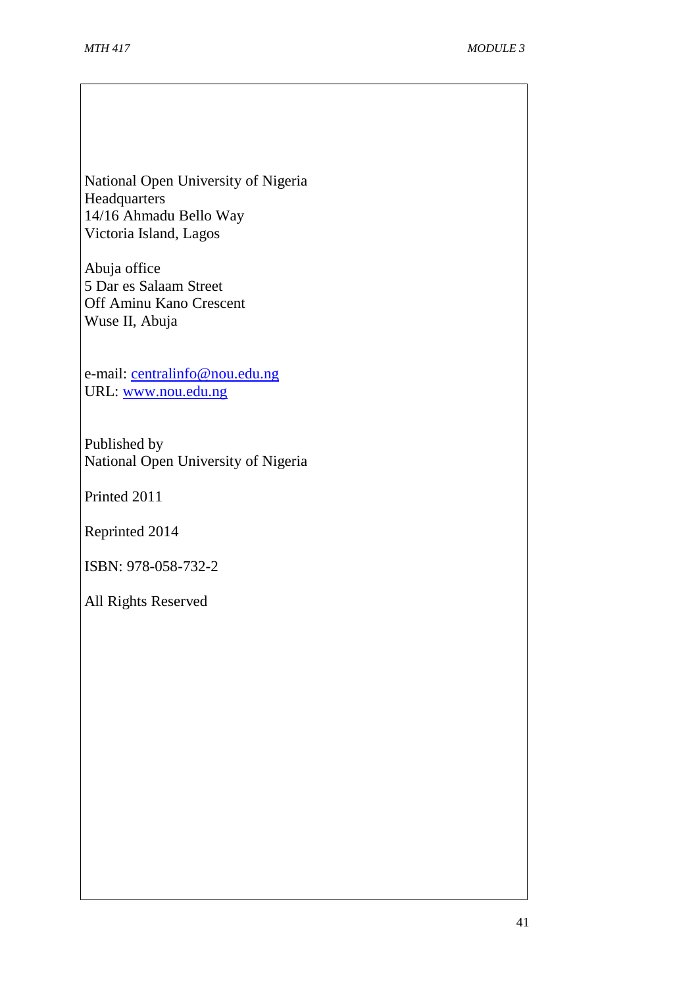National Open University of Nigeria Headquarters 14/16 Ahmadu Bello Way Victoria Island, Lagos

Abuja office 5 Dar es Salaam Street Off Aminu Kano Crescent Wuse II, Abuja

e-mail: [centralinfo@nou.edu.ng](mailto:centralinfo@nou.edu.ng) URL: [www.nou.edu.ng](http://www.nou.edu.ng/)

Published by National Open University of Nigeria

Printed 2011

Reprinted 2014

ISBN: 978-058-732-2

All Rights Reserved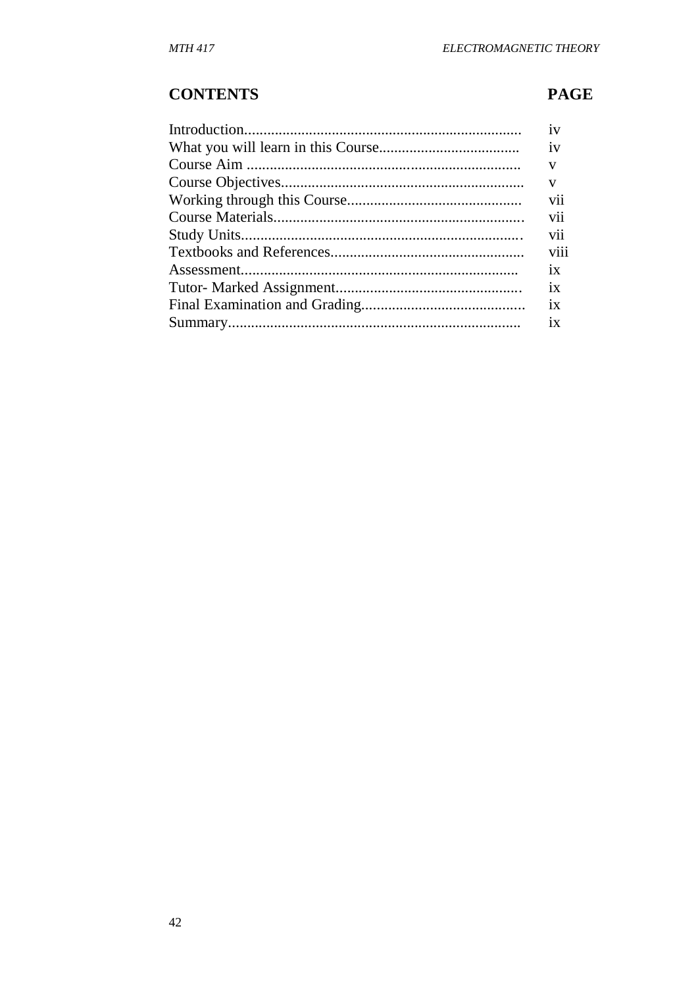# **CONTENTS**

# **PAGE**

| 1V   |
|------|
| 1V   |
| v    |
| V    |
| vii  |
| vii  |
| vii  |
| viii |
| 1X   |
| 1X   |
| 1X   |
| 1X   |
|      |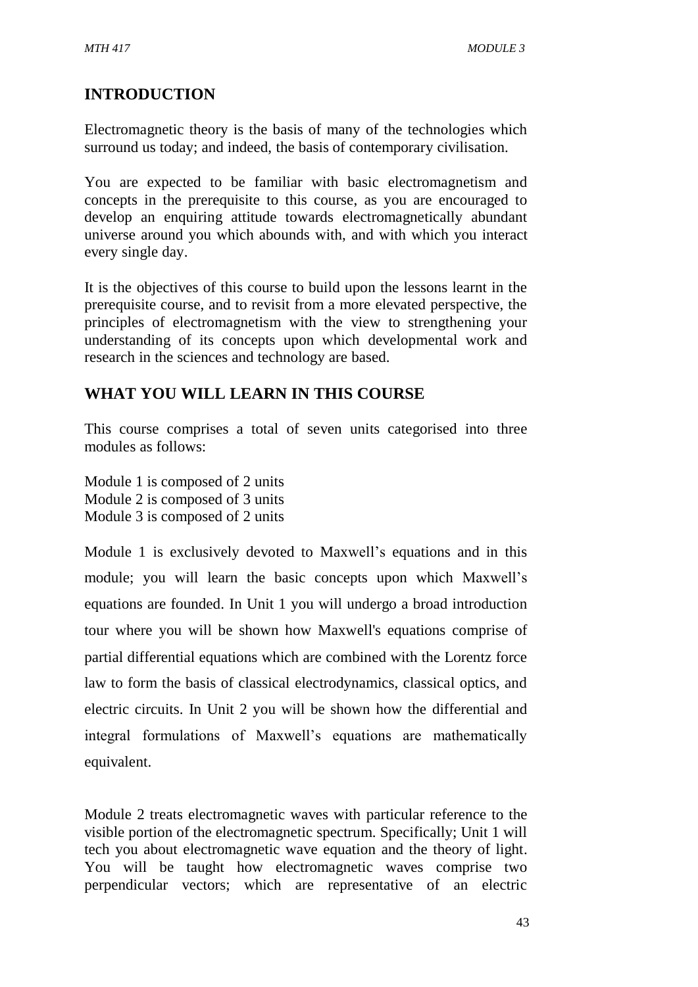# **INTRODUCTION**

Electromagnetic theory is the basis of many of the technologies which surround us today; and indeed, the basis of contemporary civilisation.

You are expected to be familiar with basic electromagnetism and concepts in the prerequisite to this course, as you are encouraged to develop an enquiring attitude towards electromagnetically abundant universe around you which abounds with, and with which you interact every single day.

It is the objectives of this course to build upon the lessons learnt in the prerequisite course, and to revisit from a more elevated perspective, the principles of electromagnetism with the view to strengthening your understanding of its concepts upon which developmental work and research in the sciences and technology are based.

# **WHAT YOU WILL LEARN IN THIS COURSE**

This course comprises a total of seven units categorised into three modules as follows:

Module 1 is composed of 2 units Module 2 is composed of 3 units Module 3 is composed of 2 units

Module 1 is exclusively devoted to Maxwell's equations and in this module; you will learn the basic concepts upon which Maxwell's equations are founded. In Unit 1 you will undergo a broad introduction tour where you will be shown how Maxwell's equations comprise of partial differential equations which are combined with the Lorentz force law to form the basis of classical electrodynamics, classical optics, and electric circuits. In Unit 2 you will be shown how the differential and integral formulations of Maxwell's equations are mathematically equivalent.

Module 2 treats electromagnetic waves with particular reference to the visible portion of the electromagnetic spectrum. Specifically; Unit 1 will tech you about electromagnetic wave equation and the theory of light. You will be taught how electromagnetic waves comprise two perpendicular vectors; which are representative of an electric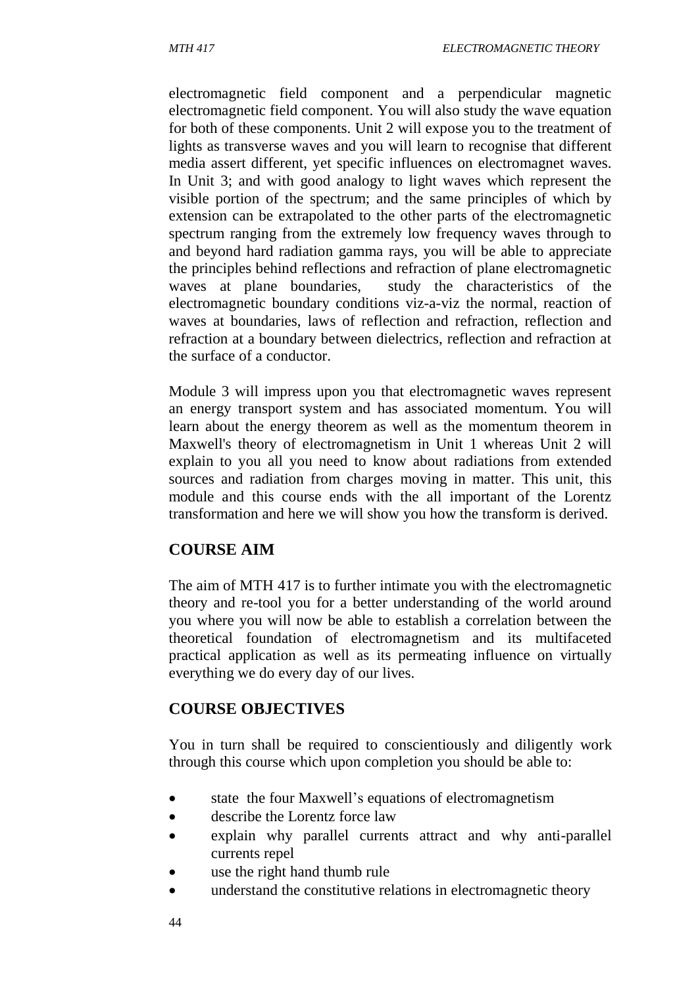electromagnetic field component and a perpendicular magnetic electromagnetic field component. You will also study the wave equation for both of these components. Unit 2 will expose you to the treatment of lights as transverse waves and you will learn to recognise that different media assert different, yet specific influences on electromagnet waves. In Unit 3; and with good analogy to light waves which represent the visible portion of the spectrum; and the same principles of which by extension can be extrapolated to the other parts of the electromagnetic spectrum ranging from the extremely low frequency waves through to and beyond hard radiation gamma rays, you will be able to appreciate the principles behind reflections and refraction of plane electromagnetic waves at plane boundaries, study the characteristics of the electromagnetic boundary conditions viz-a-viz the normal, reaction of waves at boundaries, laws of reflection and refraction, reflection and refraction at a boundary between dielectrics, reflection and refraction at the surface of a conductor.

Module 3 will impress upon you that electromagnetic waves represent an energy transport system and has associated momentum. You will learn about the energy theorem as well as the momentum theorem in Maxwell's theory of electromagnetism in Unit 1 whereas Unit 2 will explain to you all you need to know about radiations from extended sources and radiation from charges moving in matter. This unit, this module and this course ends with the all important of the Lorentz transformation and here we will show you how the transform is derived.

# **COURSE AIM**

The aim of MTH 417 is to further intimate you with the electromagnetic theory and re-tool you for a better understanding of the world around you where you will now be able to establish a correlation between the theoretical foundation of electromagnetism and its multifaceted practical application as well as its permeating influence on virtually everything we do every day of our lives.

# **COURSE OBJECTIVES**

You in turn shall be required to conscientiously and diligently work through this course which upon completion you should be able to:

- state the four Maxwell's equations of electromagnetism
- describe the Lorentz force law
- explain why parallel currents attract and why anti-parallel currents repel
- use the right hand thumb rule
- understand the constitutive relations in electromagnetic theory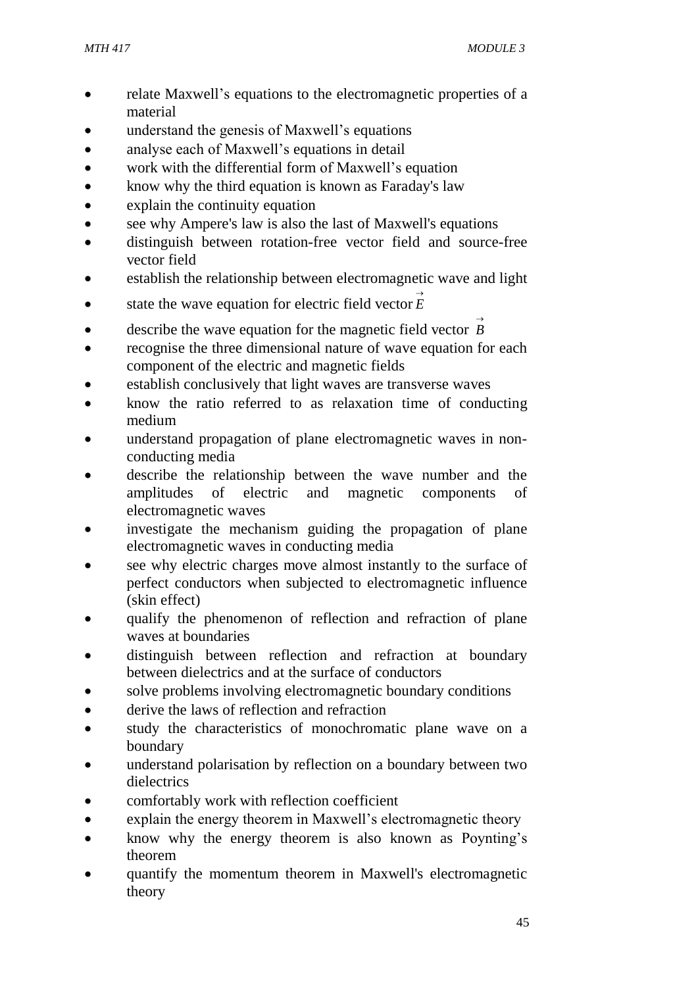- relate Maxwell's equations to the electromagnetic properties of a material
- understand the genesis of Maxwell's equations
- analyse each of Maxwell's equations in detail
- work with the differential form of Maxwell's equation
- know why the third equation is known as Faraday's law
- explain the continuity equation
- see why Ampere's law is also the last of Maxwell's equations
- distinguish between rotation-free vector field and source-free vector field
- establish the relationship between electromagnetic wave and light
- state the wave equation for electric field vector  $\vec{E}$
- **e** describe the wave equation for the magnetic field vector  $\overrightarrow{B}$
- recognise the three dimensional nature of wave equation for each component of the electric and magnetic fields
- establish conclusively that light waves are transverse waves
- know the ratio referred to as relaxation time of conducting medium
- understand propagation of plane electromagnetic waves in nonconducting media
- describe the relationship between the wave number and the amplitudes of electric and magnetic components of electromagnetic waves
- investigate the mechanism guiding the propagation of plane electromagnetic waves in conducting media
- see why electric charges move almost instantly to the surface of perfect conductors when subjected to electromagnetic influence (skin effect)
- qualify the phenomenon of reflection and refraction of plane waves at boundaries
- distinguish between reflection and refraction at boundary between dielectrics and at the surface of conductors
- solve problems involving electromagnetic boundary conditions
- derive the laws of reflection and refraction
- study the characteristics of monochromatic plane wave on a boundary
- understand polarisation by reflection on a boundary between two dielectrics
- comfortably work with reflection coefficient
- explain the energy theorem in Maxwell's electromagnetic theory
- know why the energy theorem is also known as Poynting's theorem
- quantify the momentum theorem in Maxwell's electromagnetic theory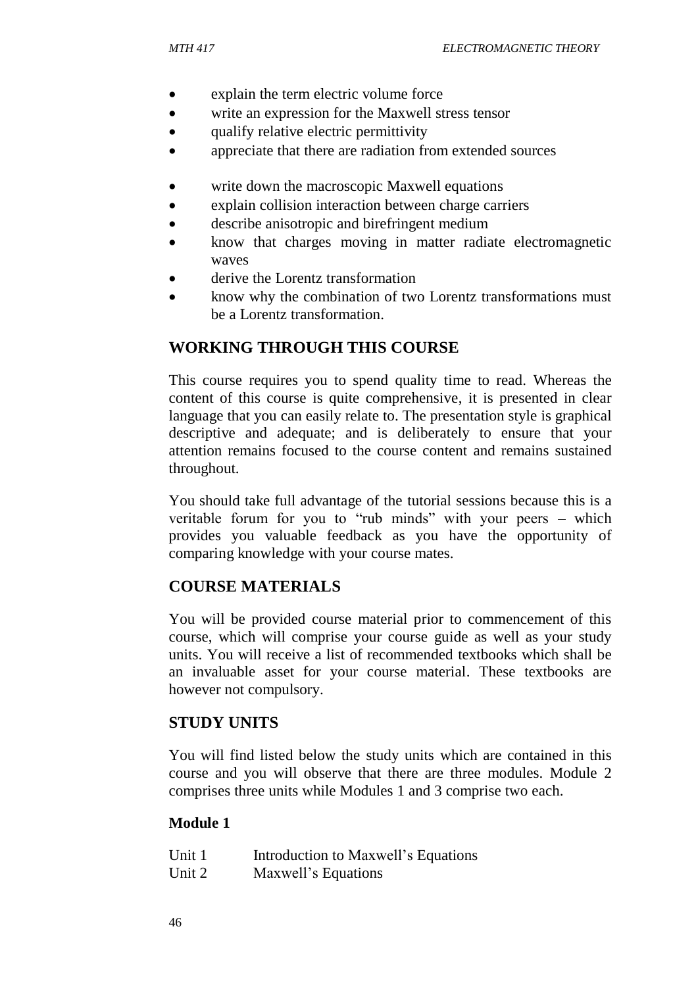- explain the term electric volume force
- write an expression for the Maxwell stress tensor
- qualify relative electric permittivity
- appreciate that there are radiation from extended sources
- write down the macroscopic Maxwell equations
- explain collision interaction between charge carriers
- describe anisotropic and birefringent medium
- know that charges moving in matter radiate electromagnetic waves
- derive the Lorentz transformation
- know why the combination of two Lorentz transformations must be a Lorentz transformation.

# **WORKING THROUGH THIS COURSE**

This course requires you to spend quality time to read. Whereas the content of this course is quite comprehensive, it is presented in clear language that you can easily relate to. The presentation style is graphical descriptive and adequate; and is deliberately to ensure that your attention remains focused to the course content and remains sustained throughout.

You should take full advantage of the tutorial sessions because this is a veritable forum for you to "rub minds" with your peers – which provides you valuable feedback as you have the opportunity of comparing knowledge with your course mates.

# **COURSE MATERIALS**

You will be provided course material prior to commencement of this course, which will comprise your course guide as well as your study units. You will receive a list of recommended textbooks which shall be an invaluable asset for your course material. These textbooks are however not compulsory.

# **STUDY UNITS**

You will find listed below the study units which are contained in this course and you will observe that there are three modules. Module 2 comprises three units while Modules 1 and 3 comprise two each.

## **Module 1**

| Unit 1 | Introduction to Maxwell's Equations |
|--------|-------------------------------------|
| Unit 2 | Maxwell's Equations                 |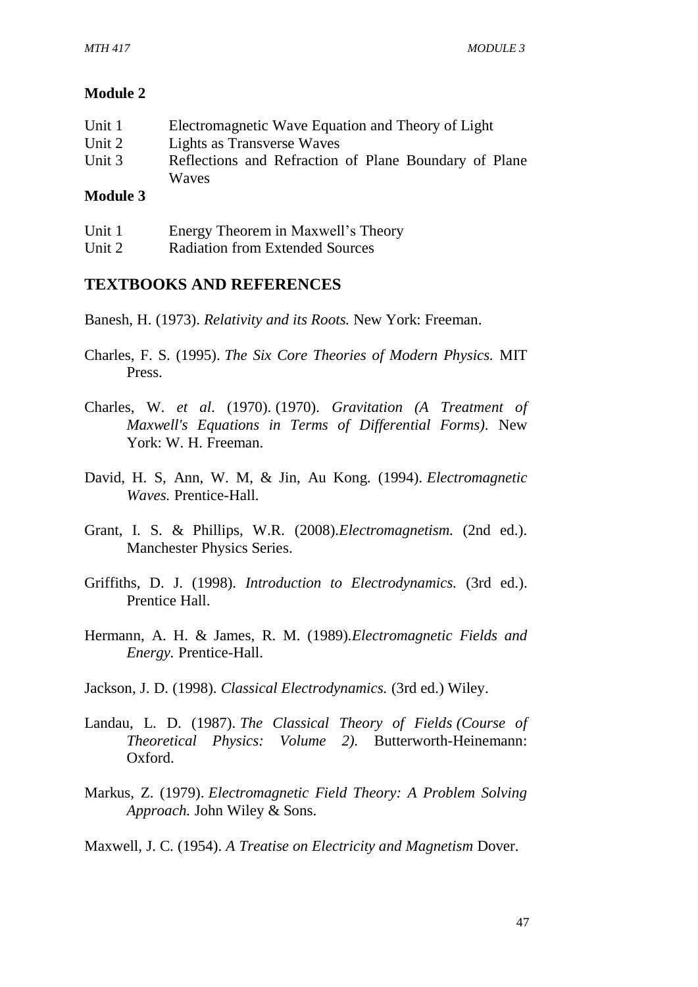#### **Module 2**

| Unit 1         | Electromagnetic Wave Equation and Theory of Light     |
|----------------|-------------------------------------------------------|
| Unit 2         | Lights as Transverse Waves                            |
| Unit 3         | Reflections and Refraction of Plane Boundary of Plane |
|                | Waves                                                 |
| <b>British</b> |                                                       |

#### **Module 3**

| Unit 1 | Energy Theorem in Maxwell's Theory     |
|--------|----------------------------------------|
| Unit 2 | <b>Radiation from Extended Sources</b> |

## **TEXTBOOKS AND REFERENCES**

Banesh, H. (1973). *Relativity and its Roots.* New York: Freeman.

- Charles, F. S. (1995). *The Six Core Theories of Modern Physics.* MIT Press.
- Charles, W. *et al*. (1970). (1970). *Gravitation (A Treatment of Maxwell's Equations in Terms of Differential Forms).* New York: W. H. Freeman.
- David, H. S, Ann, W. M, & Jin, Au Kong. (1994). *Electromagnetic Waves.* Prentice-Hall.
- Grant, I. S. & Phillips, W.R. (2008).*Electromagnetism.* (2nd ed.). Manchester Physics Series.
- Griffiths, D. J. (1998). *Introduction to Electrodynamics.* (3rd ed.). Prentice Hall.
- Hermann, A. H. & James, R. M. (1989).*Electromagnetic Fields and Energy.* Prentice-Hall.
- Jackson, J. D. (1998). *Classical Electrodynamics.* (3rd ed.) Wiley.
- Landau, L. D. (1987). *The Classical Theory of Fields (Course of Theoretical Physics: Volume 2).* Butterworth-Heinemann: Oxford.
- Markus, Z. (1979). *Electromagnetic Field Theory: A Problem Solving Approach.* John Wiley & Sons.

Maxwell, J. C. (1954). *A Treatise on Electricity and Magnetism* Dover.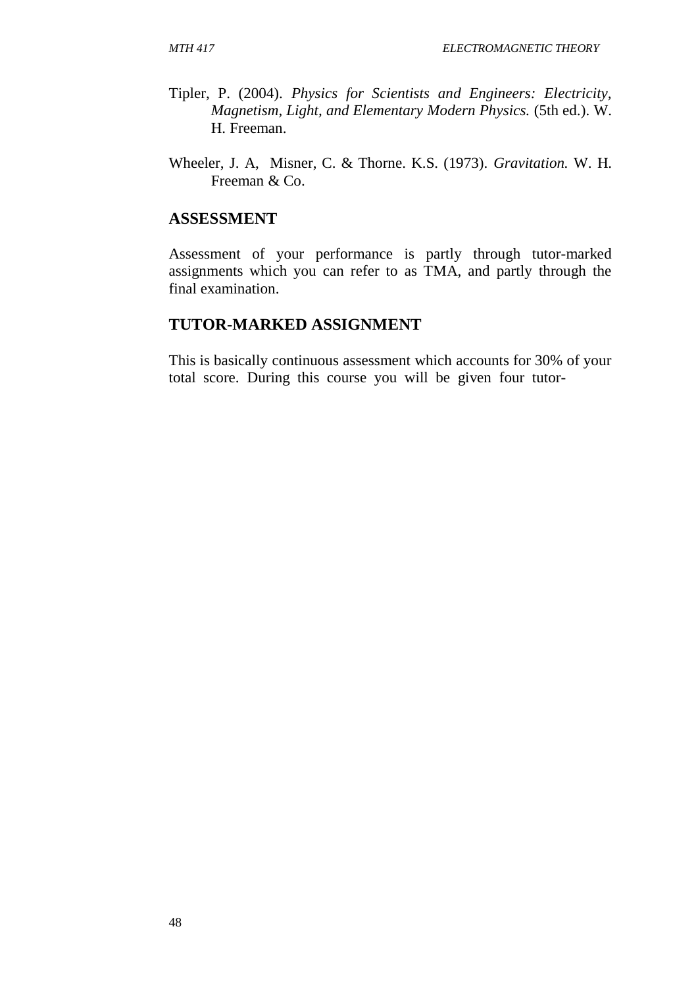- Tipler, P. (2004). *Physics for Scientists and Engineers: Electricity, Magnetism, Light, and Elementary Modern Physics.* (5th ed.). W. H. Freeman.
- Wheeler, J. A, Misner, C. & Thorne. K.S. (1973). *Gravitation.* W. H. Freeman & Co.

## **ASSESSMENT**

Assessment of your performance is partly through tutor-marked assignments which you can refer to as TMA, and partly through the final examination.

#### **TUTOR-MARKED ASSIGNMENT**

This is basically continuous assessment which accounts for 30% of your total score. During this course you will be given four tutor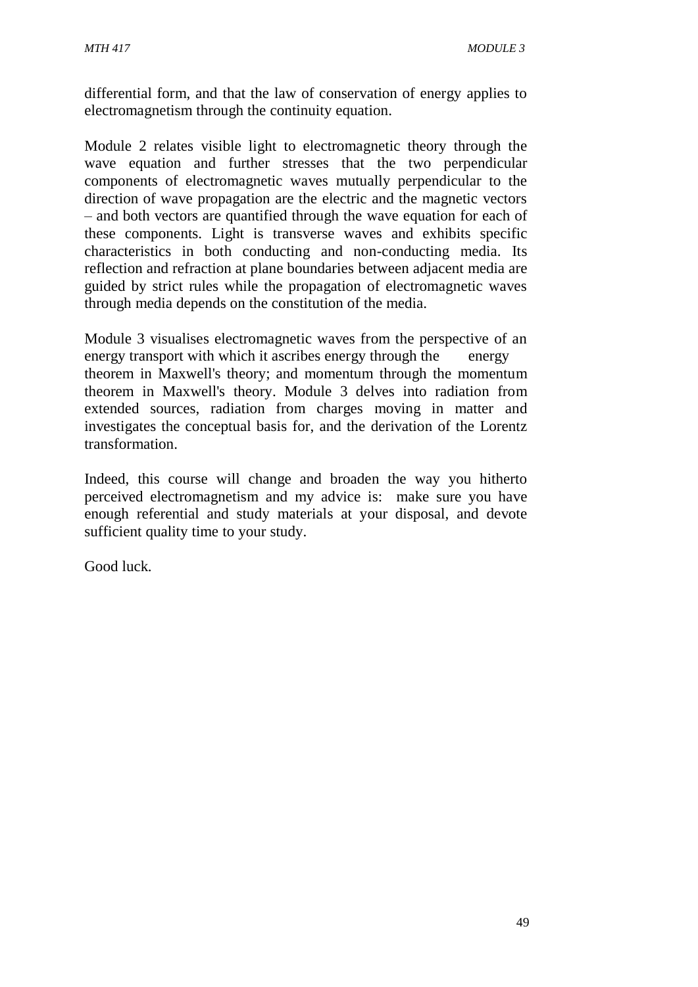differential form, and that the law of conservation of energy applies to electromagnetism through the continuity equation.

Module 2 relates visible light to electromagnetic theory through the wave equation and further stresses that the two perpendicular components of electromagnetic waves mutually perpendicular to the direction of wave propagation are the electric and the magnetic vectors – and both vectors are quantified through the wave equation for each of these components. Light is transverse waves and exhibits specific characteristics in both conducting and non-conducting media. Its reflection and refraction at plane boundaries between adjacent media are guided by strict rules while the propagation of electromagnetic waves through media depends on the constitution of the media.

Module 3 visualises electromagnetic waves from the perspective of an energy transport with which it ascribes energy through the energy theorem in Maxwell's theory; and momentum through the momentum theorem in Maxwell's theory. Module 3 delves into radiation from extended sources, radiation from charges moving in matter and investigates the conceptual basis for, and the derivation of the Lorentz transformation.

Indeed, this course will change and broaden the way you hitherto perceived electromagnetism and my advice is: make sure you have enough referential and study materials at your disposal, and devote sufficient quality time to your study.

Good luck.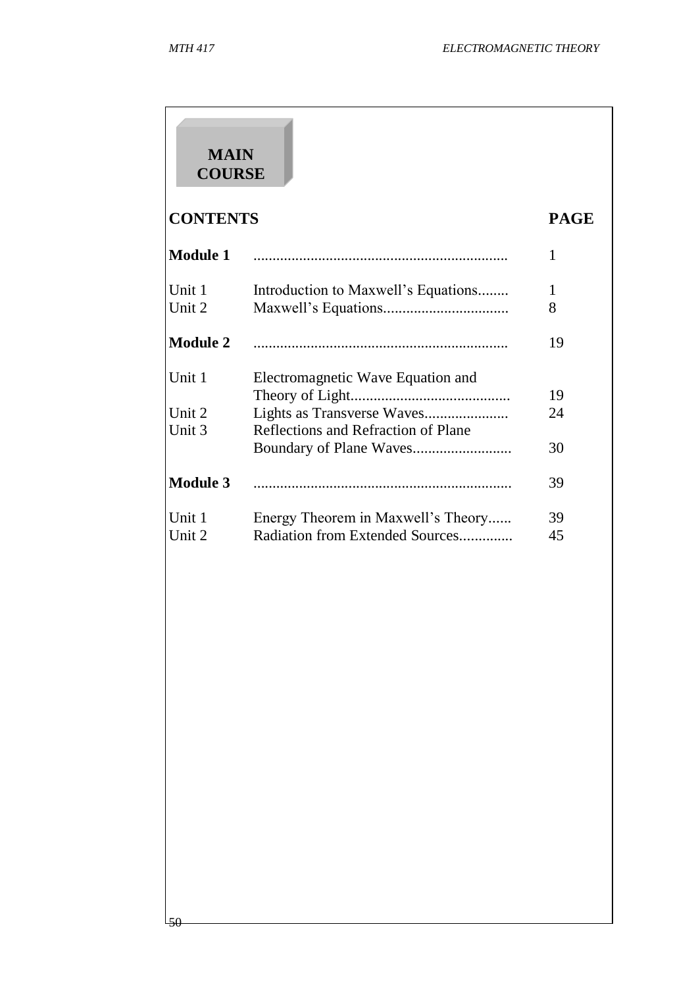50

# **MAIN COURSE**

# **CONTENTS PAGE**

| <b>Module 1</b>  |                                                                       | 1        |
|------------------|-----------------------------------------------------------------------|----------|
| Unit 1<br>Unit 2 | Introduction to Maxwell's Equations                                   | 1<br>8   |
| <b>Module 2</b>  |                                                                       | 19       |
| Unit 1<br>Unit 2 | Electromagnetic Wave Equation and                                     | 19<br>24 |
| Unit 3           | Reflections and Refraction of Plane                                   | 30       |
| <b>Module 3</b>  |                                                                       | 39       |
| Unit 1<br>Unit 2 | Energy Theorem in Maxwell's Theory<br>Radiation from Extended Sources | 39<br>45 |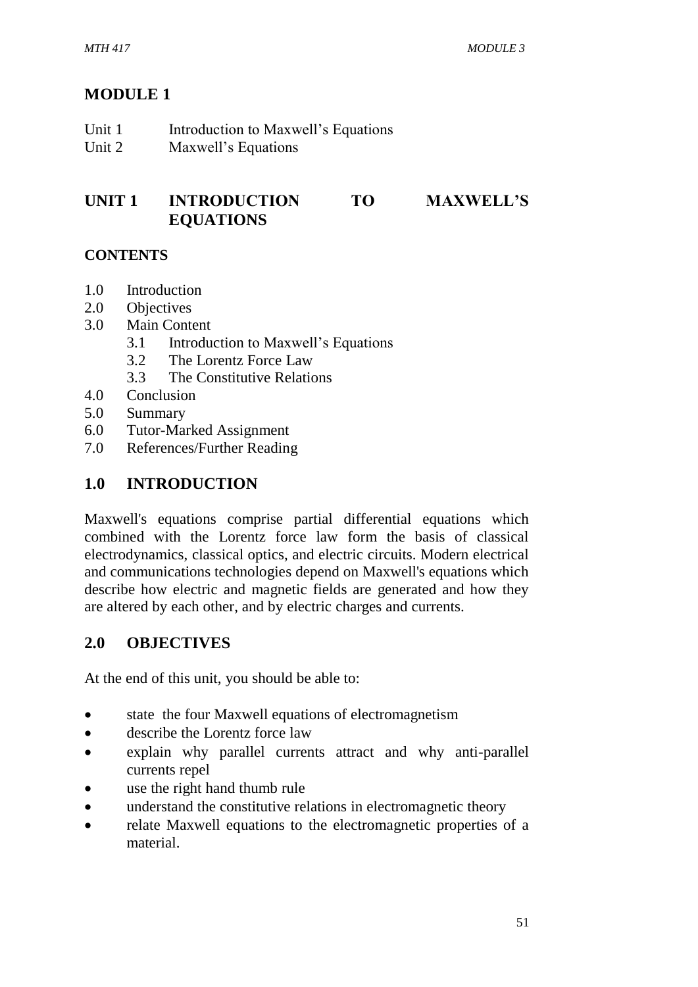# **MODULE 1**

| Unit 1 | Introduction to Maxwell's Equations |
|--------|-------------------------------------|
| Unit 2 | Maxwell's Equations                 |

## **UNIT 1 INTRODUCTION TO MAXWELL'S EQUATIONS**

## **CONTENTS**

- 1.0 Introduction
- 2.0 Objectives
- 3.0 Main Content
	- 3.1 Introduction to Maxwell's Equations
	- 3.2 The Lorentz Force Law
	- 3.3 The Constitutive Relations
- 4.0 Conclusion
- 5.0 Summary
- 6.0 Tutor-Marked Assignment
- 7.0 References/Further Reading

# **1.0 INTRODUCTION**

Maxwell's equations comprise partial differential equations which combined with the Lorentz force law form the basis of classical electrodynamics, classical optics, and electric circuits. Modern electrical and communications technologies depend on Maxwell's equations which describe how electric and magnetic fields are generated and how they are altered by each other, and by electric charges and currents.

# **2.0 OBJECTIVES**

At the end of this unit, you should be able to:

- state the four Maxwell equations of electromagnetism
- describe the Lorentz force law
- explain why parallel currents attract and why anti-parallel currents repel
- use the right hand thumb rule
- understand the constitutive relations in electromagnetic theory
- relate Maxwell equations to the electromagnetic properties of a material.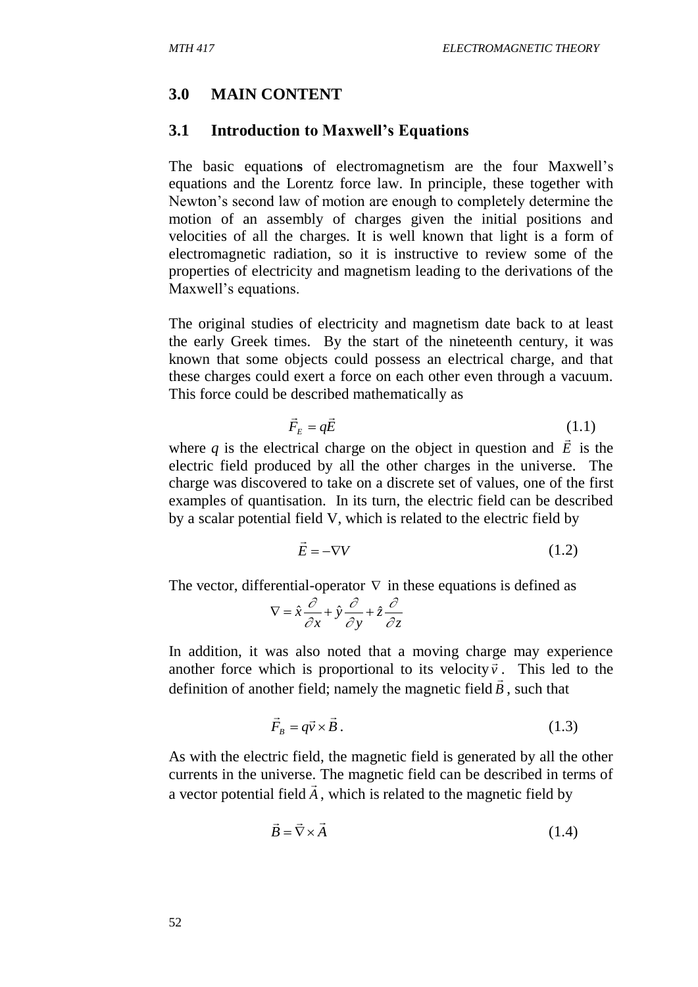## **3.0 MAIN CONTENT**

#### **3.1 Introduction to Maxwell's Equations**

The basic equation**s** of electromagnetism are the four Maxwell's equations and the Lorentz force law. In principle, these together with Newton's second law of motion are enough to completely determine the motion of an assembly of charges given the initial positions and velocities of all the charges. It is well known that light is a form of electromagnetic radiation, so it is instructive to review some of the properties of electricity and magnetism leading to the derivations of the Maxwell's equations.

The original studies of electricity and magnetism date back to at least the early Greek times. By the start of the nineteenth century, it was known that some objects could possess an electrical charge, and that these charges could exert a force on each other even through a vacuum. This force could be described mathematically as

$$
\vec{F}_E = q\vec{E} \tag{1.1}
$$

where  $q$  is the electrical charge on the object in question and  $\vec{E}$ is the electric field produced by all the other charges in the universe. The charge was discovered to take on a discrete set of values, one of the first examples of quantisation. In its turn, the electric field can be described by a scalar potential field V, which is related to the electric field by

$$
\vec{E} = -\nabla V \tag{1.2}
$$

The vector, differential-operator  $\nabla$  in these equations is defined as

$$
\nabla = \hat{x} \frac{\partial}{\partial x} + \hat{y} \frac{\partial}{\partial y} + \hat{z} \frac{\partial}{\partial z}
$$

In addition, it was also noted that a moving charge may experience another force which is proportional to its velocity  $\vec{v}$ . This led to the definition of another field; namely the magnetic field  $\vec{B}$ , such that

$$
\vec{F}_B = q\vec{v} \times \vec{B} \,. \tag{1.3}
$$

As with the electric field, the magnetic field is generated by all the other currents in the universe. The magnetic field can be described in terms of a vector potential field  $\vec{A}$ , which is related to the magnetic field by

$$
\vec{B} = \vec{\nabla} \times \vec{A} \tag{1.4}
$$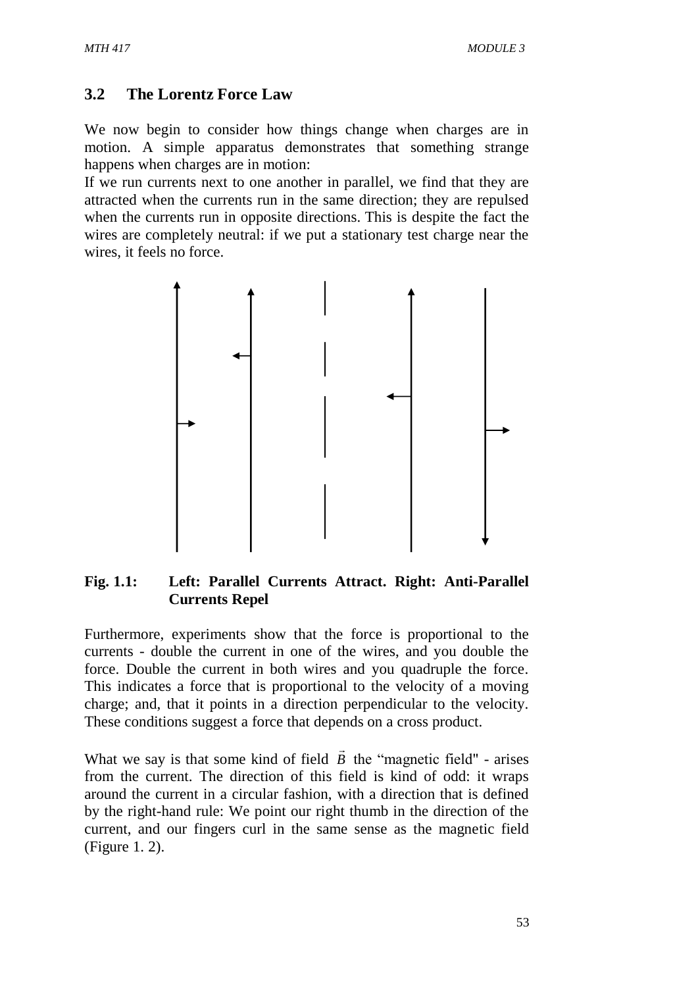## **3.2 The Lorentz Force Law**

We now begin to consider how things change when charges are in motion. A simple apparatus demonstrates that something strange happens when charges are in motion:

If we run currents next to one another in parallel, we find that they are attracted when the currents run in the same direction; they are repulsed when the currents run in opposite directions. This is despite the fact the wires are completely neutral: if we put a stationary test charge near the wires, it feels no force.



#### **Fig. 1.1: Left: Parallel Currents Attract. Right: Anti-Parallel Currents Repel**

Furthermore, experiments show that the force is proportional to the currents - double the current in one of the wires, and you double the force. Double the current in both wires and you quadruple the force. This indicates a force that is proportional to the velocity of a moving charge; and, that it points in a direction perpendicular to the velocity. These conditions suggest a force that depends on a cross product.

What we say is that some kind of field *B*  $\rightarrow$ the "magnetic field" - arises from the current. The direction of this field is kind of odd: it wraps around the current in a circular fashion, with a direction that is defined by the right-hand rule: We point our right thumb in the direction of the current, and our fingers curl in the same sense as the magnetic field (Figure 1. 2).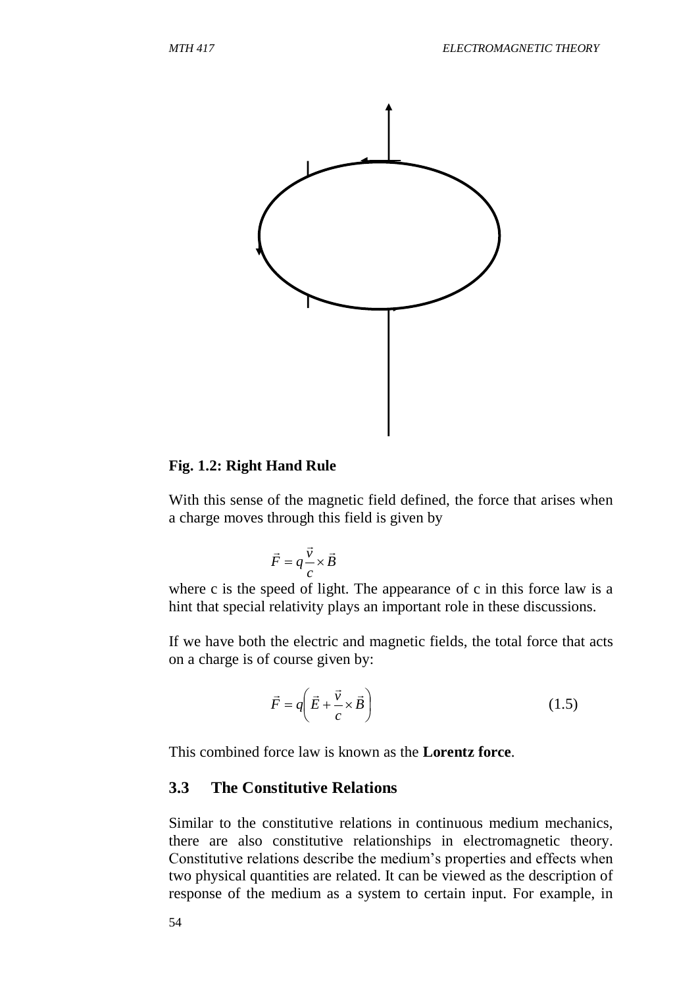

#### **Fig. 1.2: Right Hand Rule**

With this sense of the magnetic field defined, the force that arises when a charge moves through this field is given by

$$
\vec{F} = q \frac{\vec{v}}{c} \times \vec{B}
$$

where c is the speed of light. The appearance of c in this force law is a hint that special relativity plays an important role in these discussions.

If we have both the electric and magnetic fields, the total force that acts on a charge is of course given by:

$$
\vec{F} = q \left( \vec{E} + \frac{\vec{v}}{c} \times \vec{B} \right)
$$
 (1.5)

This combined force law is known as the **Lorentz force**.

#### **3.3 The Constitutive Relations**

Similar to the constitutive relations in continuous medium mechanics, there are also constitutive relationships in electromagnetic theory. Constitutive relations describe the medium's properties and effects when two physical quantities are related. It can be viewed as the description of response of the medium as a system to certain input. For example, in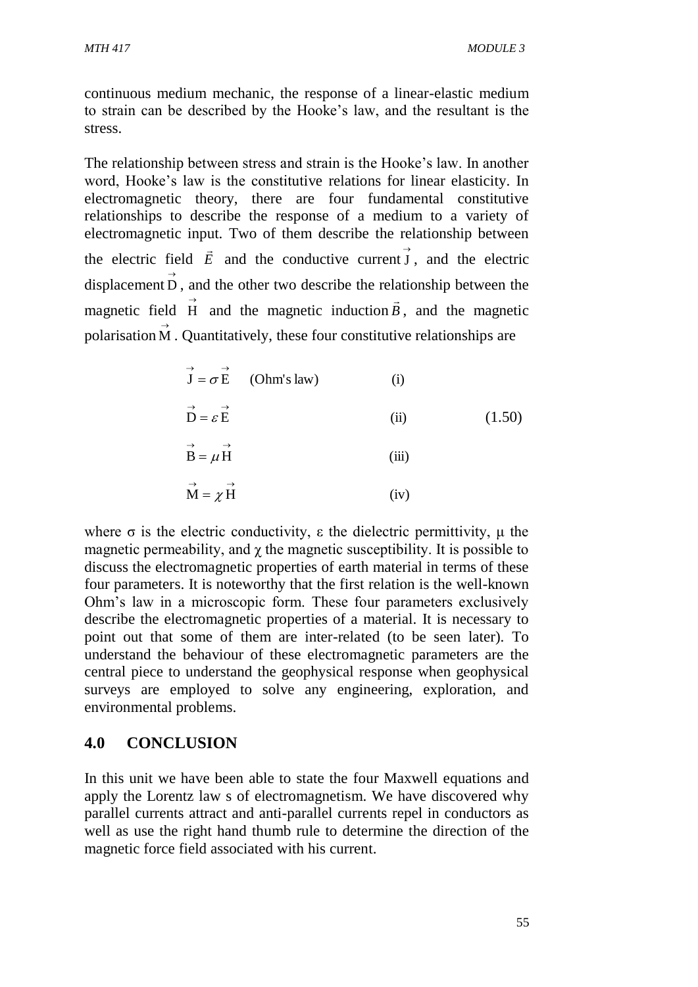continuous medium mechanic, the response of a linear-elastic medium to strain can be described by the Hooke's law, and the resultant is the stress.

The relationship between stress and strain is the Hooke's law. In another word, Hooke's law is the constitutive relations for linear elasticity. In electromagnetic theory, there are four fundamental constitutive relationships to describe the response of a medium to a variety of electromagnetic input. Two of them describe the relationship between the electric field *E*  $\rightarrow$ and the conductive current  $\vec{J}$ , and the electric displacement  $\overrightarrow{D}$ , and the other two describe the relationship between the magnetic field  $\vec{H}$  and the magnetic induction  $\vec{B}$  $\rightarrow$ , and the magnetic polarisation  $\overrightarrow{M}$  . Quantitatively, these four constitutive relationships are Ĩ

$$
\vec{J} = \sigma \vec{E} \qquad \text{(Ohm's law)} \qquad \text{(i)}
$$
  

$$
\vec{D} = \varepsilon \vec{E} \qquad \text{(ii)} \qquad \text{(1.50)}
$$
  

$$
\vec{B} = \mu \vec{H} \qquad \text{(iii)}
$$
  

$$
\vec{M} = \chi \vec{H} \qquad \text{(iv)}
$$

where  $\sigma$  is the electric conductivity,  $\varepsilon$  the dielectric permittivity,  $\mu$  the magnetic permeability, and  $\gamma$  the magnetic susceptibility. It is possible to discuss the electromagnetic properties of earth material in terms of these four parameters. It is noteworthy that the first relation is the well-known Ohm's law in a microscopic form. These four parameters exclusively describe the electromagnetic properties of a material. It is necessary to point out that some of them are inter-related (to be seen later). To understand the behaviour of these electromagnetic parameters are the central piece to understand the geophysical response when geophysical surveys are employed to solve any engineering, exploration, and environmental problems.

## **4.0 CONCLUSION**

In this unit we have been able to state the four Maxwell equations and apply the Lorentz law s of electromagnetism. We have discovered why parallel currents attract and anti-parallel currents repel in conductors as well as use the right hand thumb rule to determine the direction of the magnetic force field associated with his current.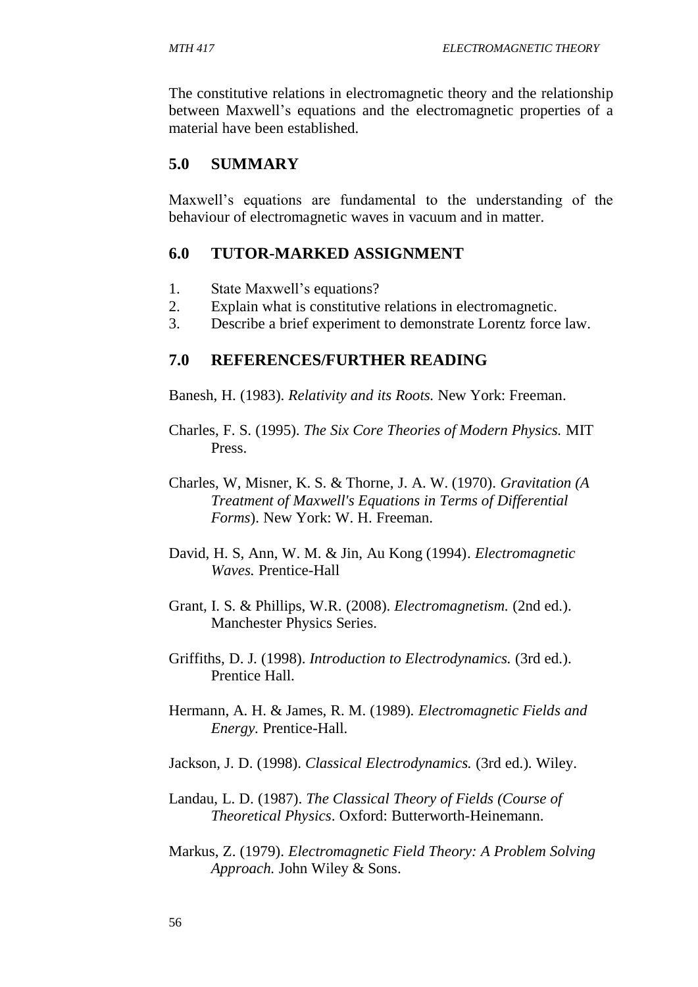The constitutive relations in electromagnetic theory and the relationship between Maxwell's equations and the electromagnetic properties of a material have been established.

# **5.0 SUMMARY**

Maxwell's equations are fundamental to the understanding of the behaviour of electromagnetic waves in vacuum and in matter.

## **6.0 TUTOR-MARKED ASSIGNMENT**

- 1. State Maxwell's equations?
- 2. Explain what is constitutive relations in electromagnetic.
- 3. Describe a brief experiment to demonstrate Lorentz force law.

#### **7.0 REFERENCES/FURTHER READING**

Banesh, H. (1983). *Relativity and its Roots.* New York: Freeman.

- Charles, F. S. (1995). *The Six Core Theories of Modern Physics.* MIT Press.
- Charles, W, Misner, K. S. & Thorne, J. A. W. (1970). *Gravitation (A Treatment of Maxwell's Equations in Terms of Differential Forms*). New York: W. H. Freeman.
- David, H. S, Ann, W. M. & Jin, Au Kong (1994). *Electromagnetic Waves.* Prentice-Hall
- Grant, I. S. & Phillips, W.R. (2008). *Electromagnetism.* (2nd ed.). Manchester Physics Series.
- Griffiths, D. J. (1998). *Introduction to Electrodynamics.* (3rd ed.). Prentice Hall.
- Hermann, A. H. & James, R. M. (1989). *Electromagnetic Fields and Energy.* Prentice-Hall.

Jackson, J. D. (1998). *Classical Electrodynamics.* (3rd ed.). Wiley.

- Landau, L. D. (1987). *The Classical Theory of Fields (Course of Theoretical Physics*. Oxford: Butterworth-Heinemann.
- Markus, Z. (1979). *Electromagnetic Field Theory: A Problem Solving Approach.* John Wiley & Sons.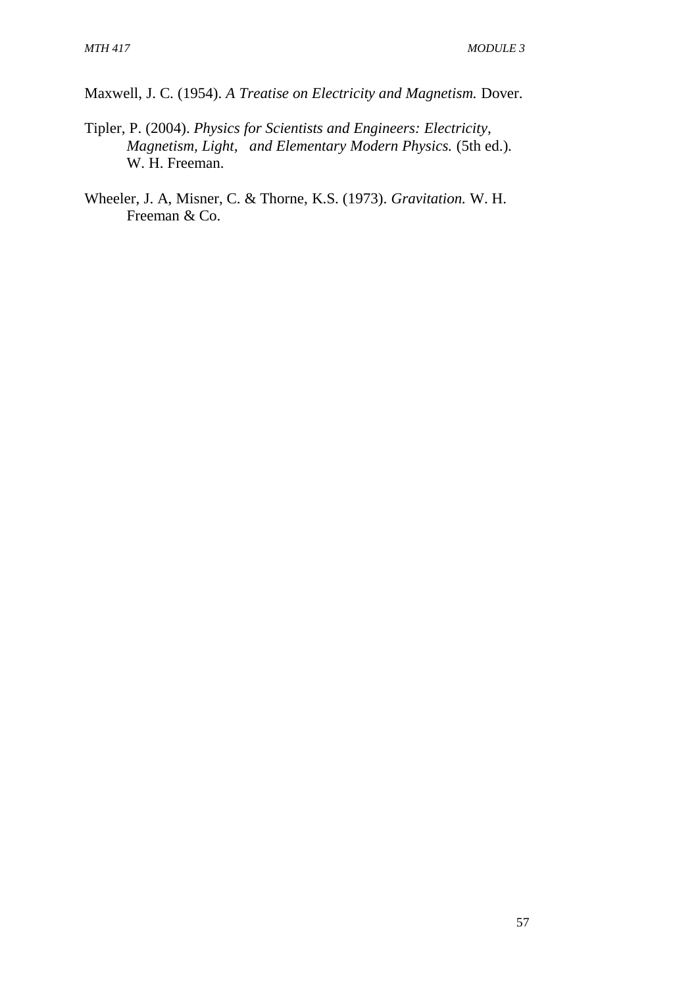Maxwell, J. C. (1954). *A Treatise on Electricity and Magnetism.* Dover.

- Tipler, P. (2004). *Physics for Scientists and Engineers: Electricity, Magnetism, Light, and Elementary Modern Physics.* (5th ed.). W. H. Freeman.
- Wheeler, J. A, Misner, C. & Thorne, K.S. (1973). *Gravitation.* W. H. Freeman & Co.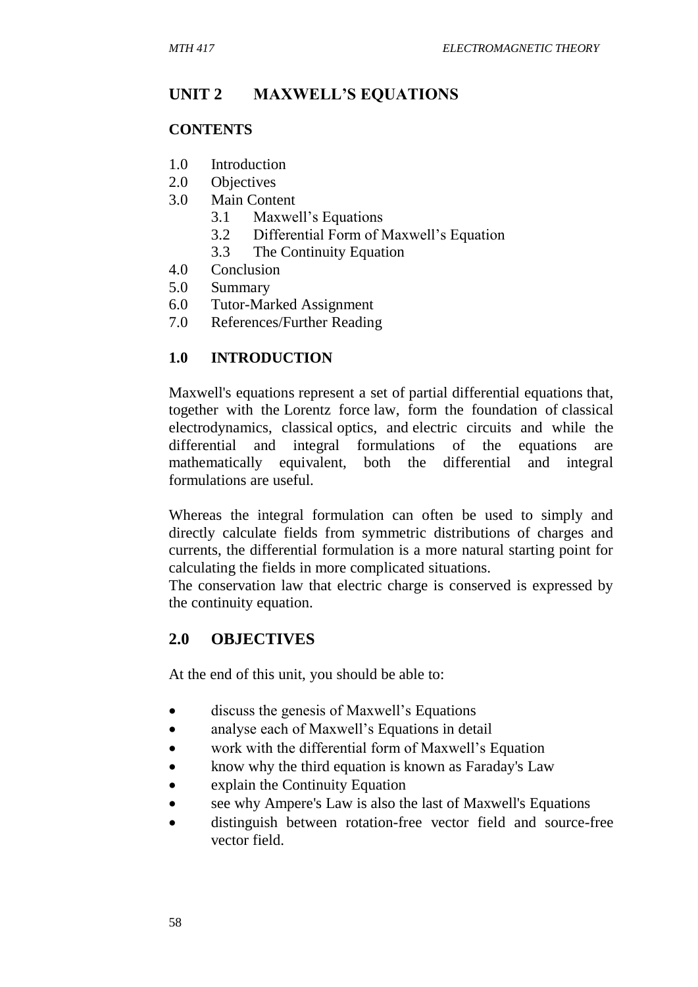# **UNIT 2 MAXWELL'S EQUATIONS**

## **CONTENTS**

- 1.0 Introduction
- 2.0 Objectives
- 3.0 Main Content
	- 3.1 Maxwell's Equations
	- 3.2 Differential Form of Maxwell's Equation
	- 3.3 The Continuity Equation
- 4.0 Conclusion
- 5.0 Summary
- 6.0 Tutor-Marked Assignment
- 7.0 References/Further Reading

## **1.0 INTRODUCTION**

Maxwell's equations represent a set of partial differential equations that, together with the Lorentz force law, form the foundation of classical electrodynamics, classical optics, and electric circuits and while the differential and integral formulations of the equations are mathematically equivalent, both the differential and integral formulations are useful.

Whereas the integral formulation can often be used to simply and directly calculate fields from symmetric distributions of charges and currents, the differential formulation is a more natural starting point for calculating the fields in more complicated situations.

The conservation law that electric charge is conserved is expressed by the continuity equation.

## **2.0 OBJECTIVES**

At the end of this unit, you should be able to:

- discuss the genesis of Maxwell's Equations
- analyse each of Maxwell's Equations in detail
- work with the differential form of Maxwell's Equation
- know why the third equation is known as Faraday's Law
- explain the Continuity Equation
- see why Ampere's Law is also the last of Maxwell's Equations
- distinguish between rotation-free vector field and source-free vector field.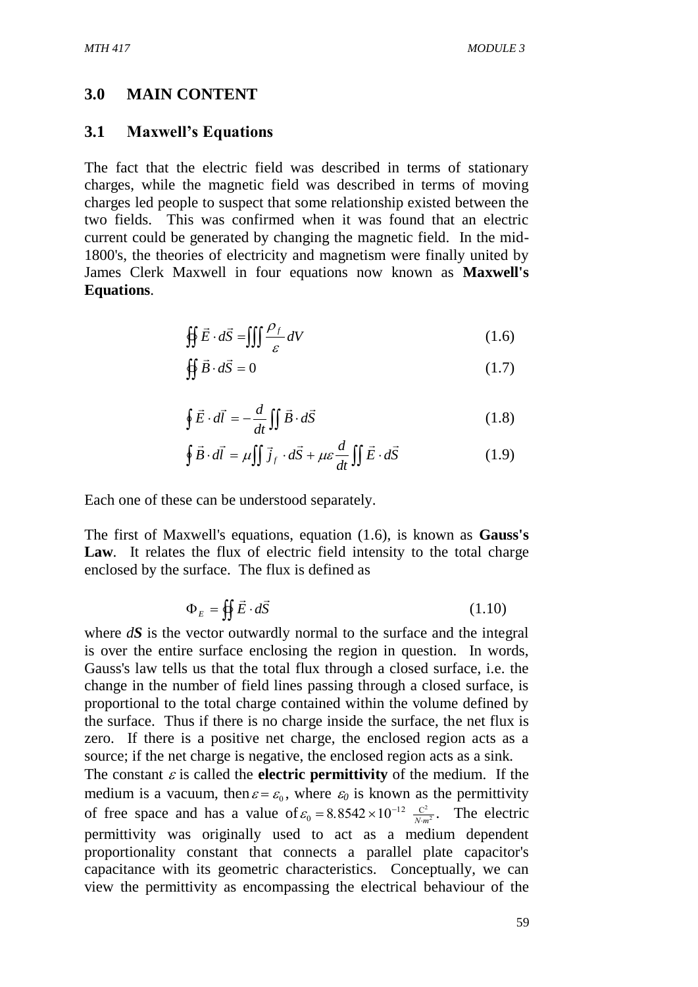#### **3.0 MAIN CONTENT**

#### **3.1 Maxwell's Equations**

The fact that the electric field was described in terms of stationary charges, while the magnetic field was described in terms of moving charges led people to suspect that some relationship existed between the two fields. This was confirmed when it was found that an electric current could be generated by changing the magnetic field. In the mid-1800's, the theories of electricity and magnetism were finally united by James Clerk Maxwell in four equations now known as **Maxwell's Equations**.

$$
\oint \vec{E} \cdot d\vec{S} = \iiint \frac{\rho_f}{\varepsilon} dV \tag{1.6}
$$

$$
\oint \vec{B} \cdot d\vec{S} = 0 \tag{1.7}
$$

$$
\oint \vec{E} \cdot d\vec{l} = -\frac{d}{dt} \iint \vec{B} \cdot d\vec{S}
$$
 (1.8)

$$
\oint \vec{B} \cdot d\vec{l} = \mu \iint \vec{j}_f \cdot d\vec{S} + \mu \varepsilon \frac{d}{dt} \iint \vec{E} \cdot d\vec{S}
$$
 (1.9)

Each one of these can be understood separately.

The first of Maxwell's equations, equation (1.6), is known as **Gauss's**  Law. It relates the flux of electric field intensity to the total charge enclosed by the surface. The flux is defined as

$$
\Phi_E = \oiint \vec{E} \cdot d\vec{S} \tag{1.10}
$$

where *dS* is the vector outwardly normal to the surface and the integral is over the entire surface enclosing the region in question. In words, Gauss's law tells us that the total flux through a closed surface, i.e. the change in the number of field lines passing through a closed surface, is proportional to the total charge contained within the volume defined by the surface. Thus if there is no charge inside the surface, the net flux is zero. If there is a positive net charge, the enclosed region acts as a source; if the net charge is negative, the enclosed region acts as a sink.

The constant  $\varepsilon$  is called the **electric permittivity** of the medium. If the medium is a vacuum, then  $\varepsilon = \varepsilon_0$ , where  $\varepsilon_0$  is known as the permittivity of free space and has a value of  $\varepsilon_0 = 8.8542 \times 10^{-12} \frac{C^2}{N-m^2}$  $.8542 \times 10^{-12} \frac{C^2}{N \cdot n}$  $\frac{C^2}{N \cdot m^2}$ . The electric permittivity was originally used to act as a medium dependent proportionality constant that connects a parallel plate capacitor's capacitance with its geometric characteristics. Conceptually, we can view the permittivity as encompassing the electrical behaviour of the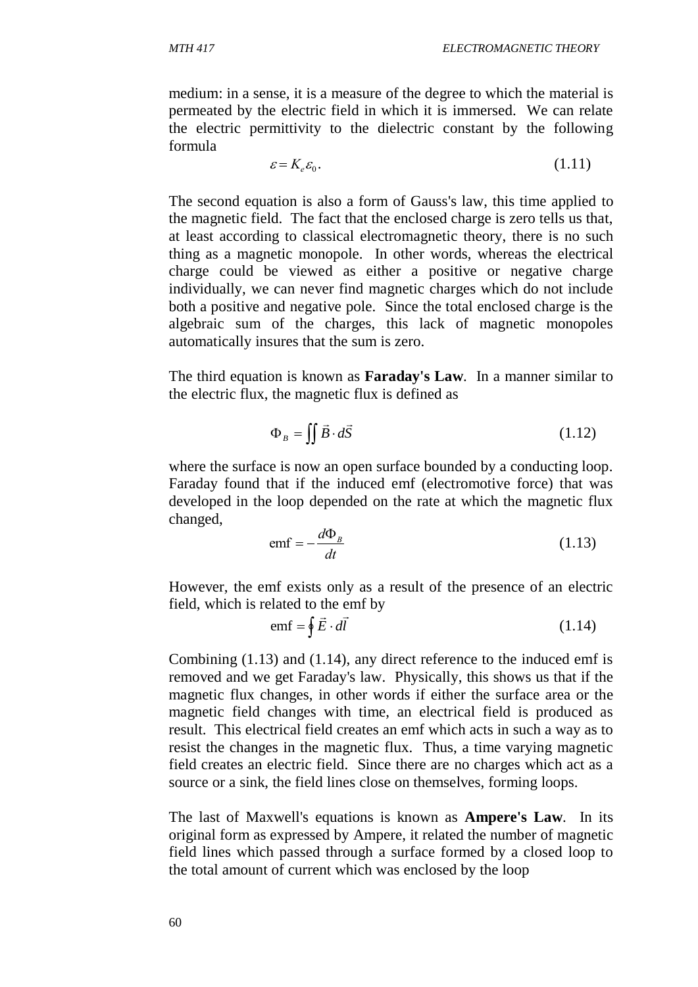medium: in a sense, it is a measure of the degree to which the material is permeated by the electric field in which it is immersed. We can relate the electric permittivity to the dielectric constant by the following formula

$$
\varepsilon = K_e \varepsilon_0. \tag{1.11}
$$

The second equation is also a form of Gauss's law, this time applied to the magnetic field. The fact that the enclosed charge is zero tells us that, at least according to classical electromagnetic theory, there is no such thing as a magnetic monopole. In other words, whereas the electrical charge could be viewed as either a positive or negative charge individually, we can never find magnetic charges which do not include both a positive and negative pole. Since the total enclosed charge is the algebraic sum of the charges, this lack of magnetic monopoles automatically insures that the sum is zero.

The third equation is known as **Faraday's Law**. In a manner similar to the electric flux, the magnetic flux is defined as

$$
\Phi_B = \iint \vec{B} \cdot d\vec{S} \tag{1.12}
$$

where the surface is now an open surface bounded by a conducting loop. Faraday found that if the induced emf (electromotive force) that was developed in the loop depended on the rate at which the magnetic flux changed,

$$
emf = -\frac{d\Phi_B}{dt} \tag{1.13}
$$

However, the emf exists only as a result of the presence of an electric field, which is related to the emf by

$$
emf = \oint \vec{E} \cdot d\vec{l}
$$
 (1.14)

Combining (1.13) and (1.14), any direct reference to the induced emf is removed and we get Faraday's law. Physically, this shows us that if the magnetic flux changes, in other words if either the surface area or the magnetic field changes with time, an electrical field is produced as result. This electrical field creates an emf which acts in such a way as to resist the changes in the magnetic flux. Thus, a time varying magnetic field creates an electric field. Since there are no charges which act as a source or a sink, the field lines close on themselves, forming loops.

The last of Maxwell's equations is known as **Ampere's Law**. In its original form as expressed by Ampere, it related the number of magnetic field lines which passed through a surface formed by a closed loop to the total amount of current which was enclosed by the loop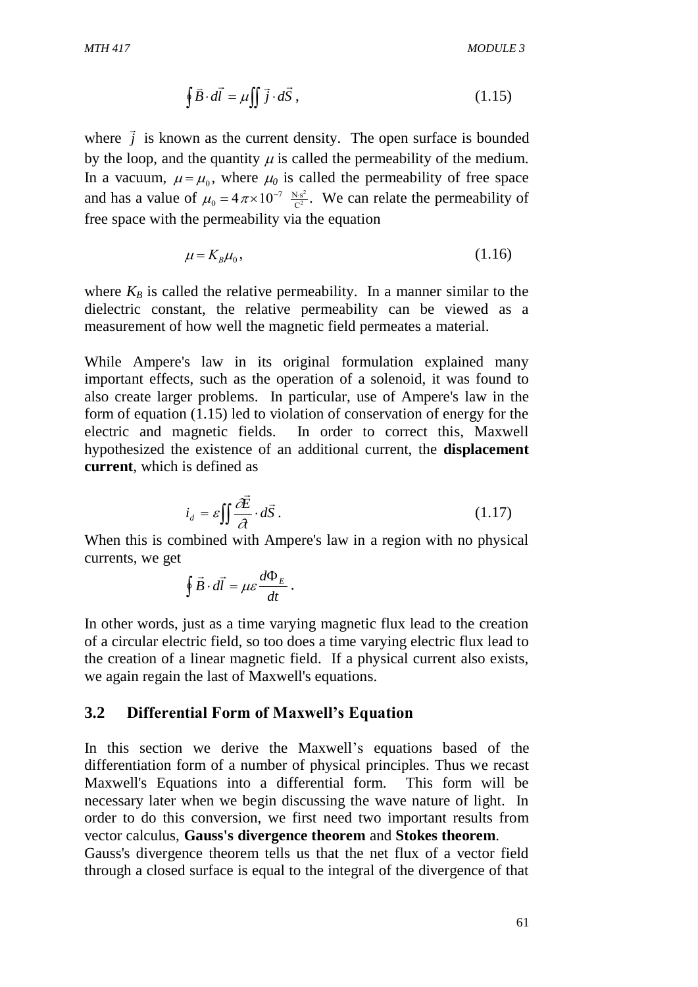$$
\oint \vec{B} \cdot d\vec{l} = \mu \iint \vec{j} \cdot d\vec{S}, \qquad (1.15)
$$

where  $\vec{j}$  $\rightarrow$ is known as the current density. The open surface is bounded by the loop, and the quantity  $\mu$  is called the permeability of the medium. In a vacuum,  $\mu = \mu_0$ , where  $\mu_0$  is called the permeability of free space and has a value of  $\mu_0 = 4 \pi \times 10^{-7} \frac{N \text{s}}{C^2}$ 2  $\frac{s^2}{2}$ . We can relate the permeability of free space with the permeability via the equation

$$
\mu = K_B \mu_0, \tag{1.16}
$$

where  $K_B$  is called the relative permeability. In a manner similar to the dielectric constant, the relative permeability can be viewed as a measurement of how well the magnetic field permeates a material.

While Ampere's law in its original formulation explained many important effects, such as the operation of a solenoid, it was found to also create larger problems. In particular, use of Ampere's law in the form of equation (1.15) led to violation of conservation of energy for the electric and magnetic fields. In order to correct this, Maxwell hypothesized the existence of an additional current, the **displacement current**, which is defined as

$$
i_d = \varepsilon \iint \frac{\partial \vec{E}}{\partial t} \cdot d\vec{S} \,. \tag{1.17}
$$

When this is combined with Ampere's law in a region with no physical currents, we get

$$
\oint \vec{B} \cdot d\vec{l} = \mu \varepsilon \frac{d\Phi_E}{dt}.
$$

In other words, just as a time varying magnetic flux lead to the creation of a circular electric field, so too does a time varying electric flux lead to the creation of a linear magnetic field. If a physical current also exists, we again regain the last of Maxwell's equations.

#### **3.2 Differential Form of Maxwell's Equation**

 $\oint \vec{B} \cdot d\vec{l} = \mu \iint \vec{j} \cdot d\vec{S}$ , (1.15)<br>
wn as the current density. The open surface is bounded<br>
the quantity  $\mu$  is called the permeability of the medium.<br>  $\mu_1 \mu_0$   $\mu_1$  are  $\mu_0$  is called the permeability of t In this section we derive the Maxwell's equations based of the differentiation form of a number of physical principles. Thus we recast Maxwell's Equations into a differential form. This form will be necessary later when we begin discussing the wave nature of light. In order to do this conversion, we first need two important results from vector calculus, **Gauss's divergence theorem** and **Stokes theorem**. Gauss's divergence theorem tells us that the net flux of a vector field through a closed surface is equal to the integral of the divergence of that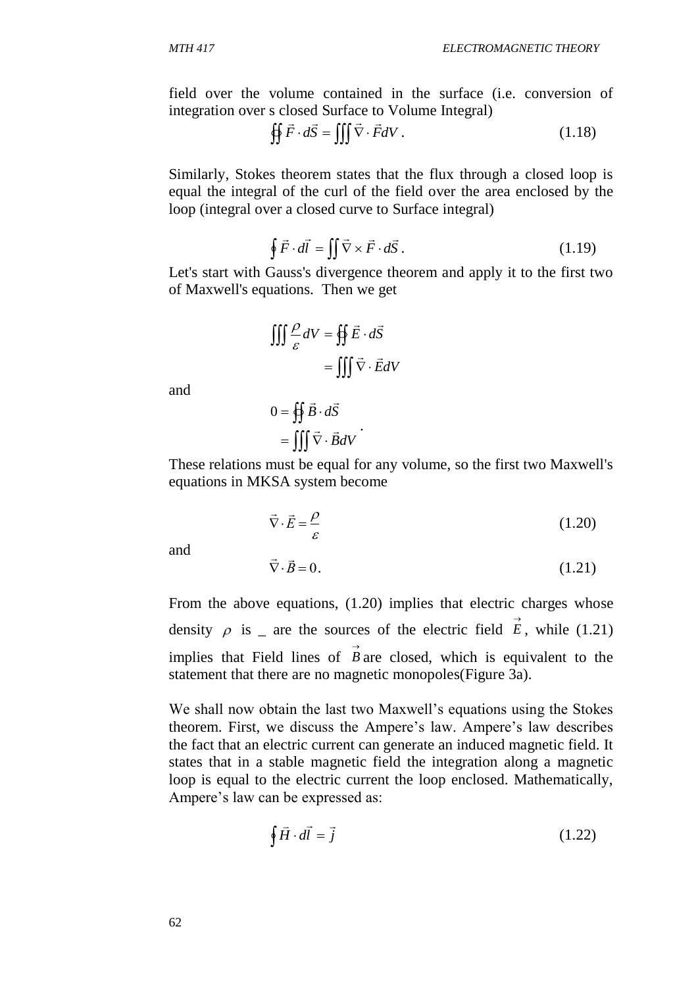field over the volume contained in the surface (i.e. conversion of integration over s closed Surface to Volume Integral)

$$
\oint \vec{F} \cdot d\vec{S} = \iiint \vec{\nabla} \cdot \vec{F} dV. \qquad (1.18)
$$

Similarly, Stokes theorem states that the flux through a closed loop is equal the integral of the curl of the field over the area enclosed by the loop (integral over a closed curve to Surface integral)

$$
\oint \vec{F} \cdot d\vec{l} = \iint \vec{\nabla} \times \vec{F} \cdot d\vec{S} \,. \tag{1.19}
$$

Let's start with Gauss's divergence theorem and apply it to the first two of Maxwell's equations. Then we get

$$
\iiint \frac{\rho}{\varepsilon} dV = \oiint \vec{E} \cdot d\vec{S}
$$

$$
= \iiint \vec{\nabla} \cdot \vec{E} dV
$$

and

$$
0 = \oiint \vec{B} \cdot d\vec{S}
$$

$$
= \iiint \vec{\nabla} \cdot \vec{B} dV
$$

These relations must be equal for any volume, so the first two Maxwell's equations in MKSA system become

.

$$
\vec{\nabla} \cdot \vec{E} = \frac{\rho}{\varepsilon} \tag{1.20}
$$

and

$$
\vec{\nabla} \cdot \vec{B} = 0. \tag{1.21}
$$

From the above equations, (1.20) implies that electric charges whose density  $\rho$  is \_ are the sources of the electric field  $\vec{E}$ , while (1.21) implies that Field lines of  $\overrightarrow{B}$  are closed, which is equivalent to the statement that there are no magnetic monopoles(Figure 3a).

We shall now obtain the last two Maxwell's equations using the Stokes theorem. First, we discuss the Ampere's law. Ampere's law describes the fact that an electric current can generate an induced magnetic field. It states that in a stable magnetic field the integration along a magnetic loop is equal to the electric current the loop enclosed. Mathematically, Ampere's law can be expressed as:

$$
\oint \vec{H} \cdot d\vec{l} = \vec{j} \tag{1.22}
$$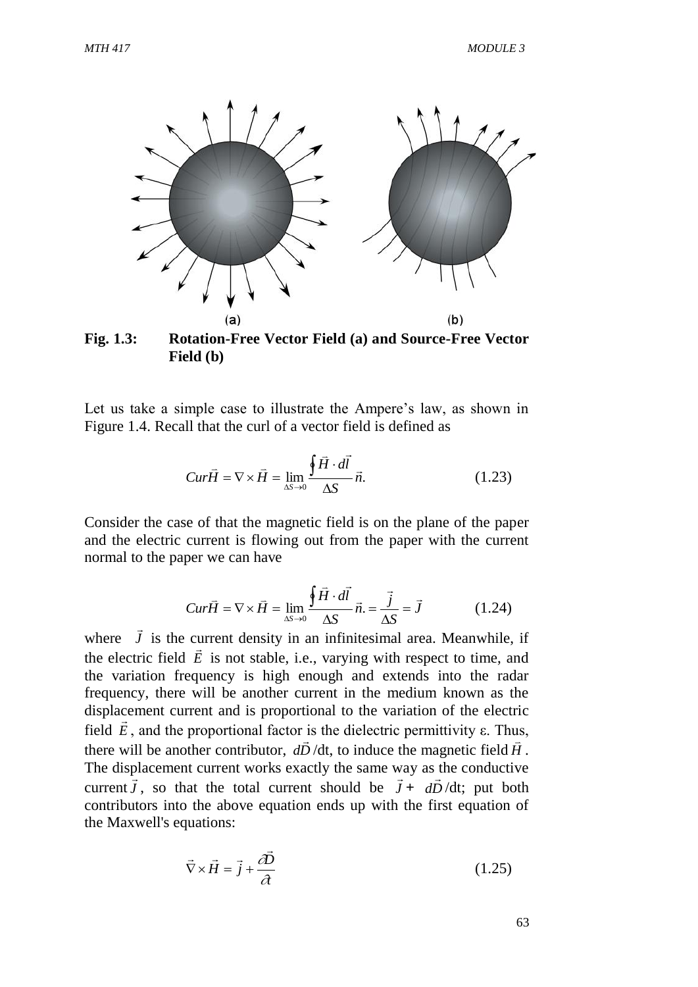

**Fig. 1.3: Rotation-Free Vector Field (a) and Source-Free Vector Field (b)**

Let us take a simple case to illustrate the Ampere's law, as shown in Figure 1.4. Recall that the curl of a vector field is defined as

$$
Cur\vec{H} = \nabla \times \vec{H} = \lim_{\Delta S \to 0} \frac{\oint \vec{H} \cdot d\vec{l}}{\Delta S} \vec{n}.
$$
 (1.23)

Consider the case of that the magnetic field is on the plane of the paper and the electric current is flowing out from the paper with the current normal to the paper we can have

$$
Cur\vec{H} = \nabla \times \vec{H} = \lim_{\Delta S \to 0} \frac{\oint \vec{H} \cdot d\vec{l}}{\Delta S} \vec{n} = \frac{\vec{j}}{\Delta S} = \vec{J}
$$
(1.24)

where *J*  $\rightarrow$ is the current density in an infinitesimal area. Meanwhile, if the electric field  $\vec{E}$  is not stable, i.e., varying with respect to time, and the variation frequency is high enough and extends into the radar frequency, there will be another current in the medium known as the displacement current and is proportional to the variation of the electric field  $\vec{E}$ , and the proportional factor is the dielectric permittivity  $\varepsilon$ . Thus, there will be another contributor,  $d\vec{D}/dt$ , to induce the magnetic field  $\vec{H}$ . The displacement current works exactly the same way as the conductive current  $\vec{J}$ , so that the total current should be  $\vec{J} + d\vec{D}/dt$ ; put both contributors into the above equation ends up with the first equation of the Maxwell's equations:

$$
\vec{\nabla} \times \vec{H} = \vec{j} + \frac{\partial \vec{D}}{\partial t}
$$
 (1.25)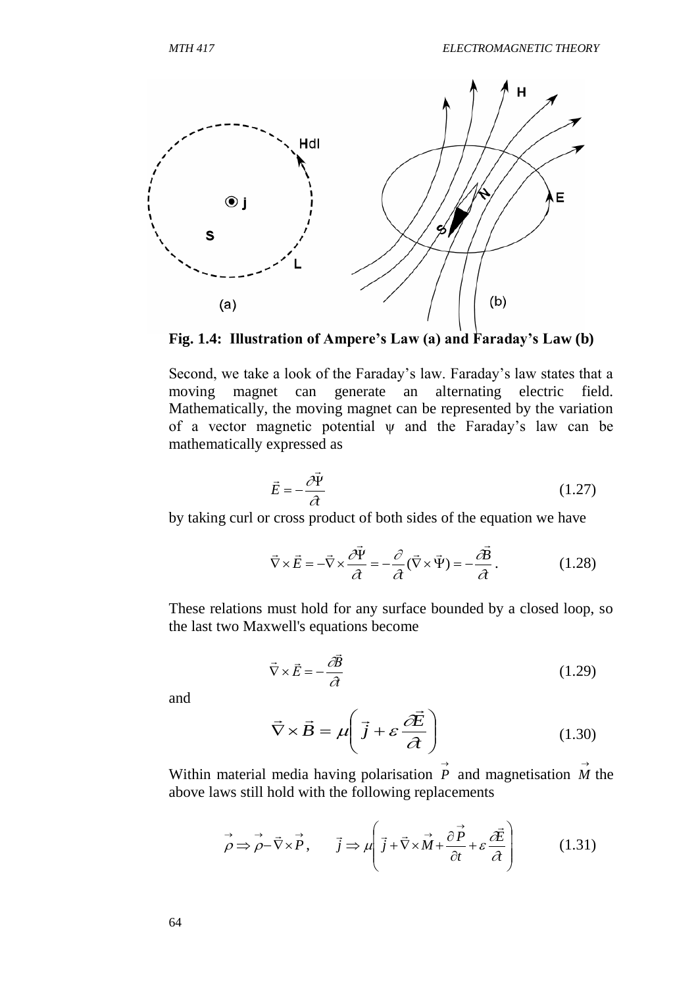

**Fig. 1.4: Illustration of Ampere's Law (a) and Faraday's Law (b)**

Second, we take a look of the Faraday's law. Faraday's law states that a moving magnet can generate an alternating electric field. Mathematically, the moving magnet can be represented by the variation of a vector magnetic potential  $\psi$  and the Faraday's law can be mathematically expressed as

$$
\vec{E} = -\frac{\partial \vec{\Psi}}{\partial t}
$$
 (1.27)

by taking curl or cross product of both sides of the equation we have

$$
\vec{\nabla} \times \vec{E} = -\vec{\nabla} \times \frac{\partial \vec{\Psi}}{\partial t} = -\frac{\partial}{\partial t} (\vec{\nabla} \times \vec{\Psi}) = -\frac{\partial \vec{B}}{\partial t}.
$$
 (1.28)

These relations must hold for any surface bounded by a closed loop, so the last two Maxwell's equations become

$$
\vec{\nabla} \times \vec{E} = -\frac{\partial \vec{B}}{\partial t}
$$
 (1.29)

and

$$
\vec{\nabla} \times \vec{B} = \mu \left( \vec{j} + \varepsilon \frac{\partial \vec{E}}{\partial t} \right)
$$
 (1.30)

Within material media having polarisation  $\overrightarrow{P}$  and magnetisation  $\overrightarrow{M}$  the above laws still hold with the following replacements

$$
\vec{\rho} \Rightarrow \vec{\rho} - \vec{\nabla} \times \vec{P}, \qquad \vec{j} \Rightarrow \mu \left( \vec{j} + \vec{\nabla} \times \vec{M} + \frac{\partial \vec{P}}{\partial t} + \varepsilon \frac{\partial \vec{E}}{\partial t} \right) \tag{1.31}
$$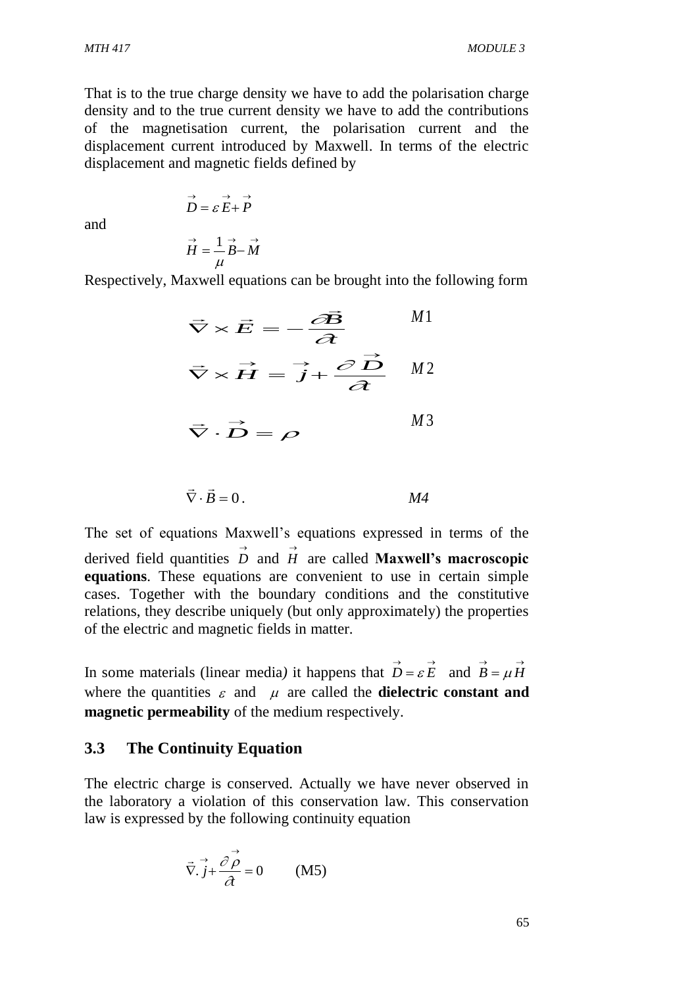That is to the true charge density we have to add the polarisation charge density and to the true current density we have to add the contributions of the magnetisation current, the polarisation current and the displacement current introduced by Maxwell. In terms of the electric displacement and magnetic fields defined by

and

$$
\vec{H} = \frac{1}{\mu} \vec{B} - \vec{M}
$$

 $\overrightarrow{D} = \varepsilon \overrightarrow{E} + \overrightarrow{P}$ 

Respectively, Maxwell equations can be brought into the following form

$$
\vec{\nabla} \times \vec{E} = -\frac{\partial \vec{B}}{\partial t} \qquad M1
$$

$$
\vec{\nabla} \times \vec{H} = \vec{j} + \frac{\partial \vec{D}}{\partial t} \qquad M2
$$

$$
\vec{\nabla} \cdot \vec{D} = \rho \qquad M3
$$

$$
\vec{\nabla} \cdot \vec{B} = 0.
$$

The set of equations Maxwell's equations expressed in terms of the derived field quantities  $\overrightarrow{D}$  and  $\overrightarrow{H}$  are called **Maxwell's macroscopic equations**. These equations are convenient to use in certain simple cases. Together with the boundary conditions and the constitutive relations, they describe uniquely (but only approximately) the properties of the electric and magnetic fields in matter.

In some materials (linear media) it happens that  $\vec{D} = \varepsilon \vec{E}$  and  $\vec{B} = \mu \vec{H}$ where the quantities  $\varepsilon$  and  $\mu$  are called the **dielectric constant and magnetic permeability** of the medium respectively.

#### **3.3 The Continuity Equation**

The electric charge is conserved. Actually we have never observed in the laboratory a violation of this conservation law. This conservation law is expressed by the following continuity equation

$$
\vec{\nabla} \cdot \vec{j} + \frac{\partial \vec{\rho}}{\partial t} = 0 \quad (M5)
$$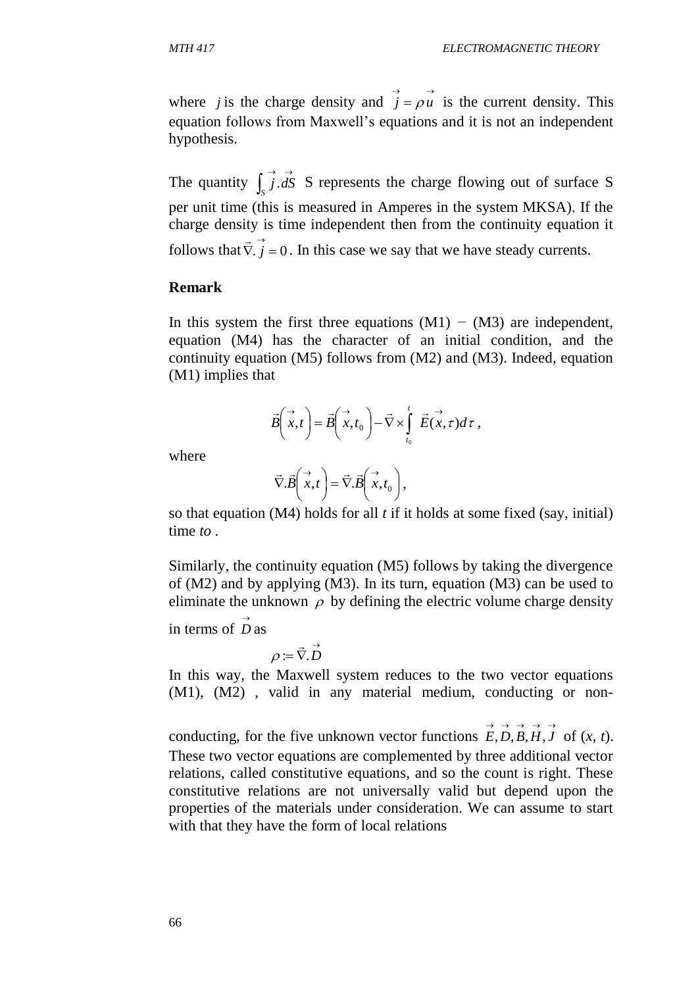where *j* is the charge density and  $\vec{j} = \rho \vec{u}$  is the current density. This equation follows from Maxwell's equations and it is not an independent hypothesis.

The quantity  $\int_{S} \overrightarrow{j} \cdot dS$  $\int_S j \, dS$  S represents the charge flowing out of surface S per unit time (this is measured in Amperes in the system MKSA). If the charge density is time independent then from the continuity equation it follows that  $\vec{\nabla} \cdot \vec{j} = 0$  $\rightarrow$ . In this case we say that we have steady currents.

## **Remark**

In this system the first three equations (M1) *−* (M3) are independent, equation (M4) has the character of an initial condition, and the continuity equation (M5) follows from (M2) and (M3). Indeed, equation (M1) implies that

$$
\vec{B}\left(\vec{x},t\right) = \vec{B}\left(\vec{x},t_0\right) - \vec{\nabla}\times\int_{t_0}^t \vec{E}(\vec{x},\tau)d\tau,
$$

where

$$
\vec{\nabla}.\vec{B} \bigg( \vec{x}, t \bigg) = \vec{\nabla}.\vec{B} \bigg( \vec{x}, t_0 \bigg),
$$

so that equation (M4) holds for all *t* if it holds at some fixed (say, initial) time *to .*

Similarly, the continuity equation (M5) follows by taking the divergence of (M2) and by applying (M3). In its turn, equation (M3) can be used to eliminate the unknown  $\rho$  by defining the electric volume charge density

in terms of  $\overrightarrow{D}$  as

$$
\rho\coloneqq\vec{\nabla}.\vec{D}
$$

In this way, the Maxwell system reduces to the two vector equations (M1), (M2) , valid in any material medium, conducting or non-

conducting, for the five unknown vector functions  $\vec{E}, \vec{D}, \vec{B}, \vec{H}, \vec{J}$  of  $(x, t)$ . These two vector equations are complemented by three additional vector relations, called constitutive equations, and so the count is right. These constitutive relations are not universally valid but depend upon the properties of the materials under consideration. We can assume to start with that they have the form of local relations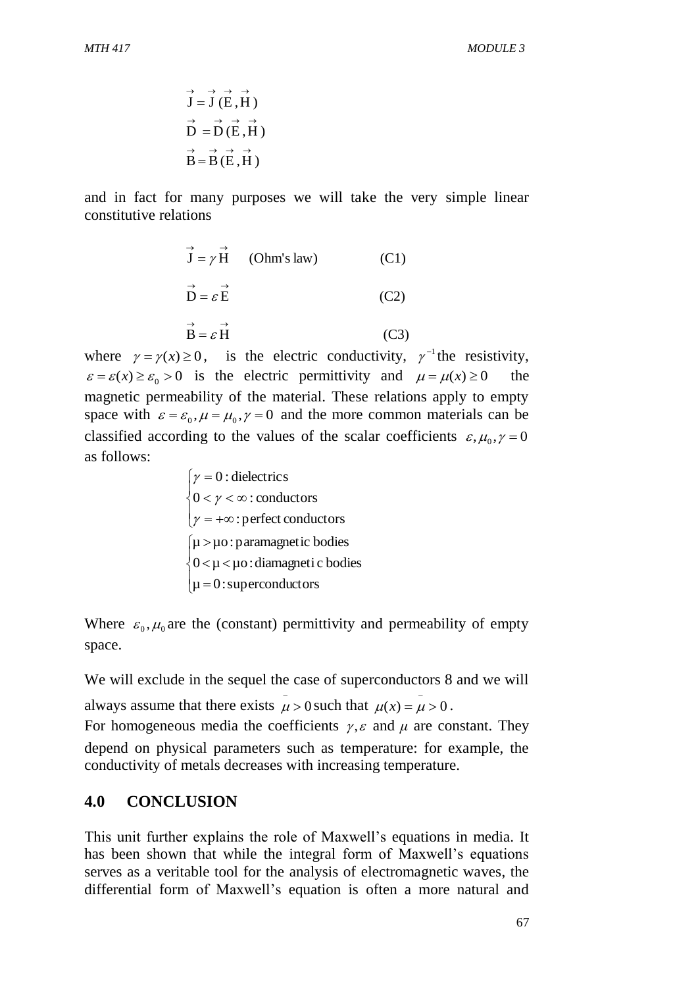$$
\vec{J} = \vec{J} (\vec{E}, \vec{H})
$$
  
\n
$$
\vec{D} = \vec{D} (\vec{E}, \vec{H})
$$
  
\n
$$
\vec{B} = \vec{B} (\vec{E}, \vec{H})
$$

and in fact for many purposes we will take the very simple linear constitutive relations

$$
\vec{J} = \gamma \vec{H} \qquad \text{(Ohm's law)} \tag{C1}
$$
\n
$$
\vec{D} = \varepsilon \vec{E} \tag{C2}
$$
\n
$$
\vec{B} = \varepsilon \vec{H} \tag{C3}
$$

where  $\gamma = \gamma(x) \ge 0$ , is the electric conductivity,  $\gamma^{-1}$  the resistivity,  $\varepsilon = \varepsilon(x) \ge \varepsilon_0 > 0$  is the electric permittivity and  $\mu = \mu(x) \ge 0$  the magnetic permeability of the material. These relations apply to empty space with  $\varepsilon = \varepsilon_0$ ,  $\mu = \mu_0$ ,  $\gamma = 0$  and the more common materials can be classified according to the values of the scalar coefficients  $\varepsilon, \mu_0, \gamma = 0$ as follows:

> $\overline{\mathcal{L}}$  $\overline{\phantom{a}}$ ┤  $\left($  $= +\infty$  $<$   $\gamma$   $<$   $\infty$  $=$ :perfect conductors  $0 < \gamma < \infty$ : conductors 0 : dielectrics γ γ γ  $\mu = 0$ : superconductors  $\vert$  $\big\{0 \!<\! \mu \!<\! \mu$ o:diamagneti c bodies  $\mu > \mu$ o: paramagnetic bodies

Where  $\varepsilon_0$ ,  $\mu_0$  are the (constant) permittivity and permeability of empty space.

We will exclude in the sequel the case of superconductors 8 and we will always assume that there exists  $\mu > 0$  such that  $\mu(x) = \mu > 0$ .  $\overline{a}$  $\overline{a}$ For homogeneous media the coefficients  $\gamma$ ,  $\varepsilon$  and  $\mu$  are constant. They depend on physical parameters such as temperature: for example, the conductivity of metals decreases with increasing temperature.

## **4.0 CONCLUSION**

This unit further explains the role of Maxwell's equations in media. It has been shown that while the integral form of Maxwell's equations serves as a veritable tool for the analysis of electromagnetic waves, the differential form of Maxwell's equation is often a more natural and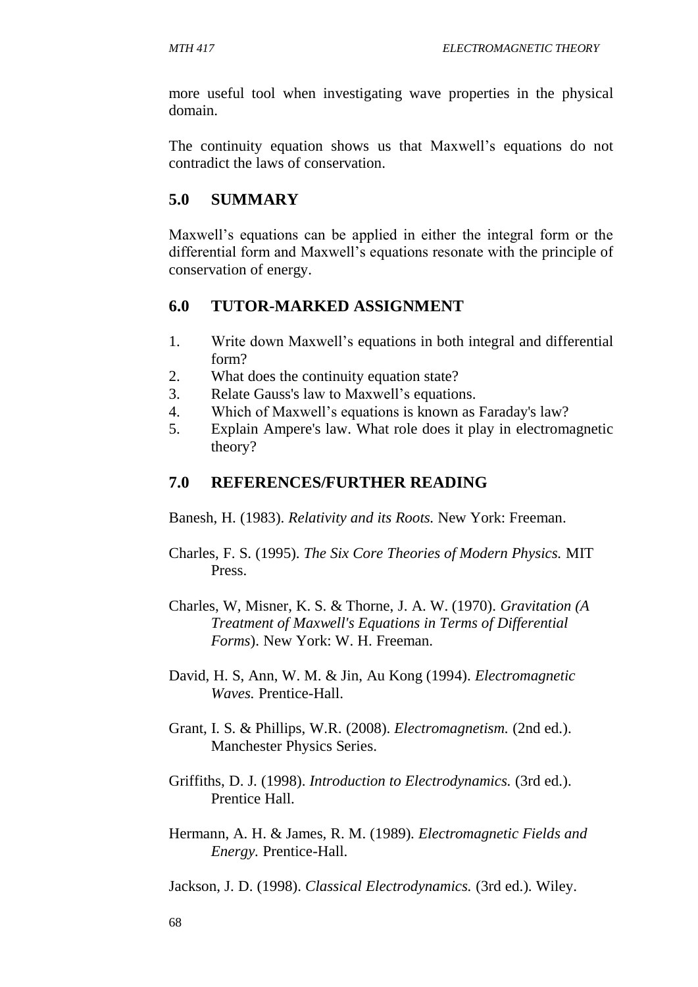more useful tool when investigating wave properties in the physical domain.

The continuity equation shows us that Maxwell's equations do not contradict the laws of conservation.

## **5.0 SUMMARY**

Maxwell's equations can be applied in either the integral form or the differential form and Maxwell's equations resonate with the principle of conservation of energy.

## **6.0 TUTOR-MARKED ASSIGNMENT**

- 1. Write down Maxwell's equations in both integral and differential form?
- 2. What does the continuity equation state?
- 3. Relate Gauss's law to Maxwell's equations.
- 4. Which of Maxwell's equations is known as Faraday's law?
- 5. Explain Ampere's law. What role does it play in electromagnetic theory?

## **7.0 REFERENCES/FURTHER READING**

Banesh, H. (1983). *Relativity and its Roots.* New York: Freeman.

- Charles, F. S. (1995). *The Six Core Theories of Modern Physics.* MIT Press.
- Charles, W, Misner, K. S. & Thorne, J. A. W. (1970). *Gravitation (A Treatment of Maxwell's Equations in Terms of Differential Forms*). New York: W. H. Freeman.
- David, H. S, Ann, W. M. & Jin, Au Kong (1994). *Electromagnetic Waves.* Prentice-Hall.
- Grant, I. S. & Phillips, W.R. (2008). *Electromagnetism.* (2nd ed.). Manchester Physics Series.
- Griffiths, D. J. (1998). *Introduction to Electrodynamics.* (3rd ed.). Prentice Hall.
- Hermann, A. H. & James, R. M. (1989). *Electromagnetic Fields and Energy.* Prentice-Hall.

Jackson, J. D. (1998). *Classical Electrodynamics.* (3rd ed.). Wiley.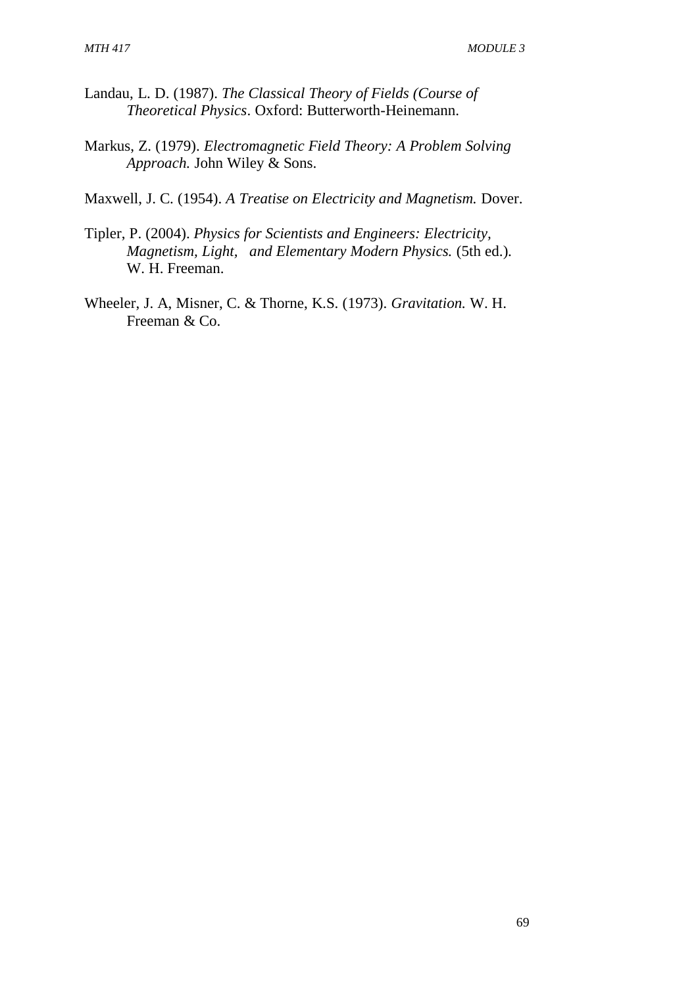- Landau, L. D. (1987). *The Classical Theory of Fields (Course of Theoretical Physics*. Oxford: Butterworth-Heinemann.
- Markus, Z. (1979). *Electromagnetic Field Theory: A Problem Solving Approach.* John Wiley & Sons.
- Maxwell, J. C. (1954). *A Treatise on Electricity and Magnetism.* Dover.
- Tipler, P. (2004). *Physics for Scientists and Engineers: Electricity, Magnetism, Light, and Elementary Modern Physics.* (5th ed.). W. H. Freeman.
- Wheeler, J. A, Misner, C. & Thorne, K.S. (1973). *Gravitation.* W. H. Freeman & Co.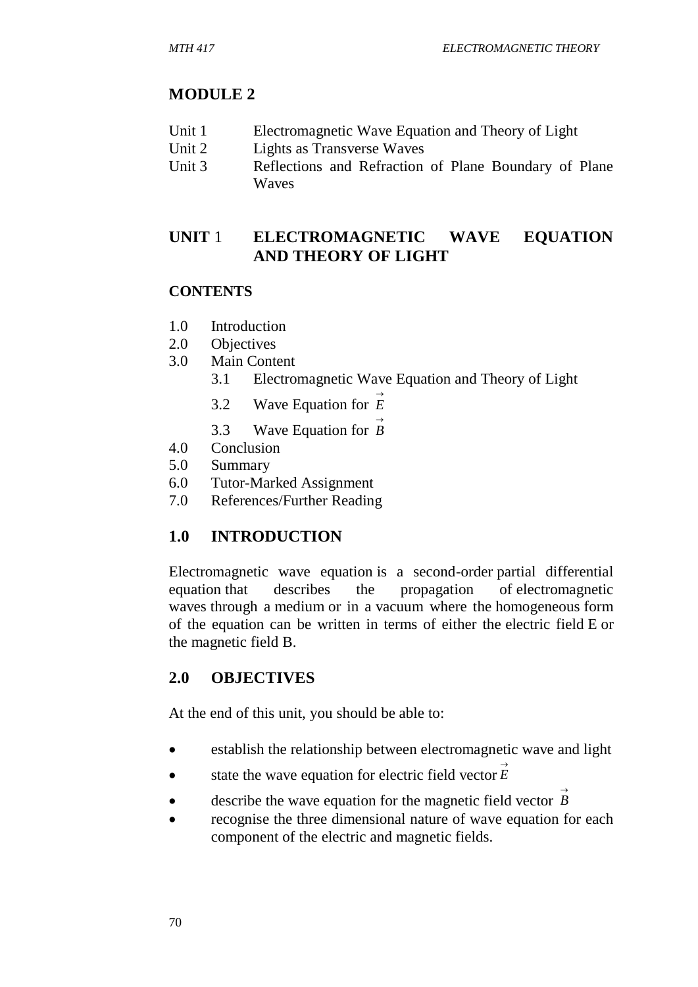#### **MODULE 2**

- Unit 1 Electromagnetic Wave Equation and Theory of Light
- Unit 2 Lights as Transverse Waves
- Unit 3 Reflections and Refraction of Plane Boundary of Plane Waves

## **UNIT** 1 **ELECTROMAGNETIC WAVE EQUATION AND THEORY OF LIGHT**

#### **CONTENTS**

- 1.0 Introduction
- 2.0 Objectives
- 3.0 Main Content
	- 3.1 Electromagnetic Wave Equation and Theory of Light
	- 3.2 Wave Equation for  $\overrightarrow{E}$
	- 3.3 Wave Equation for  $\overrightarrow{B}$
- 4.0 Conclusion
- 5.0 Summary
- 6.0 Tutor-Marked Assignment
- 7.0 References/Further Reading

#### **1.0 INTRODUCTION**

Electromagnetic wave equation is a second-order partial differential equation that describes the propagation of electromagnetic waves through a medium or in a vacuum where the homogeneous form of the equation can be written in terms of either the electric field E or the magnetic field B.

## **2.0 OBJECTIVES**

At the end of this unit, you should be able to:

- establish the relationship between electromagnetic wave and light
- state the wave equation for electric field vector  $\vec{E}$
- **e** describe the wave equation for the magnetic field vector  $\overrightarrow{B}$
- recognise the three dimensional nature of wave equation for each component of the electric and magnetic fields.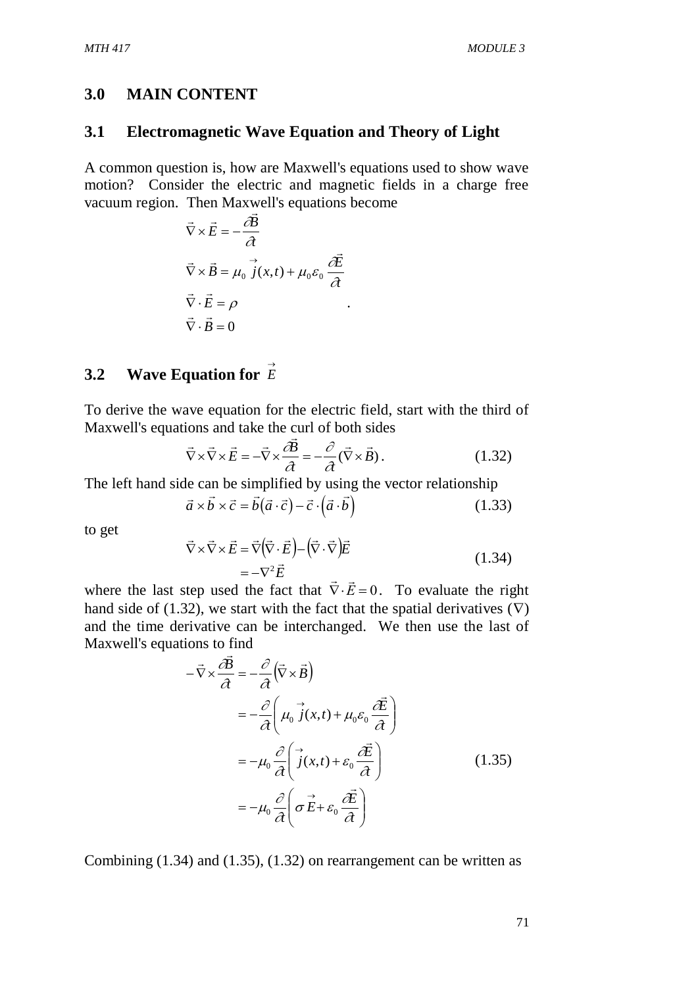#### **3.0 MAIN CONTENT**

#### **3.1 Electromagnetic Wave Equation and Theory of Light**

A common question is, how are Maxwell's equations used to show wave motion? Consider the electric and magnetic fields in a charge free vacuum region. Then Maxwell's equations become

$$
\vec{\nabla} \times \vec{E} = -\frac{\partial \vec{B}}{\partial \vec{\nabla}}
$$
  

$$
\vec{\nabla} \times \vec{B} = \mu_0 \vec{j}(x, t) + \mu_0 \varepsilon_0 \frac{\partial \vec{E}}{\partial \vec{\nabla}}
$$
  

$$
\vec{\nabla} \cdot \vec{E} = \rho
$$
  

$$
\vec{\nabla} \cdot \vec{B} = 0
$$

# **3.2 Wave Equation for**  *E*

To derive the wave equation for the electric field, start with the third of Maxwell's equations and take the curl of both sides

$$
\vec{\nabla} \times \vec{\nabla} \times \vec{E} = -\vec{\nabla} \times \frac{\partial \vec{B}}{\partial t} = -\frac{\partial}{\partial t} (\vec{\nabla} \times \vec{B}).
$$
 (1.32)

.

The left hand side can be simplified by using the vector relationship

$$
\vec{a} \times \vec{b} \times \vec{c} = \vec{b}(\vec{a} \cdot \vec{c}) - \vec{c} \cdot (\vec{a} \cdot \vec{b})
$$
 (1.33)

to get

$$
\vec{\nabla} \times \vec{\nabla} \times \vec{E} = \vec{\nabla} (\vec{\nabla} \cdot \vec{E}) - (\vec{\nabla} \cdot \vec{\nabla}) \vec{E}
$$
\n
$$
= -\nabla^2 \vec{E}
$$
\n(1.34)

where the last step used the fact that  $\nabla \cdot \vec{E} = 0$ . To evaluate the right hand side of (1.32), we start with the fact that the spatial derivatives  $(\nabla)$ and the time derivative can be interchanged. We then use the last of Maxwell's equations to find

$$
-\vec{\nabla} \times \frac{\partial \vec{B}}{\partial t} = -\frac{\partial}{\partial t} (\vec{\nabla} \times \vec{B})
$$
  

$$
= -\frac{\partial}{\partial t} \left( \mu_0 \vec{j}(x, t) + \mu_0 \varepsilon_0 \frac{\partial \vec{E}}{\partial t} \right)
$$
  

$$
= -\mu_0 \frac{\partial}{\partial t} \left( \vec{j}(x, t) + \varepsilon_0 \frac{\partial \vec{E}}{\partial t} \right)
$$
  

$$
= -\mu_0 \frac{\partial}{\partial t} \left( \vec{\sigma} \vec{E} + \varepsilon_0 \frac{\partial \vec{E}}{\partial t} \right)
$$
 (1.35)

Combining (1.34) and (1.35), (1.32) on rearrangement can be written as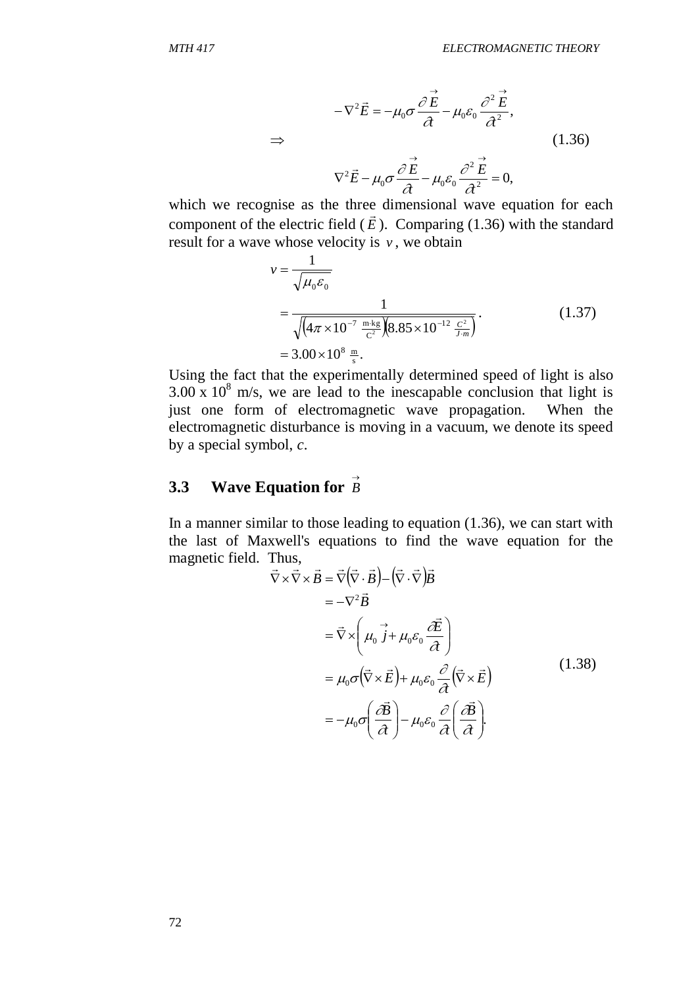$$
-\nabla^2 \vec{E} = -\mu_0 \sigma \frac{\partial \vec{E}}{\partial t} - \mu_0 \varepsilon_0 \frac{\partial^2 \vec{E}}{\partial t^2},
$$
  
\n
$$
\Rightarrow \qquad (1.36)
$$
  
\n
$$
\nabla^2 \vec{E} - \mu_0 \sigma \frac{\partial \vec{E}}{\partial t} - \mu_0 \varepsilon_0 \frac{\partial^2 \vec{E}}{\partial t^2} = 0,
$$

which we recognise as the three dimensional wave equation for each value of  $\mathbb{R}^n$ . component of the electric field  $(E)$ . Comparing (1.36) with the standard result for a wave whose velocity is  $v$ , we obtain

$$
v = \frac{1}{\sqrt{\mu_0 \varepsilon_0}}
$$
  
= 
$$
\frac{1}{\sqrt{(4\pi \times 10^{-7} \frac{\text{m} \cdot \text{kg}}{\text{C}^2})(8.85 \times 10^{-12} \frac{\text{C}^2}{\text{J} \cdot \text{m}})}}
$$
 (1.37)  
= 
$$
3.00 \times 10^8 \frac{\text{m}}{\text{s}}.
$$

⇒<br>
which we recognis<br>
component of the e<br>
result for a wave w<br>  $v =$ <br>  $=$ <br>  $=$ <br>
Using the fact that<br>
3.00 x 10<sup>8</sup> m/s, we<br>
just one form of<br>
electromagnetic dis<br>
by a special symbo<br>
3.3 Wave Equ<br>
In a manner similar<br>
the Using the fact that the experimentally determined speed of light is also  $3.00 \times 10^8$  m/s, we are lead to the inescapable conclusion that light is just one form of electromagnetic wave propagation. When the electromagnetic disturbance is moving in a vacuum, we denote its speed by a special symbol, *c*.

# **3.3 Wave Equation for**  $\overrightarrow{B}$

In a manner similar to those leading to equation  $(1.36)$ , we can start with the last of Maxwell's equations to find the wave equation for the magnetic field. Thus,

Thus,  
\n
$$
\vec{\nabla} \times \vec{\nabla} \times \vec{B} = \vec{\nabla} (\vec{\nabla} \cdot \vec{B}) - (\vec{\nabla} \cdot \vec{\nabla}) \vec{B}
$$
\n
$$
= -\nabla^2 \vec{B}
$$
\n
$$
= \vec{\nabla} \times \left( \mu_0 \vec{j} + \mu_0 \varepsilon_0 \frac{\partial \vec{E}}{\partial \tau} \right)
$$
\n
$$
= \mu_0 \sigma (\vec{\nabla} \times \vec{E}) + \mu_0 \varepsilon_0 \frac{\partial}{\partial \tau} (\vec{\nabla} \times \vec{E})
$$
\n
$$
= -\mu_0 \sigma \left( \frac{\partial \vec{B}}{\partial \tau} \right) - \mu_0 \varepsilon_0 \frac{\partial}{\partial \tau} \left( \frac{\partial \vec{B}}{\partial \tau} \right).
$$
\n(1.38)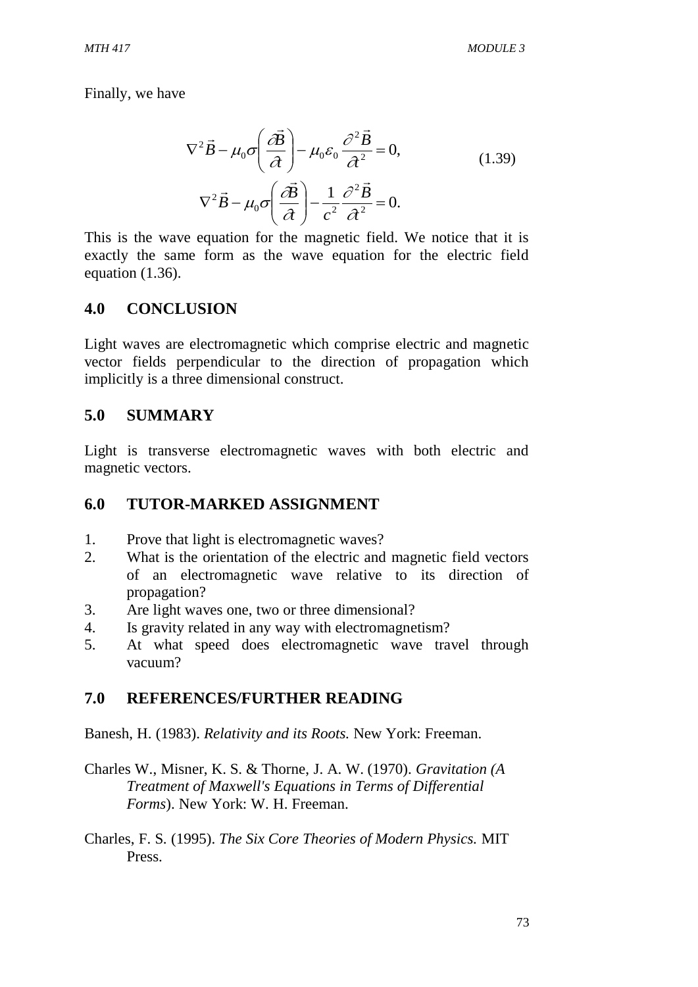Finally, we have

$$
\nabla^2 \vec{B} - \mu_0 \sigma \left( \frac{\partial \vec{B}}{\partial t} \right) - \mu_0 \varepsilon_0 \frac{\partial^2 \vec{B}}{\partial t^2} = 0,
$$
\n
$$
\nabla^2 \vec{B} - \mu_0 \sigma \left( \frac{\partial \vec{B}}{\partial t} \right) - \frac{1}{c^2} \frac{\partial^2 \vec{B}}{\partial t^2} = 0.
$$
\n(1.39)

This is the wave equation for the magnetic field. We notice that it is exactly the same form as the wave equation for the electric field equation (1.36).

#### **4.0 CONCLUSION**

Light waves are electromagnetic which comprise electric and magnetic vector fields perpendicular to the direction of propagation which implicitly is a three dimensional construct.

#### **5.0 SUMMARY**

Light is transverse electromagnetic waves with both electric and magnetic vectors.

#### **6.0 TUTOR-MARKED ASSIGNMENT**

- 1. Prove that light is electromagnetic waves?
- 2. What is the orientation of the electric and magnetic field vectors of an electromagnetic wave relative to its direction of propagation?
- 3. Are light waves one, two or three dimensional?
- 4. Is gravity related in any way with electromagnetism?
- 5. At what speed does electromagnetic wave travel through vacuum?

#### **7.0 REFERENCES/FURTHER READING**

Banesh, H. (1983). *Relativity and its Roots.* New York: Freeman.

- Charles W., Misner, K. S. & Thorne, J. A. W. (1970). *Gravitation (A Treatment of Maxwell's Equations in Terms of Differential Forms*). New York: W. H. Freeman.
- Charles, F. S. (1995). *The Six Core Theories of Modern Physics.* MIT Press.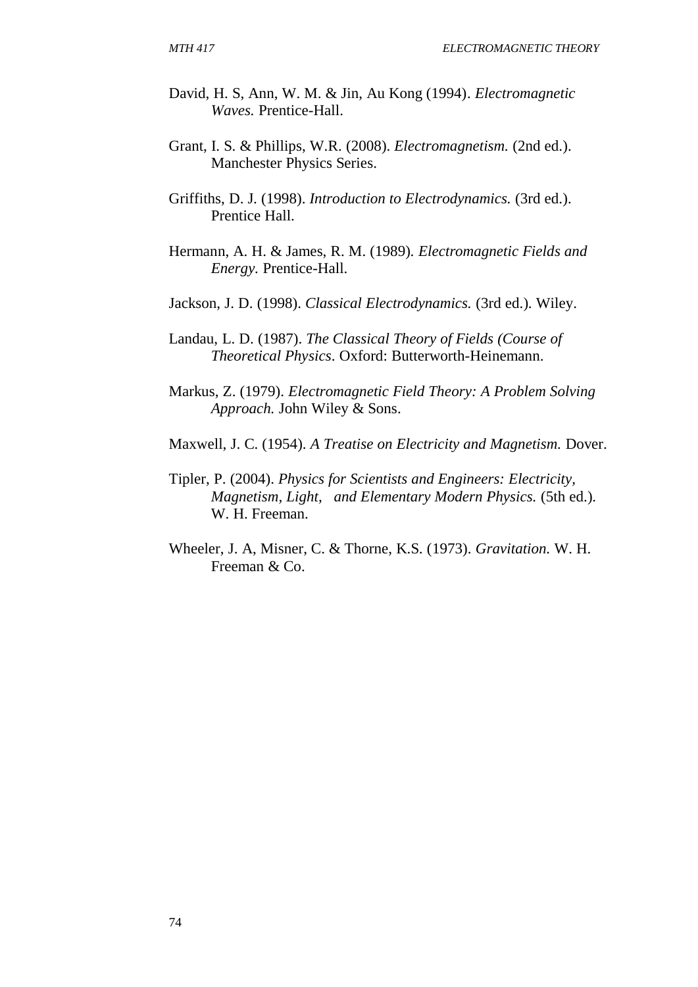- David, H. S, Ann, W. M. & Jin, Au Kong (1994). *Electromagnetic Waves.* Prentice-Hall.
- Grant, I. S. & Phillips, W.R. (2008). *Electromagnetism.* (2nd ed.). Manchester Physics Series.
- Griffiths, D. J. (1998). *Introduction to Electrodynamics.* (3rd ed.). Prentice Hall.
- Hermann, A. H. & James, R. M. (1989). *Electromagnetic Fields and Energy.* Prentice-Hall.
- Jackson, J. D. (1998). *Classical Electrodynamics.* (3rd ed.). Wiley.
- Landau, L. D. (1987). *The Classical Theory of Fields (Course of Theoretical Physics*. Oxford: Butterworth-Heinemann.
- Markus, Z. (1979). *Electromagnetic Field Theory: A Problem Solving Approach.* John Wiley & Sons.
- Maxwell, J. C. (1954). *A Treatise on Electricity and Magnetism.* Dover.
- Tipler, P. (2004). *Physics for Scientists and Engineers: Electricity, Magnetism, Light, and Elementary Modern Physics.* (5th ed.). W. H. Freeman.
- Wheeler, J. A, Misner, C. & Thorne, K.S. (1973). *Gravitation.* W. H. Freeman & Co.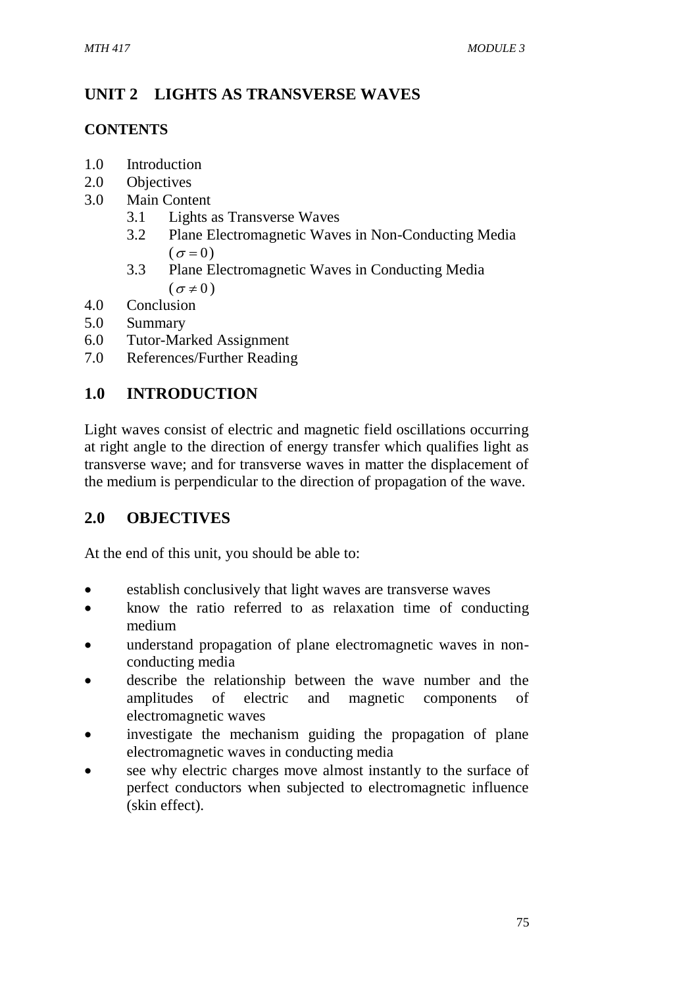# **UNIT 2 LIGHTS AS TRANSVERSE WAVES**

## **CONTENTS**

- 1.0 Introduction
- 2.0 Objectives
- 3.0 Main Content
	- 3.1 Lights as Transverse Waves
	- 3.2 Plane Electromagnetic Waves in Non-Conducting Media  $(\sigma = 0)$
	- 3.3 Plane Electromagnetic Waves in Conducting Media  $(\sigma \neq 0)$
- 4.0 Conclusion
- 5.0 Summary
- 6.0 Tutor-Marked Assignment
- 7.0 References/Further Reading

# **1.0 INTRODUCTION**

Light waves consist of electric and magnetic field oscillations occurring at right angle to the direction of energy transfer which qualifies light as transverse wave; and for transverse waves in matter the displacement of the medium is perpendicular to the direction of propagation of the wave.

# **2.0 OBJECTIVES**

At the end of this unit, you should be able to:

- establish conclusively that light waves are transverse waves
- know the ratio referred to as relaxation time of conducting medium
- understand propagation of plane electromagnetic waves in nonconducting media
- describe the relationship between the wave number and the amplitudes of electric and magnetic components of electromagnetic waves
- investigate the mechanism guiding the propagation of plane electromagnetic waves in conducting media
- see why electric charges move almost instantly to the surface of perfect conductors when subjected to electromagnetic influence (skin effect).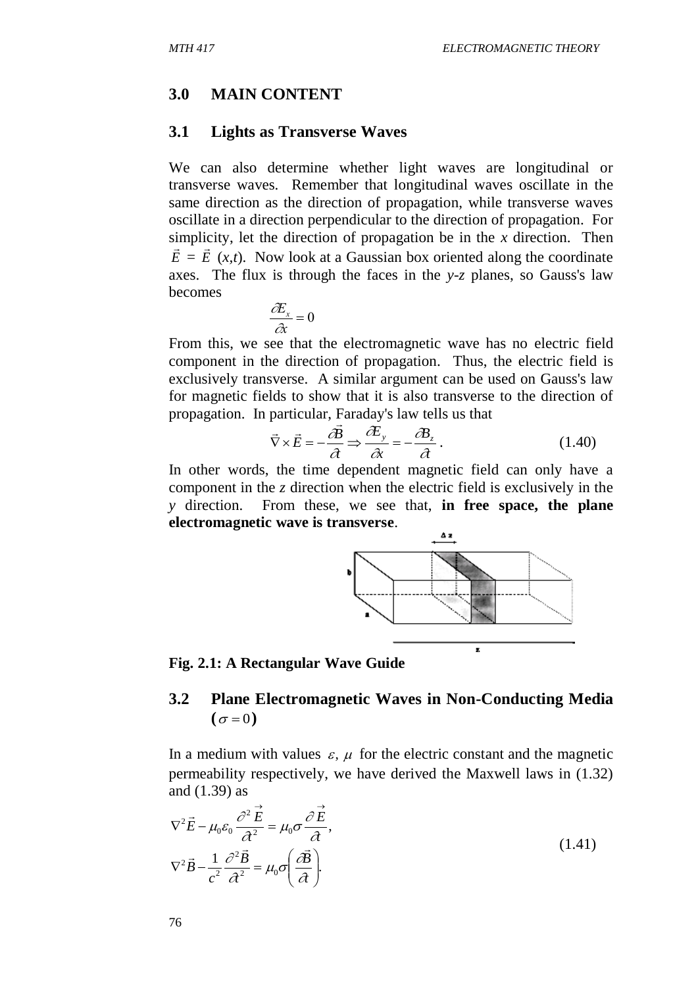#### **3.0 MAIN CONTENT**

#### **3.1 Lights as Transverse Waves**

We can also determine whether light waves are longitudinal or transverse waves. Remember that longitudinal waves oscillate in the same direction as the direction of propagation, while transverse waves oscillate in a direction perpendicular to the direction of propagation. For simplicity, let the direction of propagation be in the *x* direction. Then  $\vec{E} = \vec{E}$  (*x,t*). Now look at a Gaussian box oriented along the coordinate axes. The flux is through the faces in the *y-z* planes, so Gauss's law becomes

$$
\frac{\partial E_x}{\partial x} = 0
$$

From this, we see that the electromagnetic wave has no electric field component in the direction of propagation. Thus, the electric field is exclusively transverse. A similar argument can be used on Gauss's law for magnetic fields to show that it is also transverse to the direction of propagation. In particular, Faraday's law tells us that

$$
\vec{\nabla} \times \vec{E} = -\frac{\partial \vec{B}}{\partial t} \Rightarrow \frac{\partial E_y}{\partial x} = -\frac{\partial B_z}{\partial t}.
$$
 (1.40)

In other words, the time dependent magnetic field can only have a component in the *z* direction when the electric field is exclusively in the *y* direction. From these, we see that, **in free space, the plane electromagnetic wave is transverse**.



#### **Fig. 2.1: A Rectangular Wave Guide**

## **3.2 Plane Electromagnetic Waves in Non-Conducting Media**   $(\sigma = 0)$

In a medium with values  $\varepsilon$ ,  $\mu$  for the electric constant and the magnetic permeability respectively, we have derived the Maxwell laws in (1.32) and (1.39) as

$$
\nabla^2 \vec{E} - \mu_0 \varepsilon_0 \frac{\partial^2 \vec{E}}{\partial^2} = \mu_0 \sigma \frac{\partial \vec{E}}{\partial \lambda},
$$
  

$$
\nabla^2 \vec{B} - \frac{1}{c^2} \frac{\partial^2 \vec{B}}{\partial \lambda^2} = \mu_0 \sigma \left( \frac{\partial \vec{B}}{\partial \lambda} \right).
$$
 (1.41)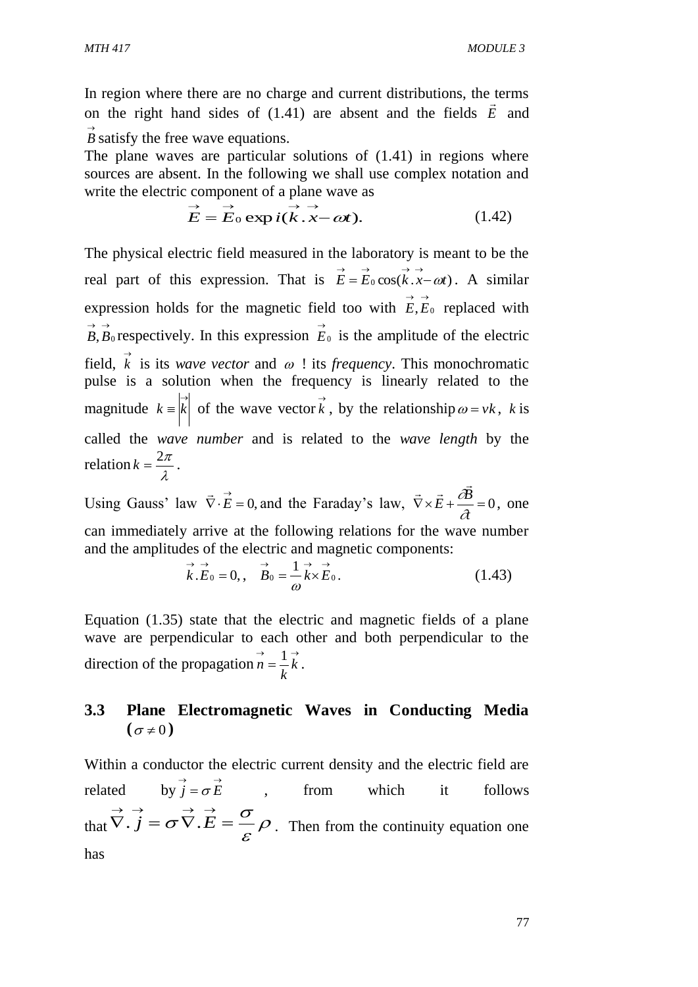In region where there are no charge and current distributions, the terms on the right hand sides of  $(1.41)$  are absent and the fields  $\vec{E}$  and  $\vec{B}$  satisfy the free wave equations.

The plane waves are particular solutions of (1.41) in regions where sources are absent. In the following we shall use complex notation and write the electric component of a plane wave as

$$
\vec{E} = \vec{E}_0 \exp i(\vec{k} \cdot \vec{x} - \omega t). \tag{1.42}
$$

The physical electric field measured in the laboratory is meant to be the real part of this expression. That is  $\vec{E} = \vec{E}_0 \cos(k \cdot \vec{x} - \omega t)$ . A similar expression holds for the magnetic field too with  $\vec{E}, \vec{E}_0$  replaced with  $\vec{B}, \vec{B}$ <sup>0</sup> respectively. In this expression  $\vec{E}_0$  $\vec{E}_0$  is the amplitude of the electric field,  $\vec{k}$  is its *wave vector* and  $\omega$ ! its *frequency*. This monochromatic pulse is a solution when the frequency is linearly related to the magnitude  $k = \begin{vmatrix} x \\ k \end{vmatrix}$  of the wave vector  $\vec{k}$ , by the relationship  $\omega = v k$ , k is called the *wave number* and is related to the *wave length* by the relation  $k = \frac{2\pi}{\lambda}$  $k = \frac{2\pi}{l}$ .

Using Gauss' law  $\vec{\nabla} \cdot \vec{E} = 0$ ,  $\rightarrow$ and the Faraday's law,  $\vec{\nabla} \times \vec{E} + \frac{\vec{\omega} \cdot \vec{E}}{2} = 0$ *t*  $\vec{E} + \frac{\partial \vec{B}}{\partial t}$  $\overline{z}$  +  $\overrightarrow{\partial B}$ , one can immediately arrive at the following relations for the wave number and the amplitudes of the electric and magnetic components:

$$
\vec{k}.\vec{E}_0 = 0, \qquad \vec{B}_0 = \frac{1}{\omega} \vec{k} \times \vec{E}_0.
$$
 (1.43)

Equation (1.35) state that the electric and magnetic fields of a plane wave are perpendicular to each other and both perpendicular to the direction of the propagation  $\overrightarrow{n} = \frac{1}{k}$ *k*  $\vec{n} = \frac{1}{k}$ .

# **3.3 Plane Electromagnetic Waves in Conducting Media**   $(\sigma \neq 0)$

Within a conductor the electric current density and the electric field are related  $\vec{j} = \sigma \vec{E}$ , from which it follows that  $V \cdot j = \sigma V \cdot E = -\rho$  $\mathcal E$  $\overrightarrow{\nabla} \cdot \overrightarrow{j} = \sigma \overrightarrow{\nabla} \cdot \overrightarrow{E} = \frac{\sigma}{\sigma} \rho$ . Then from the continuity equation one has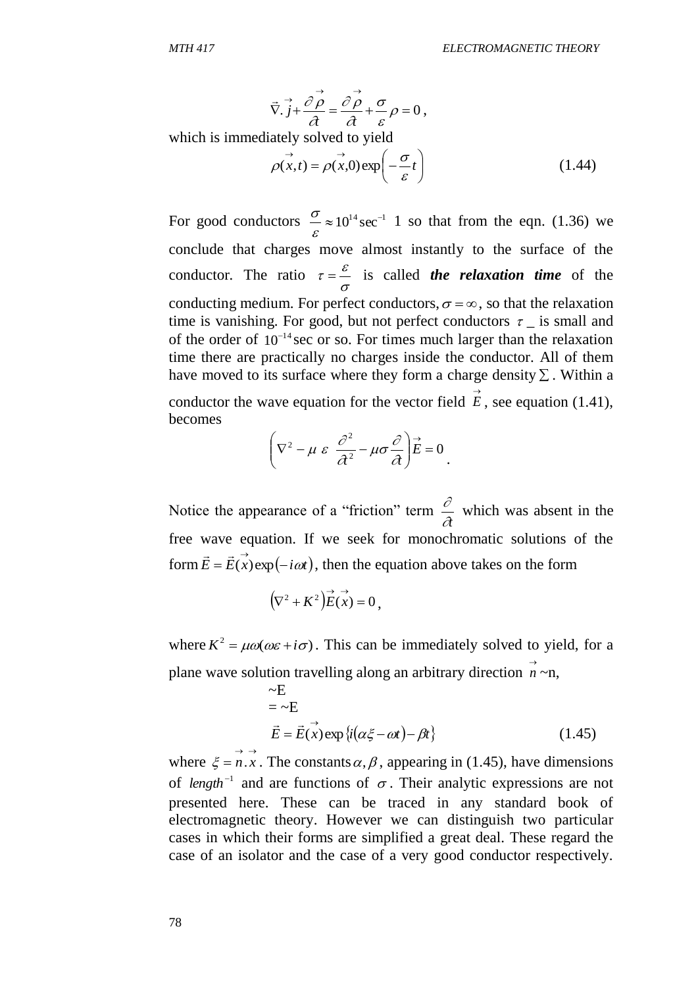$$
\vec{\nabla} \cdot \vec{j} + \frac{\partial \vec{\rho}}{\partial t} = \frac{\partial \vec{\rho}}{\partial t} + \frac{\sigma}{\varepsilon} \rho = 0,
$$
  
which is immediately solved to yield  

$$
\vec{\rho}(\vec{x}, t) = \vec{\rho}(\vec{x}, 0) \exp\left(-\frac{\sigma}{\varepsilon}t\right)
$$
(1.44)

For good conductors  $\frac{0}{\varepsilon} \approx 10^{14} \text{ sec}^{-1}$  $\frac{\sigma}{\sigma} \approx 10^{14} \text{ sec}^{-1}$  1 so that from the eqn. (1.36) we conclude that charges move almost instantly to the surface of the conductor. The ratio  $\tau = \frac{c}{\sigma}$  $\tau = \frac{\varepsilon}{\varepsilon}$  is called *the relaxation time* of the conducting medium. For perfect conductors,  $\sigma = \infty$ , so that the relaxation time is vanishing. For good, but not perfect conductors  $\tau_{-}$  is small and of the order of  $10^{-14}$  sec or so. For times much larger than the relaxation time there are practically no charges inside the conductor. All of them have moved to its surface where they form a charge density  $\Sigma$ . Within a conductor the wave equation for the vector field  $\vec{E}$ , see equation (1.41),

becomes

$$
\left(\nabla^2 - \mu \varepsilon \frac{\partial^2}{\partial t^2} - \mu \sigma \frac{\partial}{\partial t}\right) \vec{E} = 0.
$$

Notice the appearance of a "friction" term  $\partial t$  $\frac{\partial}{\partial x}$  which was absent in the free wave equation. If we seek for monochromatic solutions of the form  $\vec{E} = \vec{E}(\vec{x}) \exp(-i\omega t)$  $\frac{1}{2}$   $\frac{1}{2}$ , then the equation above takes on the form

$$
(\nabla^2 + K^2) \vec{E}(\vec{x}) = 0,
$$

where  $K^2 = \mu \omega(\omega \varepsilon + i \sigma)$ . This can be immediately solved to yield, for a plane wave solution travelling along an arbitrary direction  $\overrightarrow{n} \sim n$ ,

$$
\sim E
$$
  
=  $\sim E$   

$$
\vec{E} = \vec{E}(\vec{x}) \exp{\{i(\alpha \xi - \omega t) - \beta t\}}
$$
 (1.45)

where  $\xi = \vec{n} \cdot \vec{x}$ . The constants  $\alpha, \beta$ , appearing in (1.45), have dimensions of *length*<sup>-1</sup> and are functions of  $\sigma$ . Their analytic expressions are not presented here. These can be traced in any standard book of electromagnetic theory. However we can distinguish two particular cases in which their forms are simplified a great deal. These regard the case of an isolator and the case of a very good conductor respectively.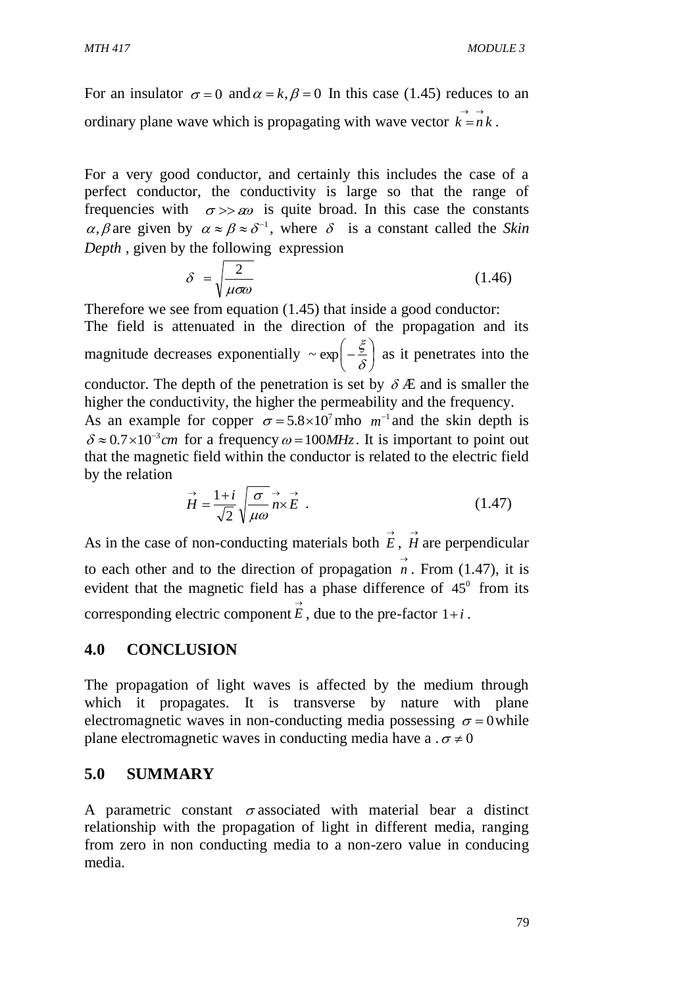For an insulator  $\sigma = 0$  and  $\alpha = k$ ,  $\beta = 0$  In this case (1.45) reduces to an ordinary plane wave which is propagating with wave vector  $\vec{k} = n\vec{k}$ .

For a very good conductor, and certainly this includes the case of a perfect conductor, the conductivity is large so that the range of frequencies with  $\sigma \gg \infty$  is quite broad. In this case the constants  $\alpha$ ,  $\beta$  are given by  $\alpha \approx \beta \approx \delta^{-1}$ , where  $\delta$  is a constant called the *Skin Depth* , given by the following expression

$$
\delta = \sqrt{\frac{2}{\mu \sigma \omega}} \tag{1.46}
$$

Therefore we see from equation (1.45) that inside a good conductor: The field is attenuated in the direction of the propagation and its magnitude decreases exponentially  $\sim \exp\left[-\frac{5}{s}\right]$ J  $\left(-\frac{\xi}{s}\right)$  $\setminus$  $\left(-\frac{\xi}{\delta}\right)$  $\sim \exp\left(-\frac{\xi}{\epsilon}\right)$  as it penetrates into the conductor. The depth of the penetration is set by  $\delta E$  and is smaller the higher the conductivity, the higher the permeability and the frequency. As an example for copper  $\sigma = 5.8 \times 10^7$  mho  $m^{-1}$  and the skin depth is  $\delta \approx 0.7 \times 10^{-3}$  cm for a frequency  $\omega = 100 MHz$ . It is important to point out that the magnetic field within the conductor is related to the electric field by the relation

$$
\vec{H} = \frac{1+i}{\sqrt{2}} \sqrt{\frac{\sigma}{\mu \omega}} \vec{n} \times \vec{E} \tag{1.47}
$$

As in the case of non-conducting materials both  $\vec{E}$ ,  $\vec{H}$  are perpendicular to each other and to the direction of propagation  $\overrightarrow{n}$ . From (1.47), it is evident that the magnetic field has a phase difference of  $45^\circ$  from its corresponding electric component  $\vec{E}$ , due to the pre-factor 1+*i*.

## **4.0 CONCLUSION**

The propagation of light waves is affected by the medium through which it propagates. It is transverse by nature with plane electromagnetic waves in non-conducting media possessing  $\sigma = 0$  while plane electromagnetic waves in conducting media have a  $\sigma \neq 0$ 

#### **5.0 SUMMARY**

A parametric constant  $\sigma$  associated with material bear a distinct relationship with the propagation of light in different media, ranging from zero in non conducting media to a non-zero value in conducing media.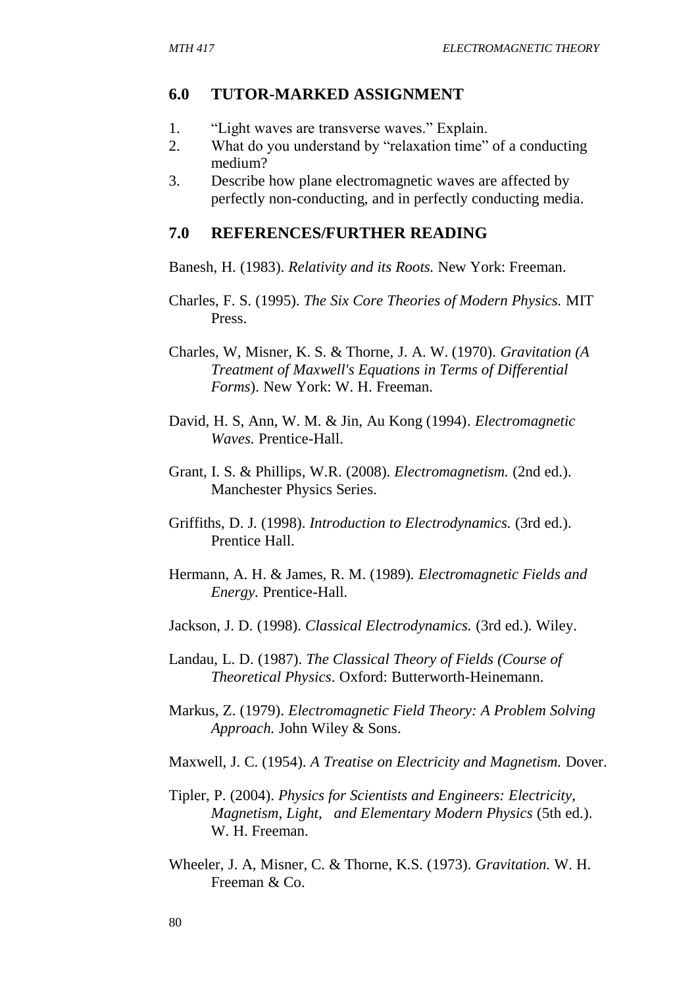### **6.0 TUTOR-MARKED ASSIGNMENT**

- 1. "Light waves are transverse waves." Explain.
- 2. What do you understand by "relaxation time" of a conducting medium?
- 3. Describe how plane electromagnetic waves are affected by perfectly non-conducting, and in perfectly conducting media.

#### **7.0 REFERENCES/FURTHER READING**

Banesh, H. (1983). *Relativity and its Roots.* New York: Freeman.

- Charles, F. S. (1995). *The Six Core Theories of Modern Physics.* MIT Press.
- Charles, W, Misner, K. S. & Thorne, J. A. W. (1970). *Gravitation (A Treatment of Maxwell's Equations in Terms of Differential Forms*). New York: W. H. Freeman.
- David, H. S, Ann, W. M. & Jin, Au Kong (1994). *Electromagnetic Waves.* Prentice-Hall.
- Grant, I. S. & Phillips, W.R. (2008). *Electromagnetism.* (2nd ed.). Manchester Physics Series.
- Griffiths, D. J. (1998). *Introduction to Electrodynamics.* (3rd ed.). Prentice Hall.
- Hermann, A. H. & James, R. M. (1989). *Electromagnetic Fields and Energy.* Prentice-Hall.
- Jackson, J. D. (1998). *Classical Electrodynamics.* (3rd ed.). Wiley.
- Landau, L. D. (1987). *The Classical Theory of Fields (Course of Theoretical Physics*. Oxford: Butterworth-Heinemann.
- Markus, Z. (1979). *Electromagnetic Field Theory: A Problem Solving Approach.* John Wiley & Sons.

Maxwell, J. C. (1954). *A Treatise on Electricity and Magnetism.* Dover.

- Tipler, P. (2004). *Physics for Scientists and Engineers: Electricity, Magnetism, Light, and Elementary Modern Physics* (5th ed.). W. H. Freeman.
- Wheeler, J. A, Misner, C. & Thorne, K.S. (1973). *Gravitation.* W. H. Freeman & Co.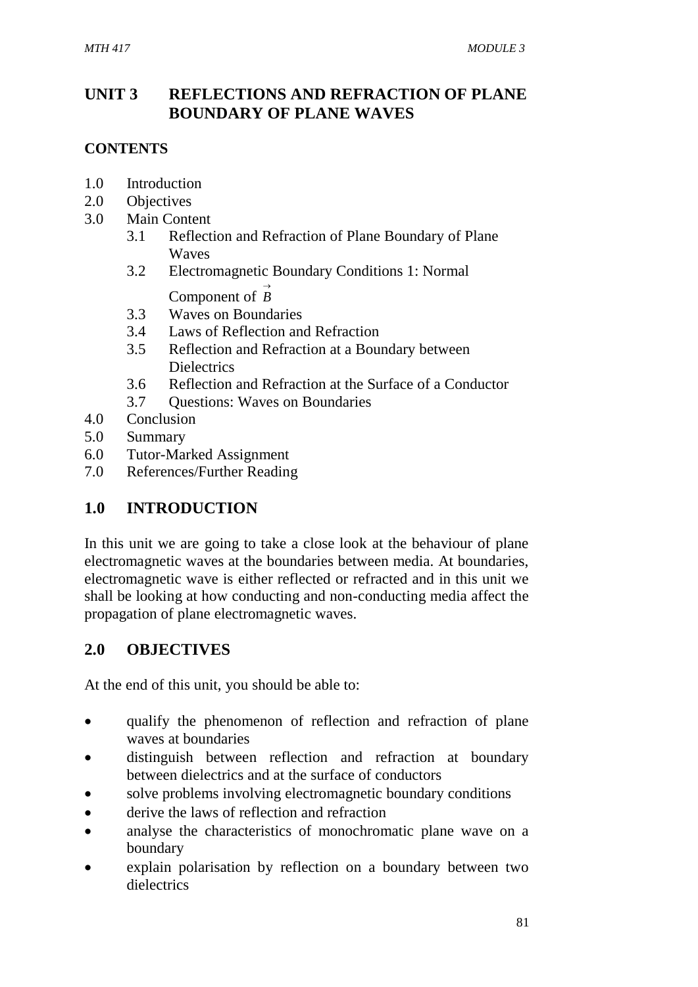# **UNIT 3 REFLECTIONS AND REFRACTION OF PLANE BOUNDARY OF PLANE WAVES**

## **CONTENTS**

- 1.0 Introduction
- 2.0 Objectives
- 3.0 Main Content
	- 3.1 Reflection and Refraction of Plane Boundary of Plane Waves
	- 3.2 Electromagnetic Boundary Conditions 1: Normal

Component of  $\overrightarrow{B}$ 

- 3.3 Waves on Boundaries
- 3.4 Laws of Reflection and Refraction
- 3.5 Reflection and Refraction at a Boundary between **Dielectrics**
- 3.6 Reflection and Refraction at the Surface of a Conductor
- 3.7 Questions: Waves on Boundaries
- 4.0 Conclusion
- 5.0 Summary
- 6.0 Tutor-Marked Assignment
- 7.0 References/Further Reading

# **1.0 INTRODUCTION**

In this unit we are going to take a close look at the behaviour of plane electromagnetic waves at the boundaries between media. At boundaries, electromagnetic wave is either reflected or refracted and in this unit we shall be looking at how conducting and non-conducting media affect the propagation of plane electromagnetic waves.

# **2.0 OBJECTIVES**

At the end of this unit, you should be able to:

- qualify the phenomenon of reflection and refraction of plane waves at boundaries
- distinguish between reflection and refraction at boundary between dielectrics and at the surface of conductors
- solve problems involving electromagnetic boundary conditions
- derive the laws of reflection and refraction
- analyse the characteristics of monochromatic plane wave on a boundary
- explain polarisation by reflection on a boundary between two dielectrics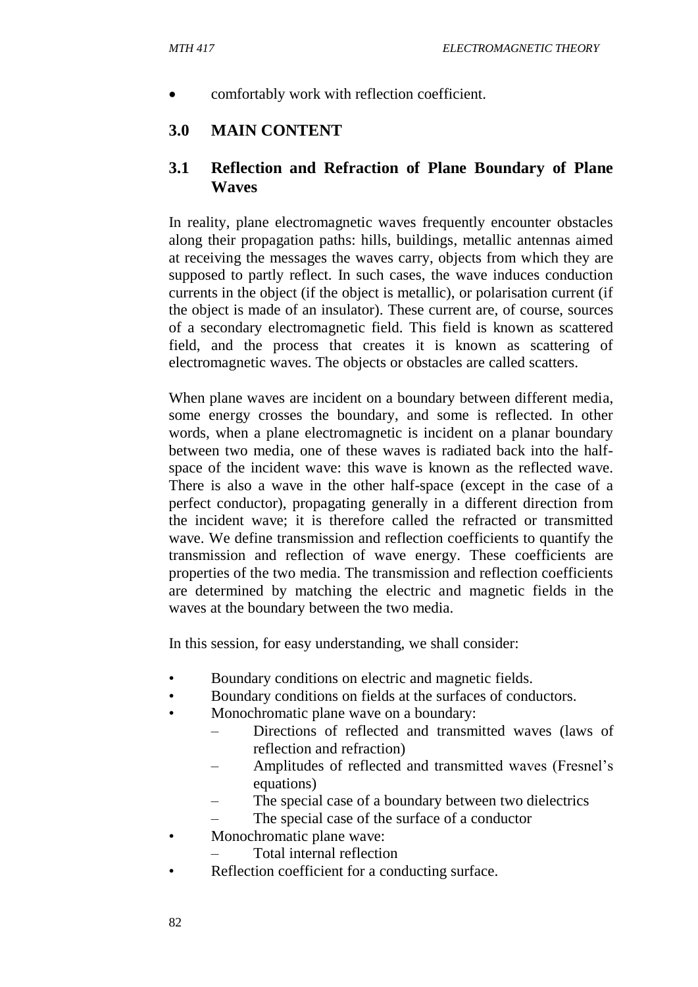comfortably work with reflection coefficient.

## **3.0 MAIN CONTENT**

## **3.1 Reflection and Refraction of Plane Boundary of Plane Waves**

In reality, plane electromagnetic waves frequently encounter obstacles along their propagation paths: hills, buildings, metallic antennas aimed at receiving the messages the waves carry, objects from which they are supposed to partly reflect. In such cases, the wave induces conduction currents in the object (if the object is metallic), or polarisation current (if the object is made of an insulator). These current are, of course, sources of a secondary electromagnetic field. This field is known as scattered field, and the process that creates it is known as scattering of electromagnetic waves. The objects or obstacles are called scatters.

When plane waves are incident on a boundary between different media, some energy crosses the boundary, and some is reflected. In other words, when a plane electromagnetic is incident on a planar boundary between two media, one of these waves is radiated back into the halfspace of the incident wave: this wave is known as the reflected wave. There is also a wave in the other half-space (except in the case of a perfect conductor), propagating generally in a different direction from the incident wave; it is therefore called the refracted or transmitted wave. We define transmission and reflection coefficients to quantify the transmission and reflection of wave energy. These coefficients are properties of the two media. The transmission and reflection coefficients are determined by matching the electric and magnetic fields in the waves at the boundary between the two media.

In this session, for easy understanding, we shall consider:

- Boundary conditions on electric and magnetic fields.
- Boundary conditions on fields at the surfaces of conductors.
- Monochromatic plane wave on a boundary:
	- Directions of reflected and transmitted waves (laws of reflection and refraction)
	- Amplitudes of reflected and transmitted waves (Fresnel's equations)
	- The special case of a boundary between two dielectrics
	- The special case of the surface of a conductor
- Monochromatic plane wave:
	- Total internal reflection
- Reflection coefficient for a conducting surface.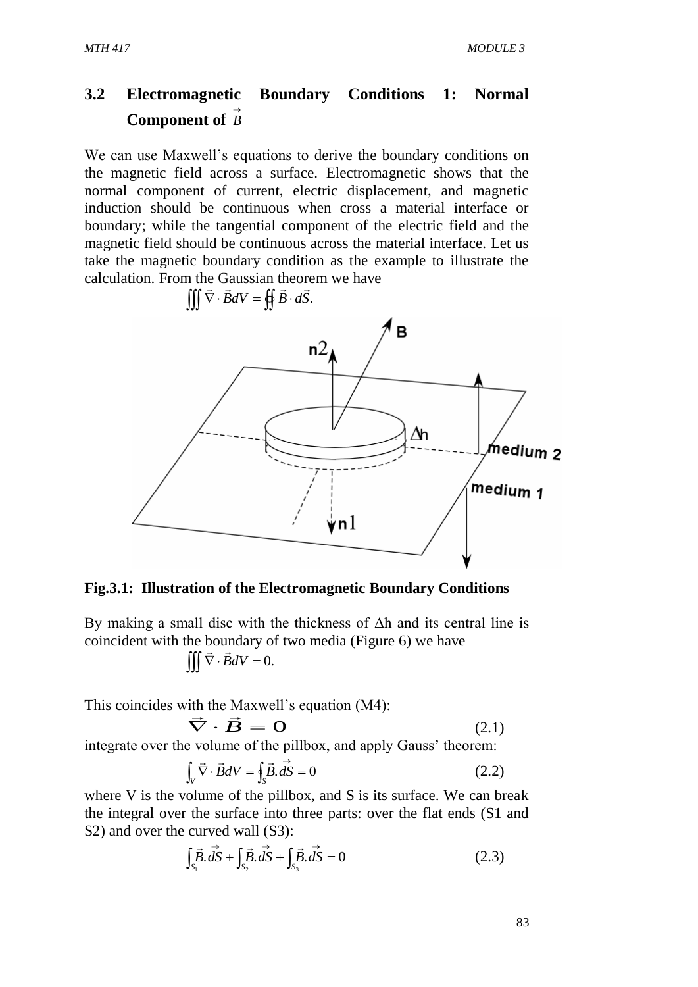# **3.2 Electromagnetic Boundary Conditions 1: Normal Component of**  *B*

We can use Maxwell's equations to derive the boundary conditions on the magnetic field across a surface. Electromagnetic shows that the normal component of current, electric displacement, and magnetic induction should be continuous when cross a material interface or boundary; while the tangential component of the electric field and the magnetic field should be continuous across the material interface. Let us take the magnetic boundary condition as the example to illustrate the calculation. From the Gaussian theorem we have



**Fig.3.1: Illustration of the Electromagnetic Boundary Conditions**

By making a small disc with the thickness of  $\Delta h$  and its central line is coincident with the boundary of two media (Figure 6) we have

$$
\iiint \vec{\nabla} \cdot \vec{B} dV = 0.
$$

This coincides with the Maxwell's equation (M4): th the M<br> $\Rightarrow$ 

$$
\vec{\nabla} \cdot \vec{B} = 0 \tag{2.1}
$$

integrate over the volume of the pillbox, and apply Gauss' theorem:

$$
\int_{V} \vec{\nabla} \cdot \vec{B}dV = \oint_{S} \vec{B} \cdot \vec{dS} = 0
$$
\n(2.2)

where V is the volume of the pillbox, and S is its surface. We can break the integral over the surface into three parts: over the flat ends (S1 and S2) and over the curved wall (S3):

$$
\int_{S_1} \vec{B} \cdot d\vec{S} + \int_{S_2} \vec{B} \cdot d\vec{S} + \int_{S_3} \vec{B} \cdot d\vec{S} = 0
$$
\n(2.3)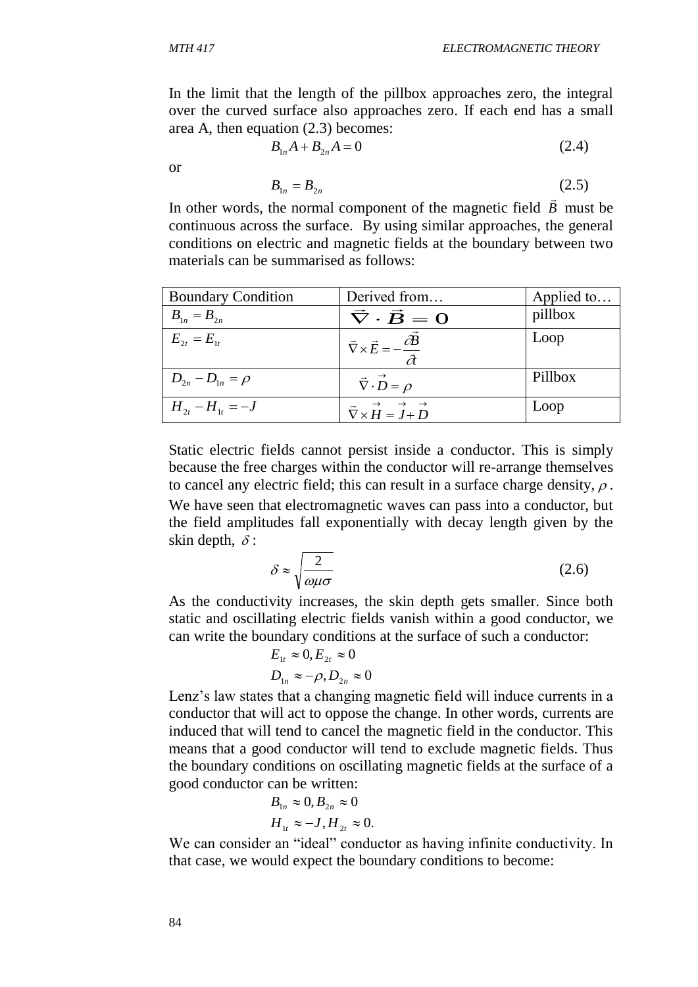$$
B_{1n}A + B_{2n}A = 0 \t\t(2.4)
$$

or

$$
B_{1n} = B_{2n} \tag{2.5}
$$

In other words, the normal component of the magnetic field *B* must be continuous across the surface. By using similar approaches, the general conditions on electric and magnetic fields at the boundary between two materials can be summarised as follows:

| <b>Boundary Condition</b> | Derived from                                               | Applied to |
|---------------------------|------------------------------------------------------------|------------|
| $B_{1n} = B_{2n}$         | $\vec{\nabla} \cdot \vec{B} = 0$                           | pillbox    |
| $E_{2t} = E_{1t}$         | $\vec{\nabla}\times\vec{E}=-\frac{\partial B}{\partial t}$ | Loop       |
| $D_{2n} - D_{1n} = \rho$  | $\vec{\nabla} \cdot \vec{D} = \rho$                        | Pillbox    |
| $H_{2t} - H_{1t} = -J$    | $\vec{\nabla}\times\vec{H}=\vec{J}+\vec{D}$                | Loop       |

Static electric fields cannot persist inside a conductor. This is simply because the free charges within the conductor will re-arrange themselves to cancel any electric field; this can result in a surface charge density,  $\rho$ . We have seen that electromagnetic waves can pass into a conductor, but the field amplitudes fall exponentially with decay length given by the skin depth,  $\delta$ :

$$
\delta \approx \sqrt{\frac{2}{\omega \mu \sigma}}\tag{2.6}
$$

As the conductivity increases, the skin depth gets smaller. Since both static and oscillating electric fields vanish within a good conductor, we can write the boundary conditions at the surface of such a conductor:

$$
E_{1t} \approx 0, E_{2t} \approx 0
$$
  

$$
D_{1n} \approx -\rho, D_{2n} \approx 0
$$

Lenz's law states that a changing magnetic field will induce currents in a conductor that will act to oppose the change. In other words, currents are induced that will tend to cancel the magnetic field in the conductor. This means that a good conductor will tend to exclude magnetic fields. Thus the boundary conditions on oscillating magnetic fields at the surface of a good conductor can be written:

$$
B_{1n} \approx 0, B_{2n} \approx 0
$$
  

$$
H_{1t} \approx -J, H_{2t} \approx 0.
$$

We can consider an "ideal" conductor as having infinite conductivity. In that case, we would expect the boundary conditions to become: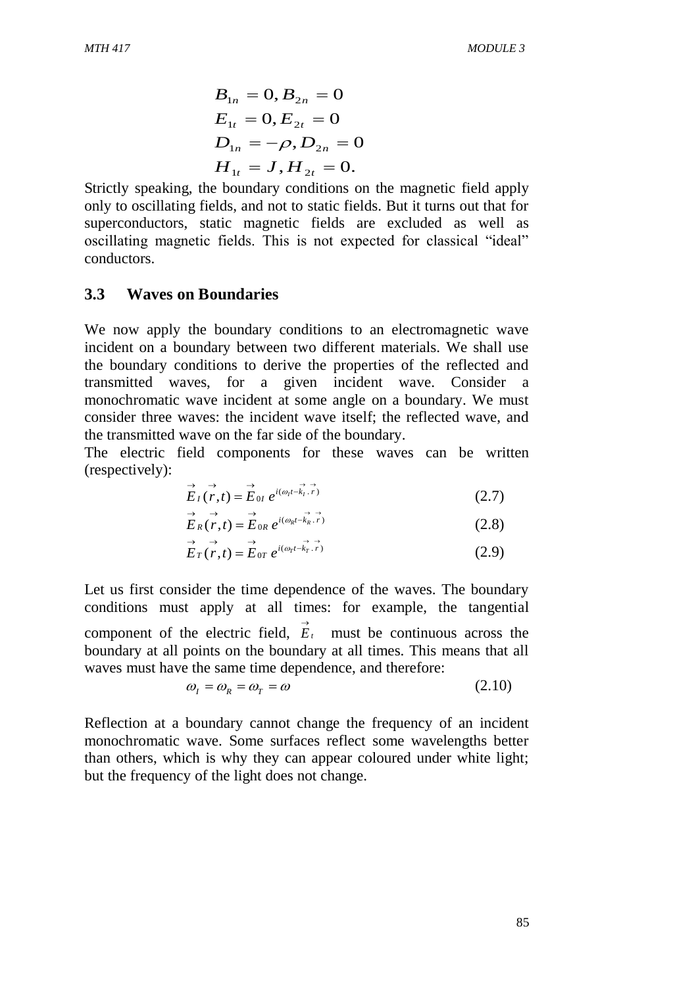$$
B_{1n} = 0, B_{2n} = 0
$$
  
\n
$$
E_{1t} = 0, E_{2t} = 0
$$
  
\n
$$
D_{1n} = -\rho, D_{2n} = 0
$$
  
\n
$$
H_{1t} = J, H_{2t} = 0.
$$

Strictly speaking, the boundary conditions on the magnetic field apply only to oscillating fields, and not to static fields. But it turns out that for superconductors, static magnetic fields are excluded as well as oscillating magnetic fields. This is not expected for classical "ideal" conductors.

#### **3.3 Waves on Boundaries**

We now apply the boundary conditions to an electromagnetic wave incident on a boundary between two different materials. We shall use the boundary conditions to derive the properties of the reflected and transmitted waves, for a given incident wave. Consider a monochromatic wave incident at some angle on a boundary. We must consider three waves: the incident wave itself; the reflected wave, and the transmitted wave on the far side of the boundary.

The electric field components for these waves can be written (respectively):

$$
\stackrel{\rightarrow}{E}_I(\stackrel{\rightarrow}{r},t) = \stackrel{\rightarrow}{E}_{0I} e^{i(\omega_I t - k_I \cdot \stackrel{\rightarrow}{r})}
$$
 (2.7)

$$
\stackrel{\rightarrow}{E}_R(\stackrel{\rightarrow}{r},t) = \stackrel{\rightarrow}{E}_{0R} e^{i(\omega_R t - \stackrel{\rightarrow}{k}_R \cdot \stackrel{\rightarrow}{r})}
$$
(2.8)

$$
\overrightarrow{E}_T(\overrightarrow{r},t) = \overrightarrow{E}_{0T} e^{i(\omega_T t - \overrightarrow{k}_T.\overrightarrow{r})}
$$
\n(2.9)

Let us first consider the time dependence of the waves. The boundary conditions must apply at all times: for example, the tangential component of the electric field,  $\vec{E}_t$  must be continuous across the boundary at all points on the boundary at all times. This means that all waves must have the same time dependence, and therefore:

$$
\omega_{I} = \omega_{R} = \omega_{T} = \omega \tag{2.10}
$$

Reflection at a boundary cannot change the frequency of an incident monochromatic wave. Some surfaces reflect some wavelengths better than others, which is why they can appear coloured under white light; but the frequency of the light does not change.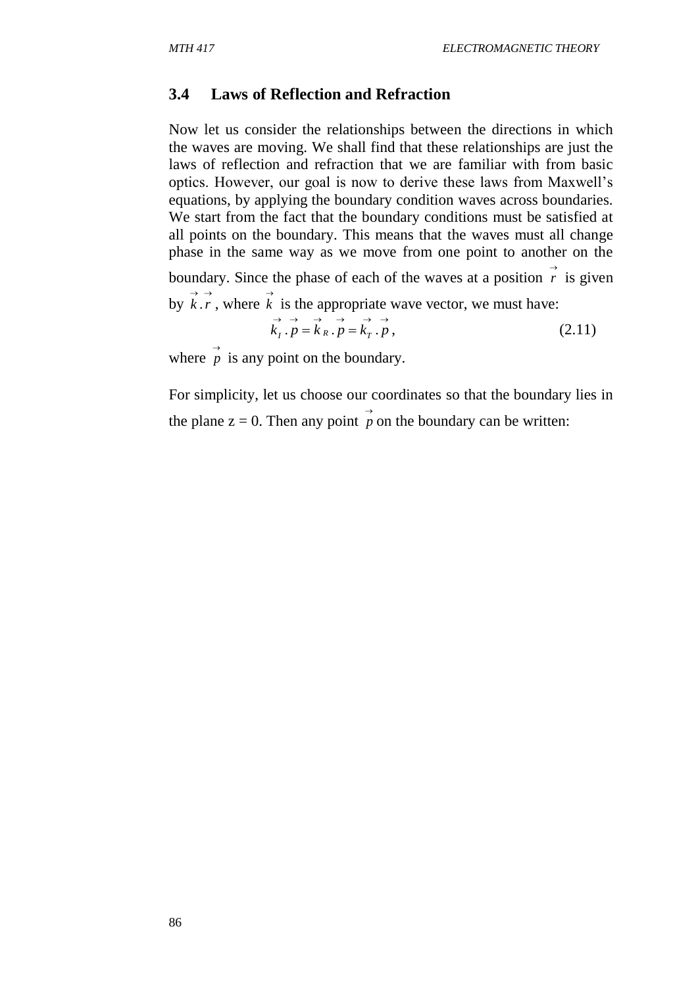#### **3.4 Laws of Reflection and Refraction**

Now let us consider the relationships between the directions in which the waves are moving. We shall find that these relationships are just the laws of reflection and refraction that we are familiar with from basic optics. However, our goal is now to derive these laws from Maxwell's equations, by applying the boundary condition waves across boundaries. We start from the fact that the boundary conditions must be satisfied at all points on the boundary. This means that the waves must all change phase in the same way as we move from one point to another on the boundary. Since the phase of each of the waves at a position  $\overrightarrow{r}$  is given by  $\vec{k} \cdot \vec{r}$ , where  $\vec{k}$  is the appropriate wave vector, we must have:  $\overrightarrow{k}_I \cdot \overrightarrow{p} = \overrightarrow{k}_R \cdot \overrightarrow{p} = \overrightarrow{k}_T \cdot \overrightarrow{p}$  $(2.11)$ 

where  $\overrightarrow{p}$  is any point on the boundary.

For simplicity, let us choose our coordinates so that the boundary lies in the plane  $z = 0$ . Then any point  $\overrightarrow{p}$  on the boundary can be written: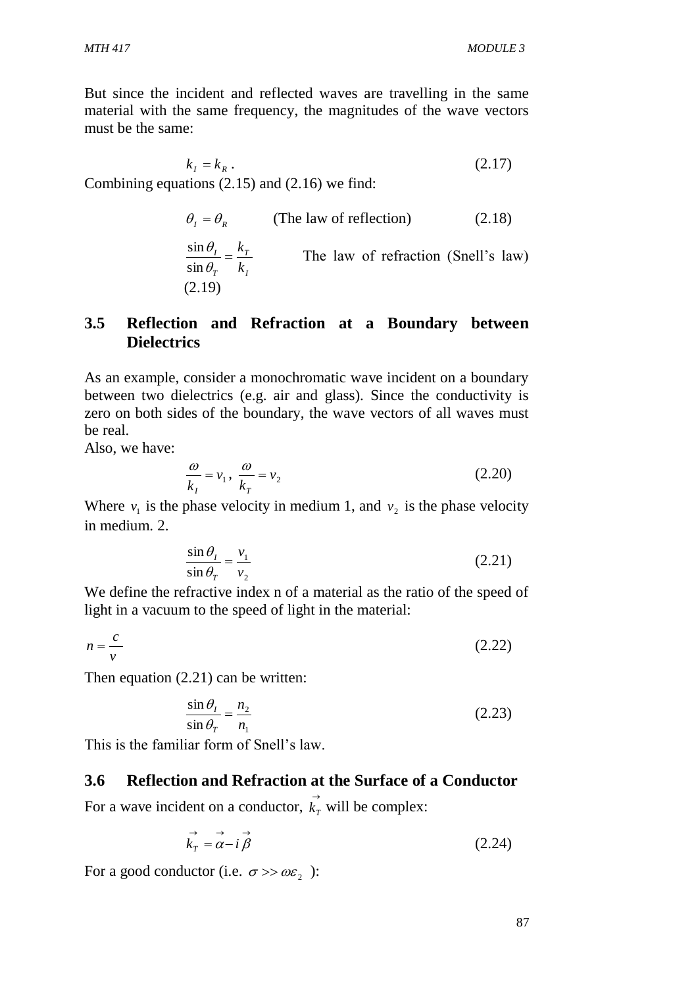But since the incident and reflected waves are travelling in the same material with the same frequency, the magnitudes of the wave vectors must be the same:

 $k_{I} = k_{R}$  (2.17)

Combining equations (2.15) and (2.16) we find:

$$
\theta_{I} = \theta_{R}
$$
 (The law of reflection) (2.18)

*I T T I k*  $\frac{\theta_I}{\theta_r} = \frac{k}{k}$  $\theta$ sin sin The law of refraction (Snell's law) (2.19)

## **3.5 Reflection and Refraction at a Boundary between Dielectrics**

As an example, consider a monochromatic wave incident on a boundary between two dielectrics (e.g. air and glass). Since the conductivity is zero on both sides of the boundary, the wave vectors of all waves must be real.

Also, we have:

$$
\frac{\omega}{k_1} = v_1, \quad \frac{\omega}{k_T} = v_2 \tag{2.20}
$$

Where  $v_1$  is the phase velocity in medium 1, and  $v_2$  is the phase velocity in medium. 2.

$$
\frac{\sin \theta_1}{\sin \theta_1} = \frac{v_1}{v_2} \tag{2.21}
$$

We define the refractive index n of a material as the ratio of the speed of light in a vacuum to the speed of light in the material:

$$
n = \frac{c}{v} \tag{2.22}
$$

Then equation (2.21) can be written:

$$
\frac{\sin \theta_1}{\sin \theta_1} = \frac{n_2}{n_1}
$$
\n(2.23)

This is the familiar form of Snell's law.

## **3.6 Reflection and Refraction at the Surface of a Conductor**

For a wave incident on a conductor,  $\overrightarrow{k_n}$  $k<sub>T</sub>$  will be complex:

$$
\vec{k}_T = \vec{\alpha} - i\vec{\beta} \tag{2.24}
$$

For a good conductor (i.e.  $\sigma \gg \omega \varepsilon_2$ ):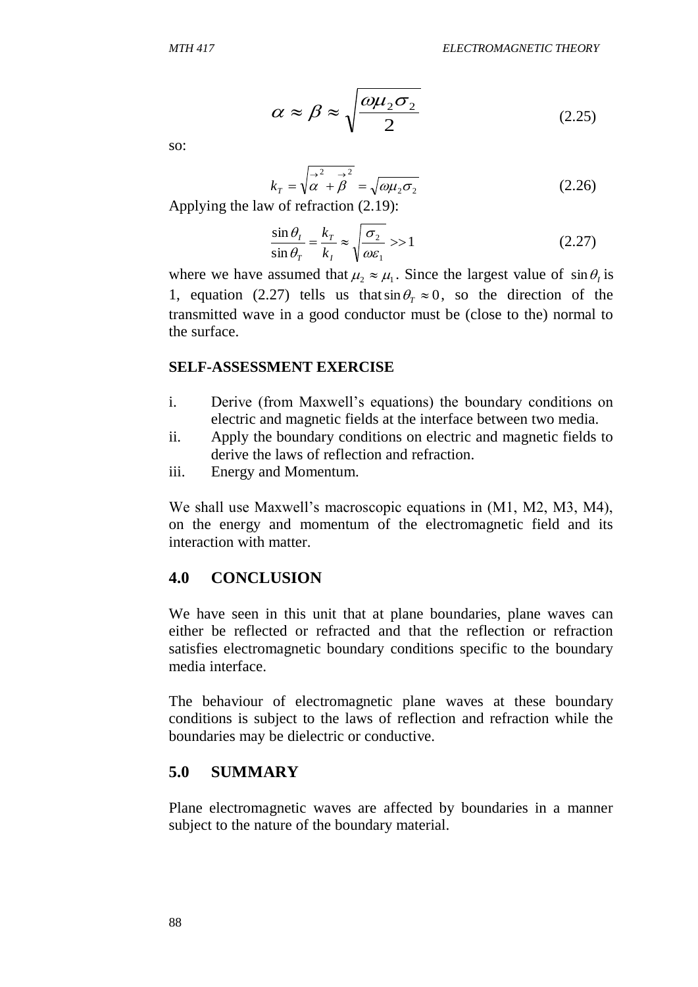$$
\alpha \approx \beta \approx \sqrt{\frac{\omega \mu_2 \sigma_2}{2}} \tag{2.25}
$$

so:

$$
k_T = \sqrt{\vec{\alpha}^2 + \vec{\beta}^2} = \sqrt{\omega \mu_2 \sigma_2}
$$
 (2.26)

Applying the law of refraction (2.19):

$$
\frac{\sin \theta_I}{\sin \theta_T} = \frac{k_T}{k_I} \approx \sqrt{\frac{\sigma_2}{\omega \varepsilon_1}} >> 1
$$
\n(2.27)

where we have assumed that  $\mu_2 \approx \mu_1$ . Since the largest value of  $\sin \theta_i$  is 1, equation (2.27) tells us that  $\sin \theta$ <sub>*T*</sub>  $\approx$  0, so the direction of the transmitted wave in a good conductor must be (close to the) normal to the surface.

#### **SELF-ASSESSMENT EXERCISE**

- i. Derive (from Maxwell's equations) the boundary conditions on electric and magnetic fields at the interface between two media.
- ii. Apply the boundary conditions on electric and magnetic fields to derive the laws of reflection and refraction.
- iii. Energy and Momentum.

We shall use Maxwell's macroscopic equations in (M1, M2, M3, M4), on the energy and momentum of the electromagnetic field and its interaction with matter.

#### **4.0 CONCLUSION**

We have seen in this unit that at plane boundaries, plane waves can either be reflected or refracted and that the reflection or refraction satisfies electromagnetic boundary conditions specific to the boundary media interface.

The behaviour of electromagnetic plane waves at these boundary conditions is subject to the laws of reflection and refraction while the boundaries may be dielectric or conductive.

#### **5.0 SUMMARY**

Plane electromagnetic waves are affected by boundaries in a manner subject to the nature of the boundary material.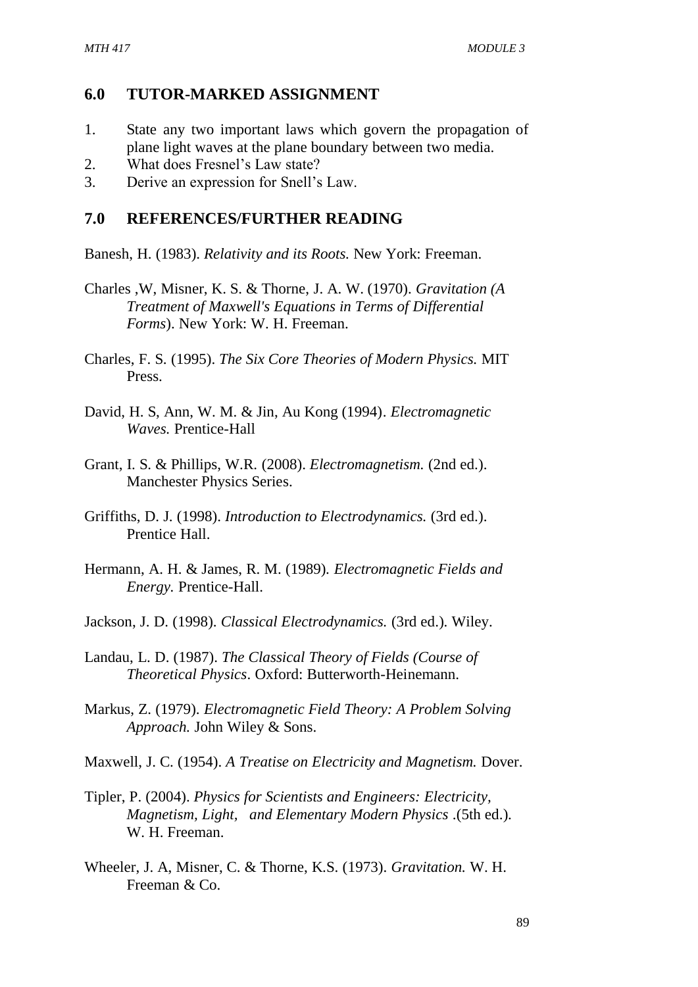## **6.0 TUTOR-MARKED ASSIGNMENT**

- 1. State any two important laws which govern the propagation of plane light waves at the plane boundary between two media.
- 2. What does Fresnel's Law state?
- 3. Derive an expression for Snell's Law.

#### **7.0 REFERENCES/FURTHER READING**

Banesh, H. (1983). *Relativity and its Roots.* New York: Freeman.

- Charles ,W, Misner, K. S. & Thorne, J. A. W. (1970). *Gravitation (A Treatment of Maxwell's Equations in Terms of Differential Forms*). New York: W. H. Freeman.
- Charles, F. S. (1995). *The Six Core Theories of Modern Physics.* MIT Press.
- David, H. S, Ann, W. M. & Jin, Au Kong (1994). *Electromagnetic Waves.* Prentice-Hall
- Grant, I. S. & Phillips, W.R. (2008). *Electromagnetism.* (2nd ed.). Manchester Physics Series.
- Griffiths, D. J. (1998). *Introduction to Electrodynamics.* (3rd ed.). Prentice Hall.
- Hermann, A. H. & James, R. M. (1989). *Electromagnetic Fields and Energy.* Prentice-Hall.
- Jackson, J. D. (1998). *Classical Electrodynamics.* (3rd ed.). Wiley.
- Landau, L. D. (1987). *The Classical Theory of Fields (Course of Theoretical Physics*. Oxford: Butterworth-Heinemann.
- Markus, Z. (1979). *Electromagnetic Field Theory: A Problem Solving Approach.* John Wiley & Sons.
- Maxwell, J. C. (1954). *A Treatise on Electricity and Magnetism.* Dover.
- Tipler, P. (2004). *Physics for Scientists and Engineers: Electricity, Magnetism, Light, and Elementary Modern Physics* .(5th ed.). W. H. Freeman.
- Wheeler, J. A, Misner, C. & Thorne, K.S. (1973). *Gravitation.* W. H. Freeman & Co.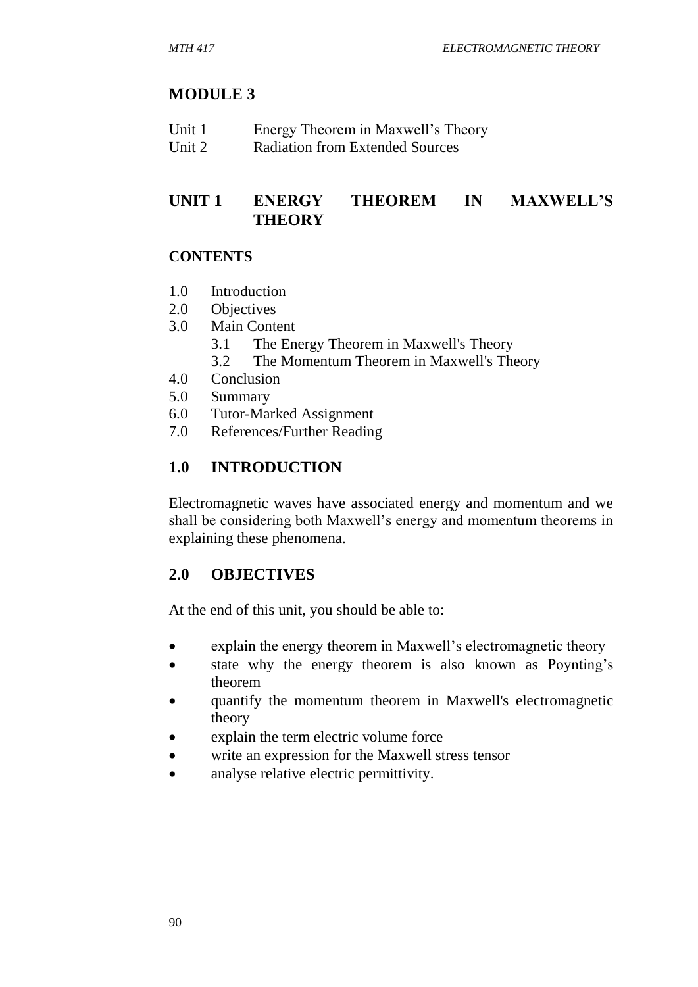# **MODULE 3**

| Unit 1 | Energy Theorem in Maxwell's Theory     |
|--------|----------------------------------------|
| Unit 2 | <b>Radiation from Extended Sources</b> |

## **UNIT 1 ENERGY THEOREM IN MAXWELL'S THEORY**

## **CONTENTS**

- 1.0 Introduction
- 2.0 Objectives
- 3.0 Main Content
	- 3.1 The Energy Theorem in Maxwell's Theory
	- 3.2 The Momentum Theorem in Maxwell's Theory
- 4.0 Conclusion
- 5.0 Summary
- 6.0 Tutor-Marked Assignment
- 7.0 References/Further Reading

# **1.0 INTRODUCTION**

Electromagnetic waves have associated energy and momentum and we shall be considering both Maxwell's energy and momentum theorems in explaining these phenomena.

# **2.0 OBJECTIVES**

At the end of this unit, you should be able to:

- explain the energy theorem in Maxwell's electromagnetic theory
- state why the energy theorem is also known as Poynting's theorem
- quantify the momentum theorem in Maxwell's electromagnetic theory
- explain the term electric volume force
- write an expression for the Maxwell stress tensor
- analyse relative electric permittivity.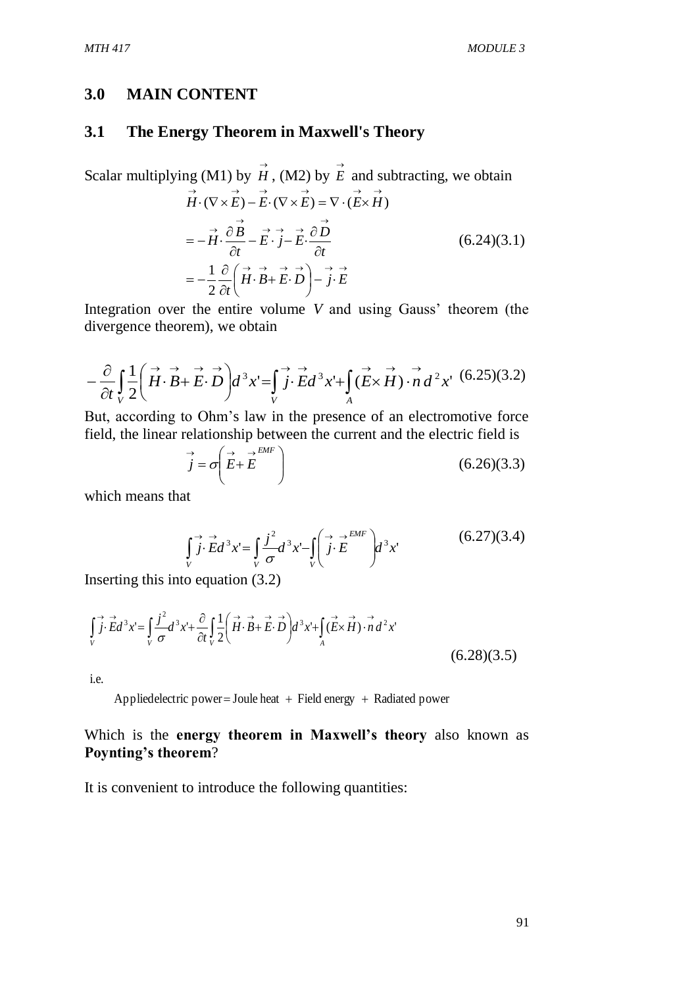#### **3.0 MAIN CONTENT**

#### **3.1 The Energy Theorem in Maxwell's Theory**

Scalar multiplying (M1) by  $\overrightarrow{H}$ , (M2) by  $\overrightarrow{E}$  and subtracting, we obtain  $\vec{H} \cdot \vec{B} + \vec{E} \cdot \vec{D}$  -  $\vec{j} \cdot \vec{E}$  $\rightarrow$   $\stackrel{\rightarrow}{\partial} \stackrel{\rightarrow}{R}$   $\rightarrow$   $\rightarrow$   $\stackrel{\rightarrow}{\partial} \stackrel{\rightarrow}{D}$  $\overrightarrow{H} \cdot (\nabla \times \overrightarrow{E}) - \overrightarrow{E} \cdot (\nabla \times \overrightarrow{E}) = \nabla \cdot (\overrightarrow{E} \times \overrightarrow{H})$ J  $\left(\stackrel{\rightarrow}{H}\cdot\stackrel{\rightarrow}{B}+\stackrel{\rightarrow}{E}\cdot\stackrel{\rightarrow}{D}\right)$  $\setminus$  $\left(\stackrel{\rightarrow}{H}\cdot\stackrel{\rightarrow}{B}+\stackrel{\rightarrow}{E}\cdot$  $\partial$  $=-\frac{1}{2}\frac{\partial}{\partial}\left(\vec{H}\cdot\vec{B}+\vec{E}\cdot\vec{D}\right)-\vec{j}\cdot\vec{E}$  $\widehat{o}$  $-\vec{E}\cdot\vec{j}-\vec{E}\cdot\frac{\partial}{\partial z}$  $\widehat{o}$  $=-\vec{H}\cdot\vec{c}$ 2  $\partial t$ *t*  $\vec{E} \cdot \vec{j} - \vec{E} \cdot \frac{\partial D}{\partial \vec{k}}$ *t*  $\overrightarrow{H} \cdot \frac{\partial B}{\partial A}$ 1  $(6.24)(3.1)$ 

Integration over the entire volume *V* and using Gauss' theorem (the divergence theorem), we obtain

$$
-\frac{\partial}{\partial t}\int\limits_{V}\frac{1}{2}\left(\overrightarrow{H}\cdot\overrightarrow{B}+\overrightarrow{E}\cdot\overrightarrow{D}\right)d^{3}x'=\int\limits_{V}\overrightarrow{j}\cdot\overrightarrow{E}d^{3}x'+\int\limits_{A}\left(\overrightarrow{E}\times\overrightarrow{H}\right)\cdot\overrightarrow{n}d^{2}x'\,\,(6.25)(3.2)
$$

But, according to Ohm's law in the presence of an electromotive force field, the linear relationship between the current and the electric field is

$$
\vec{j} = \sigma \left( \vec{E} + \vec{E} \right) \tag{6.26} \tag{6.26} \tag{6.33}
$$

which means that

 $\vec{j} \cdot \vec{E} d^3 x = \int \frac{\vec{j}^2}{2} d^3 x - \int \left( \vec{j} \cdot \vec{E} \right) d^3 x$ *V EMF*  $\int\limits_V j \cdot E d^3 x = \int\limits_V \frac{J}{\sigma} d^3 x - \int\limits_V \left( j \cdot E \right)$ J  $\setminus$  $\overline{\phantom{a}}$  $\overline{\mathcal{L}}$ ſ  $\vec{j} \cdot \vec{E} d^3 x = \left[ \frac{j^2}{2} d^3 x - \int \right] \vec{j} \cdot \vec{E}$  $\sigma$  $(6.27)(3.4)$ 

Inserting this into equation (3.2)

$$
\int_{V} \vec{j} \cdot \vec{E} d^{3}x = \int_{V} \frac{j^{2}}{\sigma} d^{3}x' + \frac{\partial}{\partial t} \int_{V} \frac{1}{2} \left( \vec{H} \cdot \vec{B} + \vec{E} \cdot \vec{D} \right) d^{3}x' + \int_{A} (\vec{E} \times \vec{H}) \cdot \vec{n} d^{2}x'
$$
\n(6.28)(3.5)

i.e.

Appliedelectric power = Joule heat  $+$  Field energy  $+$  Radiated power

#### Which is the **energy theorem in Maxwell's theory** also known as **Poynting's theorem**?

It is convenient to introduce the following quantities: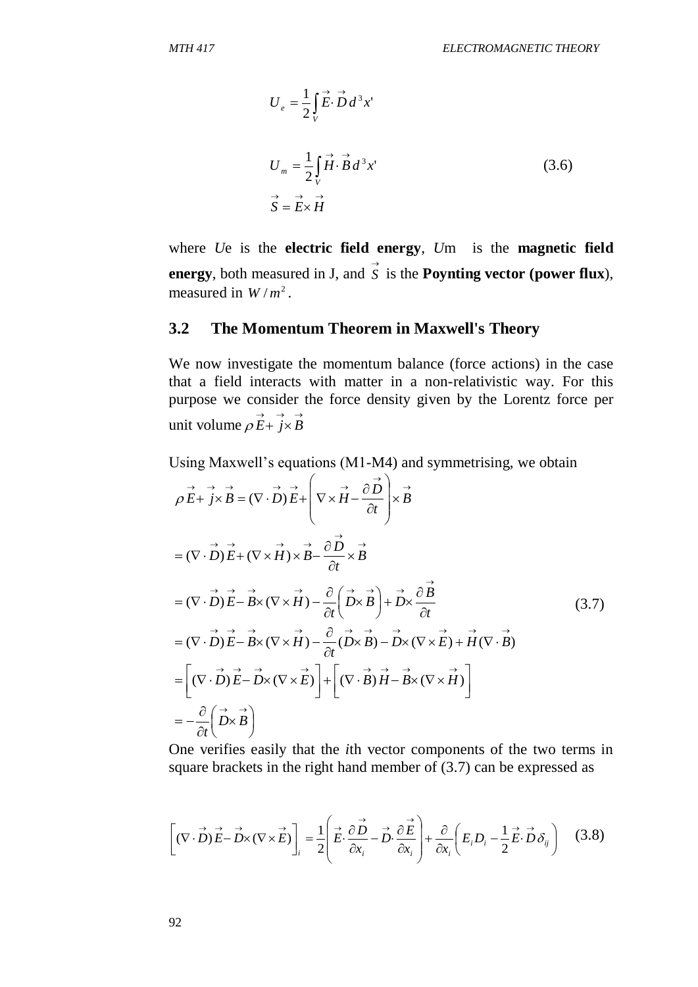$$
U_e = \frac{1}{2} \int_V \vec{E} \cdot \vec{D} d^3 x'
$$
  
\n
$$
U_m = \frac{1}{2} \int_V \vec{H} \cdot \vec{B} d^3 x'
$$
  
\n
$$
\vec{S} = \vec{E} \times \vec{H}
$$
\n(3.6)

where *U*e is the **electric field energy**, *U*m is the **magnetic field energy**, both measured in J, and  $\overrightarrow{S}$  is the **Poynting vector (power flux**), measured in  $W/m^2$ .

## **3.2 The Momentum Theorem in Maxwell's Theory**

We now investigate the momentum balance (force actions) in the case that a field interacts with matter in a non-relativistic way. For this purpose we consider the force density given by the Lorentz force per unit volume  $\rho \vec{E} + \vec{j} \times \vec{B}$ 

Using Maxwell's equations (M1-M4) and symmetrising, we obtain

$$
\rho \vec{E} + j \times \vec{B} = (\nabla \cdot \vec{D}) \vec{E} + \left( \nabla \times \vec{H} - \frac{\partial \vec{D}}{\partial t} \right) \times \vec{B}
$$
\n
$$
= (\nabla \cdot \vec{D}) \vec{E} + (\nabla \times \vec{H}) \times \vec{B} - \frac{\partial \vec{D}}{\partial t} \times \vec{B}
$$
\n
$$
= (\nabla \cdot \vec{D}) \vec{E} - \vec{B} \times (\nabla \times \vec{H}) - \frac{\partial}{\partial t} (\vec{D} \times \vec{B}) + \vec{D} \times \frac{\partial \vec{B}}{\partial t}
$$
\n
$$
= (\nabla \cdot \vec{D}) \vec{E} - \vec{B} \times (\nabla \times \vec{H}) - \frac{\partial}{\partial t} (\vec{D} \times \vec{B}) - \vec{D} \times (\nabla \times \vec{E}) + \vec{H} (\nabla \cdot \vec{B})
$$
\n
$$
= \left[ (\nabla \cdot \vec{D}) \vec{E} - \vec{D} \times (\nabla \times \vec{E}) \right] + \left[ (\nabla \cdot \vec{B}) \vec{H} - \vec{B} \times (\nabla \times \vec{H}) \right]
$$
\n
$$
= -\frac{\partial}{\partial t} (\vec{D} \times \vec{B})
$$
\n(3.7)

One verifies easily that the *i*th vector components of the two terms in square brackets in the right hand member of (3.7) can be expressed as

$$
\left[ (\nabla \cdot \vec{D}) \vec{E} - \vec{D} \times (\nabla \times \vec{E}) \right]_i = \frac{1}{2} \left( \vec{E} \cdot \frac{\partial \vec{D}}{\partial x_i} - \vec{D} \cdot \frac{\partial \vec{E}}{\partial x_i} \right) + \frac{\partial}{\partial x_i} \left( E_i D_i - \frac{1}{2} \vec{E} \cdot \vec{D} \delta_{ij} \right) \quad (3.8)
$$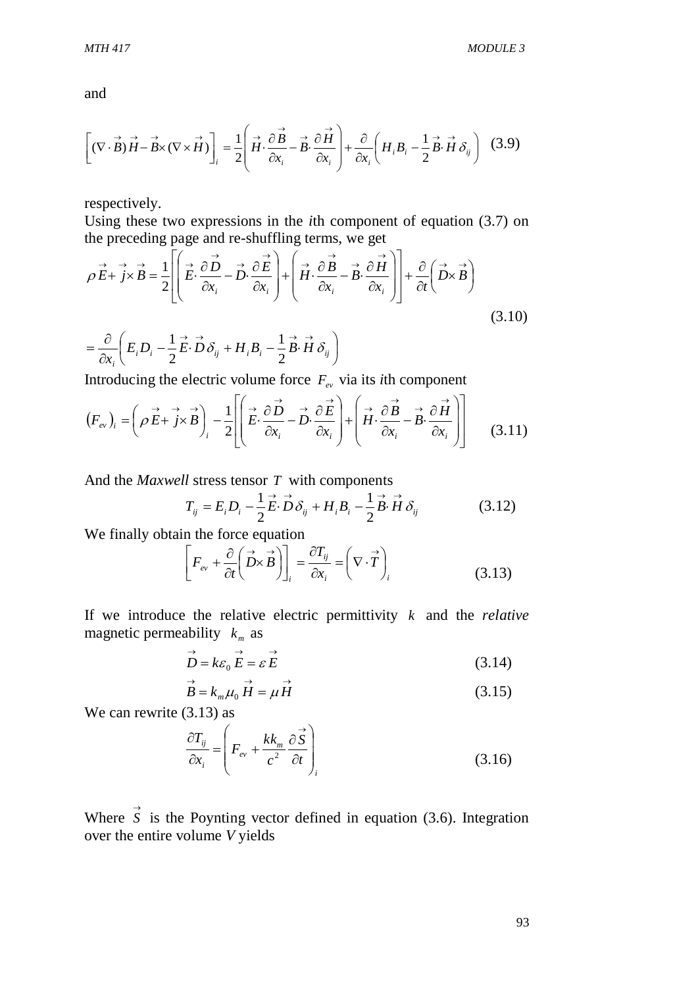and

$$
\left[ (\nabla \cdot \vec{B}) \vec{H} - \vec{B} \times (\nabla \times \vec{H}) \right]_i = \frac{1}{2} \left( \vec{H} \cdot \frac{\partial \vec{B}}{\partial x_i} - \vec{B} \cdot \frac{\partial \vec{H}}{\partial x_i} \right) + \frac{\partial}{\partial x_i} \left( H_i B_i - \frac{1}{2} \vec{B} \cdot \vec{H} \delta_{ij} \right)
$$
(3.9)

respectively.

Using these two expressions in the *i*th component of equation (3.7) on the preceding page and re-shuffling terms, we get

$$
\vec{\rho} \vec{E} + \vec{j} \times \vec{B} = \frac{1}{2} \left[ \left( \vec{E} \cdot \frac{\partial \vec{D}}{\partial x_i} - \vec{D} \cdot \frac{\partial \vec{E}}{\partial x_i} \right) + \left( \vec{H} \cdot \frac{\partial \vec{B}}{\partial x_i} - \vec{B} \cdot \frac{\partial \vec{H}}{\partial x_i} \right) \right] + \frac{\partial}{\partial t} \left( \vec{D} \times \vec{B} \right)
$$
  
=  $\frac{\partial}{\partial x_i} \left( E_i D_i - \frac{1}{2} \vec{E} \cdot \vec{D} \delta_{ij} + H_i B_i - \frac{1}{2} \vec{B} \cdot \vec{H} \delta_{ij} \right)$  (3.10)

 $\overline{\phantom{a}}$ J  $\setminus$  $\partial$ *i x* 2 2

Introducing the electric volume force  $F_{ev}$  via its *i*th component

$$
(F_{ev})_i = \left(\rho \vec{E} + \vec{j} \times \vec{B}\right)_i - \frac{1}{2} \left[ \left(\vec{E} \cdot \frac{\partial \vec{D}}{\partial x_i} - \vec{D} \cdot \frac{\partial \vec{E}}{\partial x_i}\right) + \left(\vec{H} \cdot \frac{\partial \vec{B}}{\partial x_i} - \vec{B} \cdot \frac{\partial \vec{H}}{\partial x_i}\right) \right]
$$
(3.11)

And the *Maxwell* stress tensor *T* with components

$$
T_{ij} = E_i D_i - \frac{1}{2} \vec{E} \cdot \vec{D} \delta_{ij} + H_i B_i - \frac{1}{2} \vec{B} \cdot \vec{H} \delta_{ij}
$$
 (3.12)

We finally obtain the force equation

$$
\left[F_{ev} + \frac{\partial}{\partial t} \left(\vec{D} \times \vec{B}\right)\right]_i = \frac{\partial T_{ij}}{\partial x_i} = \left(\nabla \cdot \vec{T}\right)_i
$$
\n(3.13)

If we introduce the relative electric permittivity *k* and the *relative*  magnetic permeability  $k_m$  as

$$
\overrightarrow{D} = k\varepsilon_0 \overrightarrow{E} = \varepsilon \overrightarrow{E}
$$
 (3.14)

$$
\vec{B} = k_m \mu_0 \vec{H} = \mu \vec{H}
$$
 (3.15)

We can rewrite  $(3.13)$  as

$$
\frac{\partial T_{ij}}{\partial x_i} = \left( F_{ev} + \frac{kk_m}{c^2} \frac{\partial \vec{S}}{\partial t} \right)_i
$$
\n(3.16)

Where  $\vec{s}$  is the Poynting vector defined in equation (3.6). Integration over the entire volume *V* yields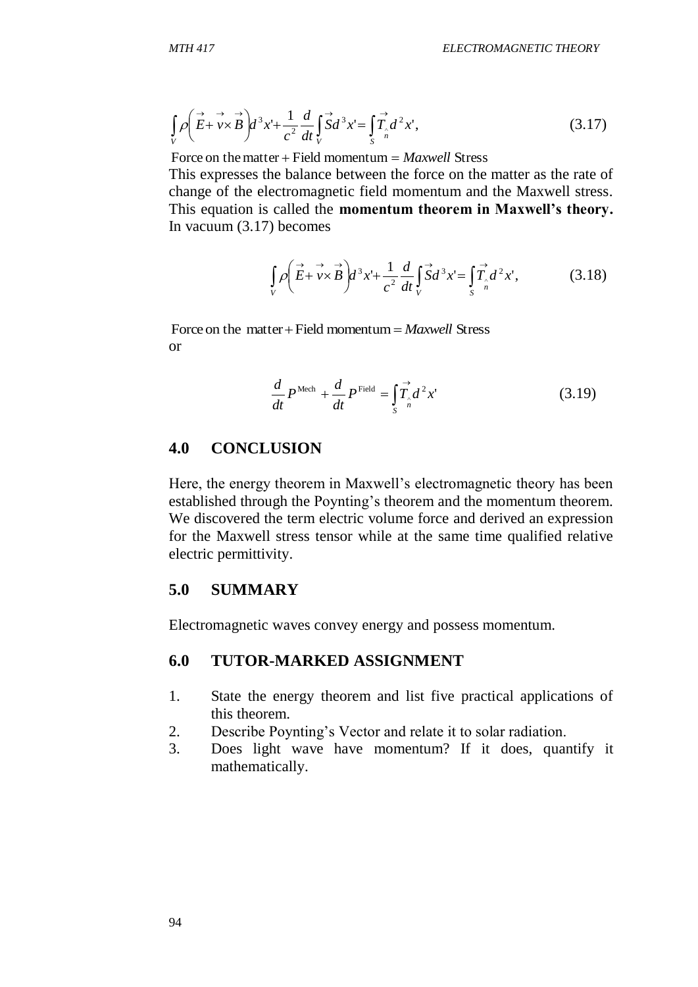$$
\int\limits_V \rho \left( \overrightarrow{E} + \overrightarrow{v} \times \overrightarrow{B} \right) d^3 x' + \frac{1}{c^2} \frac{d}{dt} \int\limits_V \overrightarrow{S} d^3 x' = \int\limits_S \overrightarrow{T}_{n} d^2 x', \tag{3.17}
$$

Force on the matter  $+$  Field momentum  $=$  *Maxwell* Stress

This expresses the balance between the force on the matter as the rate of change of the electromagnetic field momentum and the Maxwell stress. This equation is called the **momentum theorem in Maxwell's theory.** In vacuum (3.17) becomes

$$
\int\limits_V \rho \left( \overrightarrow{E} + \overrightarrow{v} \times \overrightarrow{B} \right) d^3 x' + \frac{1}{c^2} \frac{d}{dt} \int\limits_V \overrightarrow{S} d^3 x' = \int\limits_S \overrightarrow{T}_{n} d^2 x', \tag{3.18}
$$

Force on the matter  $+$  Field momentum  $=$  *Maxwell* Stress or

$$
\frac{d}{dt}P^{\text{Mech}} + \frac{d}{dt}P^{\text{Field}} = \int_{S} \vec{T}_{n} d^{2}x' \tag{3.19}
$$

## **4.0 CONCLUSION**

Here, the energy theorem in Maxwell's electromagnetic theory has been established through the Poynting's theorem and the momentum theorem. We discovered the term electric volume force and derived an expression for the Maxwell stress tensor while at the same time qualified relative electric permittivity.

#### **5.0 SUMMARY**

Electromagnetic waves convey energy and possess momentum.

## **6.0 TUTOR-MARKED ASSIGNMENT**

- 1. State the energy theorem and list five practical applications of this theorem.
- 2. Describe Poynting's Vector and relate it to solar radiation.
- 3. Does light wave have momentum? If it does, quantify it mathematically.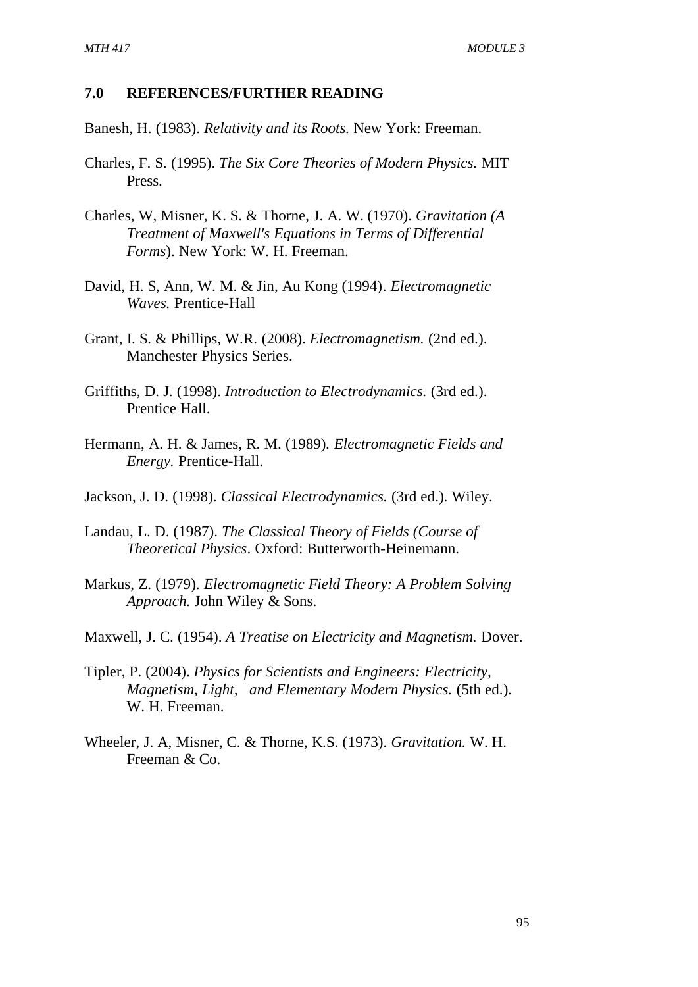#### **7.0 REFERENCES/FURTHER READING**

Banesh, H. (1983). *Relativity and its Roots.* New York: Freeman.

- Charles, F. S. (1995). *The Six Core Theories of Modern Physics.* MIT Press.
- Charles, W, Misner, K. S. & Thorne, J. A. W. (1970). *Gravitation (A Treatment of Maxwell's Equations in Terms of Differential Forms*). New York: W. H. Freeman.
- David, H. S, Ann, W. M. & Jin, Au Kong (1994). *Electromagnetic Waves.* Prentice-Hall
- Grant, I. S. & Phillips, W.R. (2008). *Electromagnetism.* (2nd ed.). Manchester Physics Series.
- Griffiths, D. J. (1998). *Introduction to Electrodynamics.* (3rd ed.). Prentice Hall.
- Hermann, A. H. & James, R. M. (1989). *Electromagnetic Fields and Energy.* Prentice-Hall.
- Jackson, J. D. (1998). *Classical Electrodynamics.* (3rd ed.). Wiley.
- Landau, L. D. (1987). *The Classical Theory of Fields (Course of Theoretical Physics*. Oxford: Butterworth-Heinemann.
- Markus, Z. (1979). *Electromagnetic Field Theory: A Problem Solving Approach.* John Wiley & Sons.
- Maxwell, J. C. (1954). *A Treatise on Electricity and Magnetism.* Dover.
- Tipler, P. (2004). *Physics for Scientists and Engineers: Electricity, Magnetism, Light, and Elementary Modern Physics.* (5th ed.). W. H. Freeman.
- Wheeler, J. A, Misner, C. & Thorne, K.S. (1973). *Gravitation.* W. H. Freeman & Co.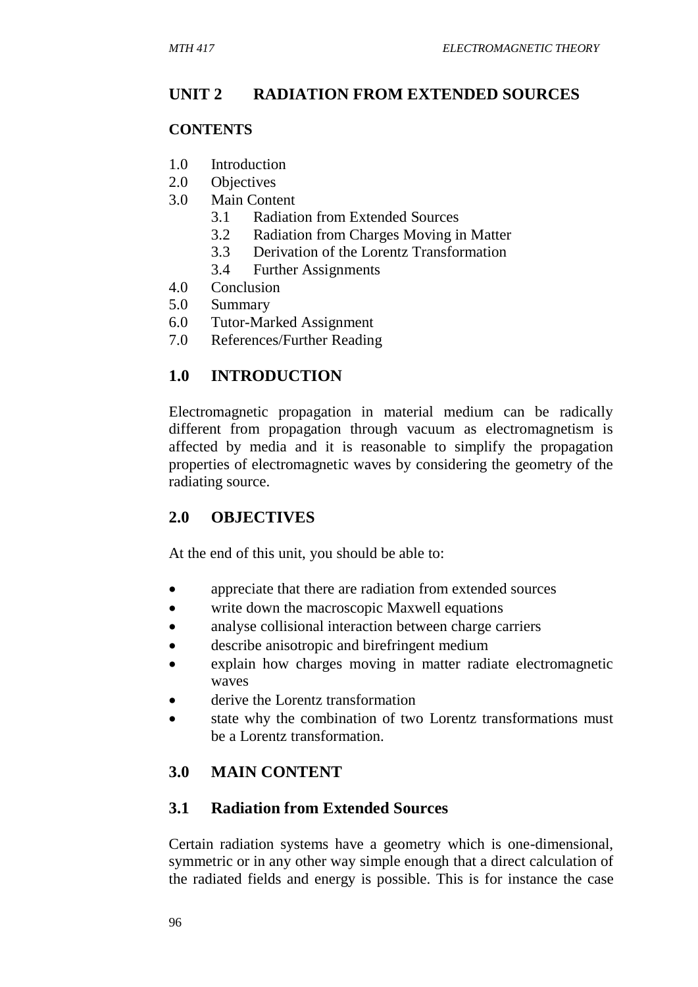# **UNIT 2 RADIATION FROM EXTENDED SOURCES**

## **CONTENTS**

- 1.0 Introduction
- 2.0 Objectives
- 3.0 Main Content
	- 3.1 Radiation from Extended Sources
	- 3.2 Radiation from Charges Moving in Matter
	- 3.3 Derivation of the Lorentz Transformation
	- 3.4 Further Assignments
- 4.0 Conclusion
- 5.0 Summary
- 6.0 Tutor-Marked Assignment
- 7.0 References/Further Reading

# **1.0 INTRODUCTION**

Electromagnetic propagation in material medium can be radically different from propagation through vacuum as electromagnetism is affected by media and it is reasonable to simplify the propagation properties of electromagnetic waves by considering the geometry of the radiating source.

# **2.0 OBJECTIVES**

At the end of this unit, you should be able to:

- appreciate that there are radiation from extended sources
- write down the macroscopic Maxwell equations
- analyse collisional interaction between charge carriers
- describe anisotropic and birefringent medium
- explain how charges moving in matter radiate electromagnetic waves
- derive the Lorentz transformation
- state why the combination of two Lorentz transformations must be a Lorentz transformation.

# **3.0 MAIN CONTENT**

# **3.1 Radiation from Extended Sources**

Certain radiation systems have a geometry which is one-dimensional, symmetric or in any other way simple enough that a direct calculation of the radiated fields and energy is possible. This is for instance the case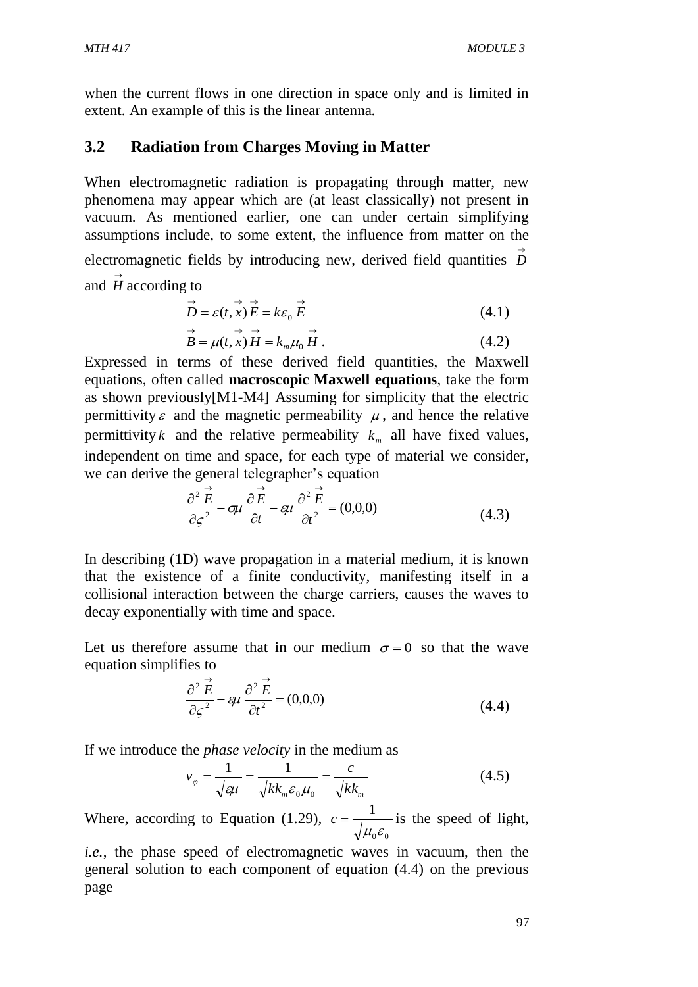when the current flows in one direction in space only and is limited in extent. An example of this is the linear antenna.

## **3.2 Radiation from Charges Moving in Matter**

When electromagnetic radiation is propagating through matter, new phenomena may appear which are (at least classically) not present in vacuum. As mentioned earlier, one can under certain simplifying assumptions include, to some extent, the influence from matter on the electromagnetic fields by introducing new, derived field quantities  $\overrightarrow{D}$ and *H* according to  $\rightarrow$ 

$$
\overrightarrow{D} = \varepsilon(t, x) \overrightarrow{E} = k\varepsilon_0 \overrightarrow{E}
$$
\n(4.1)

$$
B = \mu(t, x) H = k_m \mu_0 H.
$$
 (4.2)

Expressed in terms of these derived field quantities, the Maxwell equations, often called **macroscopic Maxwell equations**, take the form as shown previously[M1-M4] Assuming for simplicity that the electric permittivity  $\varepsilon$  and the magnetic permeability  $\mu$ , and hence the relative permittivity *k* and the relative permeability  $k_m$  all have fixed values, independent on time and space, for each type of material we consider, we can derive the general telegrapher's equation

$$
\frac{\partial^2 \vec{E}}{\partial \varsigma^2} - \sigma \mu \frac{\partial \vec{E}}{\partial t} - \varsigma \mu \frac{\partial^2 \vec{E}}{\partial t^2} = (0,0,0)
$$
 (4.3)

In describing (1D) wave propagation in a material medium, it is known that the existence of a finite conductivity, manifesting itself in a collisional interaction between the charge carriers, causes the waves to decay exponentially with time and space.

Let us therefore assume that in our medium  $\sigma = 0$  so that the wave equation simplifies to

$$
\frac{\partial^2 \vec{E}}{\partial \varsigma^2} - \epsilon \mu \frac{\partial^2 \vec{E}}{\partial t^2} = (0,0,0)
$$
 (4.4)

If we introduce the *phase velocity* in the medium as

$$
v_{\varphi} = \frac{1}{\sqrt{\varepsilon \mu}} = \frac{1}{\sqrt{kk_m \varepsilon_0 \mu_0}} = \frac{c}{\sqrt{kk_m}}
$$
(4.5)

Where, according to Equation (1.29),  $_{0}\mathbf{c}_{0}$ 1  $\mu_{\scriptscriptstyle 0} \varepsilon$  $c = \frac{1}{\sqrt{1 - c}}$  is the speed of light,

*i.e.*, the phase speed of electromagnetic waves in vacuum, then the general solution to each component of equation (4.4) on the previous page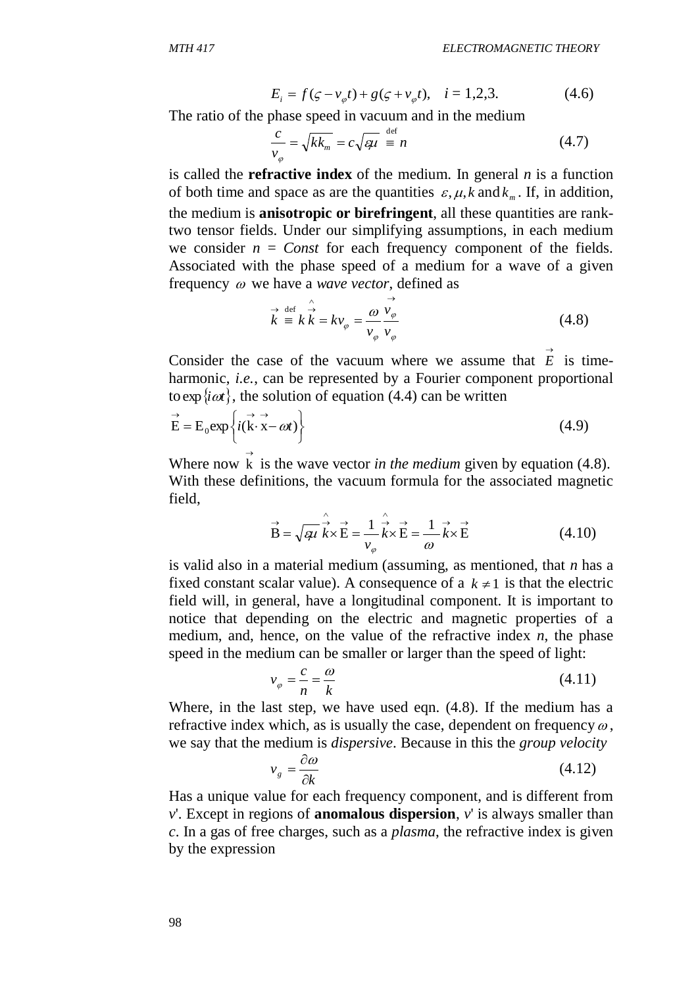$$
E_i = f(\zeta - v_{\varphi}t) + g(\zeta + v_{\varphi}t), \quad i = 1, 2, 3. \tag{4.6}
$$

The ratio of the phase speed in vacuum and in the medium

$$
\frac{c}{v_{\varphi}} = \sqrt{kk_m} = c\sqrt{\varphi\mu} \stackrel{\text{def}}{=} n \tag{4.7}
$$

 $E_i = f(\varsigma - v_{\varphi}t) + g(\varsigma + v_{\varphi}t)$ ,<br>
The ratio of the phase speed in vacuum anc<br>  $\frac{c}{v_{\varphi}} = \sqrt{k k_m} = c\sqrt{q}t \stackrel{def}{=} n$ <br>
is called the **refractive index** of the mediative<br>
the median is anisotropic or birefringent<br>
two tensor is called the **refractive index** of the medium. In general *n* is a function of both time and space as are the quantities  $\varepsilon$ ,  $\mu$ ,  $k$  and  $k_m$ . If, in addition, the medium is **anisotropic or birefringent**, all these quantities are ranktwo tensor fields. Under our simplifying assumptions, in each medium we consider  $n = Const$  for each frequency component of the fields. Associated with the phase speed of a medium for a wave of a given frequency  $\omega$  we have a *wave vector*, defined as

$$
\vec{k} = k \vec{k} = kv_{\varphi} = \frac{\omega}{v_{\varphi}} \frac{\vec{v_{\varphi}}}{v_{\varphi}}
$$
(4.8)

Consider the case of the vacuum where we assume that  $\vec{E}$  is timeharmonic, *i.e.*, can be represented by a Fourier component proportional to  $\exp\{i\omega t\}$ , the solution of equation (4.4) can be written

$$
\vec{E} = E_0 \exp\left\{ i(\vec{k} \cdot \vec{x} - \omega t) \right\}
$$
 (4.9)

Where now  $\vec{k}$  is the wave vector *in the medium* given by equation (4.8). With these definitions, the vacuum formula for the associated magnetic field,

$$
\vec{B} = \sqrt{\epsilon \mu} \hat{k} \times \vec{E} = \frac{1}{v_{\varphi}} \hat{k} \times \vec{E} = \frac{1}{\omega} \vec{k} \times \vec{E}
$$
(4.10)

is valid also in a material medium (assuming, as mentioned, that *n* has a fixed constant scalar value). A consequence of a  $k \neq 1$  is that the electric field will, in general, have a longitudinal component. It is important to notice that depending on the electric and magnetic properties of a medium, and, hence, on the value of the refractive index *n*, the phase speed in the medium can be smaller or larger than the speed of light:

$$
v_{\varphi} = \frac{c}{n} = \frac{\omega}{k} \tag{4.11}
$$

Where, in the last step, we have used eqn. (4.8). If the medium has a refractive index which, as is usually the case, dependent on frequency  $\omega$ , we say that the medium is *dispersive*. Because in this the *group velocity*

$$
v_g = \frac{\partial \omega}{\partial k} \tag{4.12}
$$

Has a unique value for each frequency component, and is different from *v*'. Except in regions of **anomalous dispersion**, *v*' is always smaller than *c*. In a gas of free charges, such as a *plasma*, the refractive index is given by the expression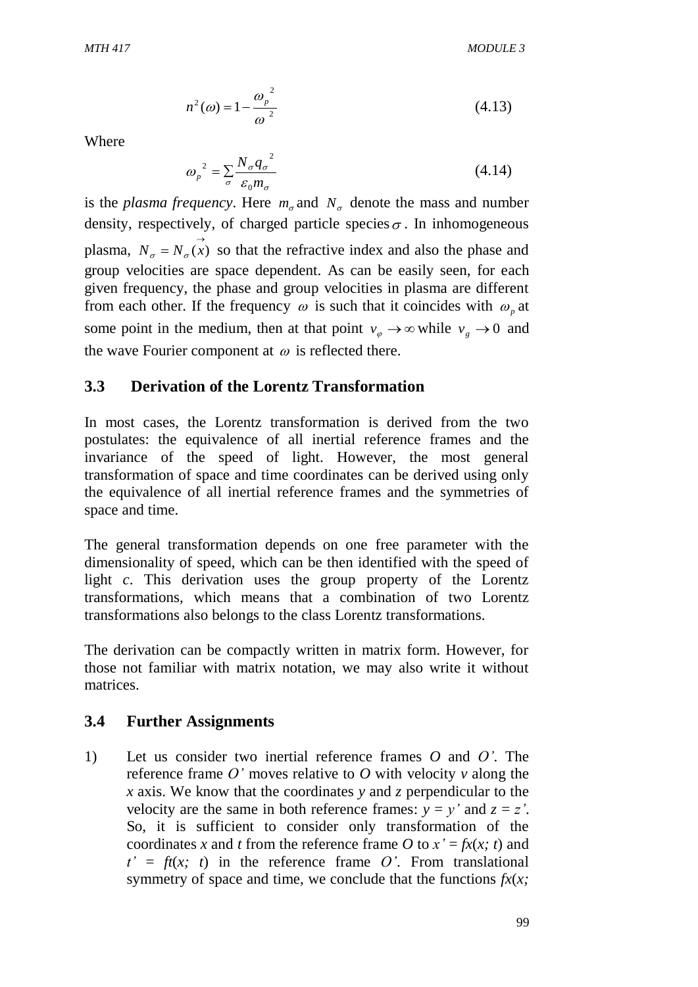$$
n^{2}(\omega) = 1 - \frac{\omega_{p}^{2}}{\omega^{2}}
$$
 (4.13)

Where

$$
\omega_p^2 = \sum_{\sigma} \frac{N_{\sigma} q_{\sigma}^2}{\varepsilon_0 m_{\sigma}}
$$
 (4.14)

is the *plasma frequency*. Here  $m_{\sigma}$  and  $N_{\sigma}$  denote the mass and number density, respectively, of charged particle species  $\sigma$ . In inhomogeneous plasma,  $N_{\sigma} = N_{\sigma}(x)$  so that the refractive index and also the phase and group velocities are space dependent. As can be easily seen, for each given frequency, the phase and group velocities in plasma are different from each other. If the frequency  $\omega$  is such that it coincides with  $\omega_p$  at some point in the medium, then at that point  $v_{\varphi} \to \infty$  while  $v_{g} \to 0$  and the wave Fourier component at  $\omega$  is reflected there.

#### **3.3 Derivation of the Lorentz Transformation**

In most cases, the Lorentz transformation is derived from the two postulates: the equivalence of all inertial reference frames and the invariance of the speed of light. However, the most general transformation of space and time coordinates can be derived using only the equivalence of all inertial reference frames and the symmetries of space and time.

The general transformation depends on one free parameter with the dimensionality of speed, which can be then identified with the speed of light *c*. This derivation uses the group property of the Lorentz transformations, which means that a combination of two Lorentz transformations also belongs to the class Lorentz transformations.

The derivation can be compactly written in matrix form. However, for those not familiar with matrix notation, we may also write it without matrices.

#### **3.4 Further Assignments**

1) Let us consider two inertial reference frames *O* and *O'*. The reference frame *O'* moves relative to *O* with velocity *v* along the *x* axis. We know that the coordinates *y* and *z* perpendicular to the velocity are the same in both reference frames:  $y = y'$  and  $z = z'$ . So, it is sufficient to consider only transformation of the coordinates *x* and *t* from the reference frame *O* to  $x' = f(x|x; t)$  and  $t' = ft(x; t)$  in the reference frame O'. From translational symmetry of space and time, we conclude that the functions *fx*(*x;*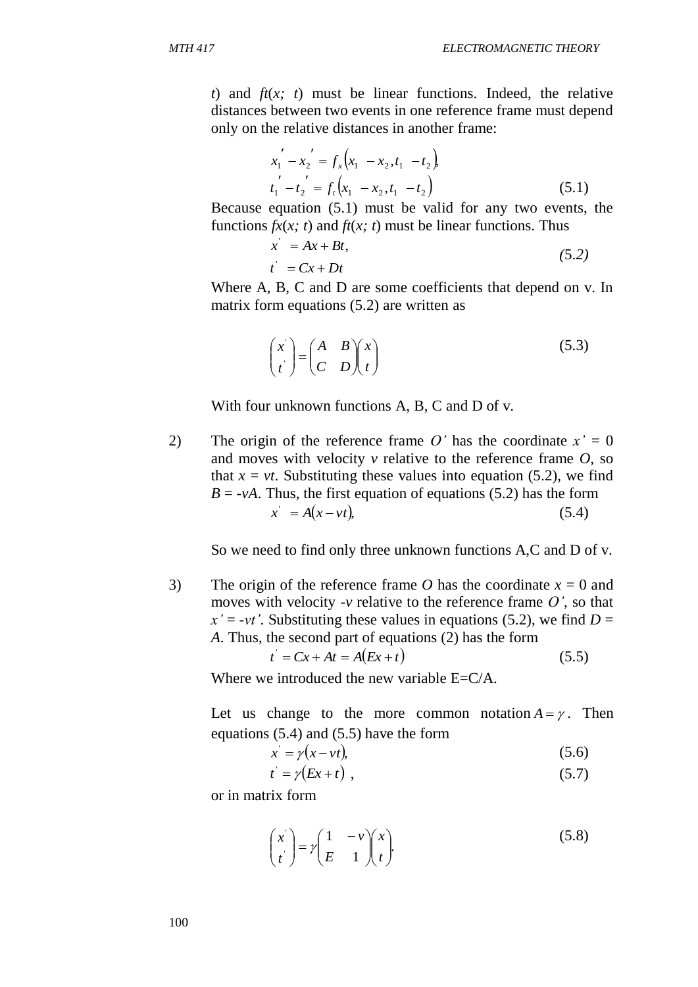*t*) and *ft*(*x; t*) must be linear functions. Indeed, the relative distances between two events in one reference frame must depend only on the relative distances in another frame:

$$
x_1' - x_2' = f_x(x_1 - x_2, t_1 - t_2)
$$
  
\n
$$
t_1' - t_2' = f_t(x_1 - x_2, t_1 - t_2)
$$
\n(5.1)

Because equation (5.1) must be valid for any two events, the functions  $fx(x; t)$  and  $ft(x; t)$  must be linear functions. Thus

$$
x' = Ax + Bt,
$$
  
\n
$$
t' = Cx + Dt
$$
\n(5.2)

Where A, B, C and D are some coefficients that depend on v. In matrix form equations (5.2) are written as

$$
\begin{pmatrix} x' \\ t' \end{pmatrix} = \begin{pmatrix} A & B \\ C & D \end{pmatrix} \begin{pmatrix} x \\ t \end{pmatrix}
$$
 (5.3)

With four unknown functions A, B, C and D of v.

2) The origin of the reference frame  $O'$  has the coordinate  $x' = 0$ and moves with velocity *v* relative to the reference frame *O*, so that  $x = vt$ . Substituting these values into equation (5.2), we find  $B = -vA$ . Thus, the first equation of equations (5.2) has the form  $\dot{x} = A(x - vt)$ (5.4)

So we need to find only three unknown functions A,C and D of v.

3) The origin of the reference frame *O* has the coordinate  $x = 0$  and moves with velocity *-v* relative to the reference frame *O'*, so that  $x' = -vt'$ . Substituting these values in equations (5.2), we find *D* = *A*. Thus, the second part of equations (2) has the form

$$
t' = Cx + At = A(EX + t)
$$
\n
$$
(5.5)
$$

Where we introduced the new variable  $E= C/A$ .

Let us change to the more common notation  $A = \gamma$ . Then equations (5.4) and (5.5) have the form

$$
x' = \gamma(x - vt),\tag{5.6}
$$

$$
t' = \gamma (Ex + t) \tag{5.7}
$$

or in matrix form

$$
\begin{pmatrix} x' \\ t' \end{pmatrix} = \gamma \begin{pmatrix} 1 & -\nu \\ E & 1 \end{pmatrix} \begin{pmatrix} x \\ t \end{pmatrix}.
$$
 (5.8)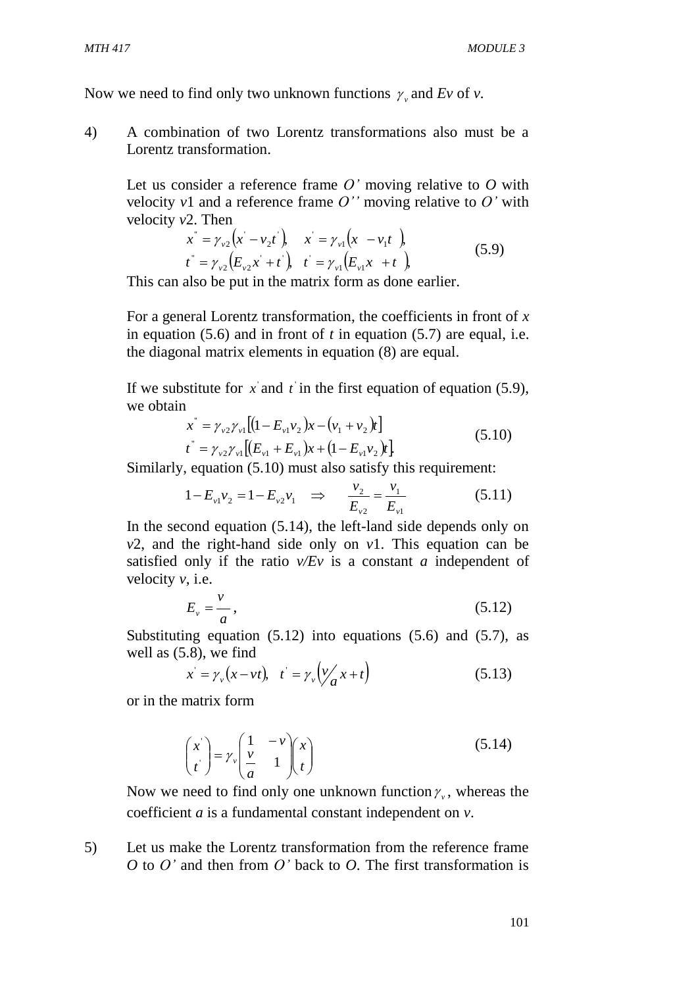Now we need to find only two unknown functions  $\gamma$ , and Ev of v.

4) A combination of two Lorentz transformations also must be a Lorentz transformation.

Let us consider a reference frame *O'* moving relative to *O* with velocity  $v1$  and a reference frame  $O'$  moving relative to  $O'$  with velocity *v*2. Then

$$
x^{*} = \gamma_{v2} (x - v_2 t), \quad x = \gamma_{v1} (x - v_1 t),
$$
  
\n
$$
t^{*} = \gamma_{v2} (E_{v2} x + t), \quad t = \gamma_{v1} (E_{v1} x + t),
$$
\n(5.9)

This can also be put in the matrix form as done earlier.

For a general Lorentz transformation, the coefficients in front of *x*  in equation (5.6) and in front of *t* in equation (5.7) are equal, i.e. the diagonal matrix elements in equation (8) are equal.

If we substitute for  $x$  and  $t$  in the first equation of equation (5.9), we obtain

$$
x^{\dagger} = \gamma_{v2} \gamma_{v1} [(1 - E_{v1} v_2) x - (v_1 + v_2) t] \nt^{\dagger} = \gamma_{v2} \gamma_{v1} [(E_{v1} + E_{v1}) x + (1 - E_{v1} v_2) t]
$$
\n(5.10)

Similarly, equation (5.10) must also satisfy this requirement:

$$
1 - E_{\nu 1} \nu_2 = 1 - E_{\nu 2} \nu_1 \quad \Rightarrow \quad \frac{\nu_2}{E_{\nu 2}} = \frac{\nu_1}{E_{\nu 1}} \tag{5.11}
$$

In the second equation (5.14), the left-land side depends only on *v*2, and the right-hand side only on *v*1. This equation can be satisfied only if the ratio *v/Ev* is a constant *a* independent of velocity *v*, i.e.

$$
E_{\nu} = \frac{\nu}{a},\tag{5.12}
$$

Substituting equation  $(5.12)$  into equations  $(5.6)$  and  $(5.7)$ , as well as (5.8), we find

$$
x' = \gamma_v(x - vt), \quad t' = \gamma_v\left(\frac{v}{a}x + t\right) \tag{5.13}
$$

or in the matrix form

$$
\begin{pmatrix} x \\ t \end{pmatrix} = \gamma_v \begin{pmatrix} 1 & -v \\ \frac{v}{a} & 1 \end{pmatrix} \begin{pmatrix} x \\ t \end{pmatrix}
$$
 (5.14)

Now we need to find only one unknown function  $\gamma$ , whereas the coefficient *a* is a fundamental constant independent on *v*.

5) Let us make the Lorentz transformation from the reference frame *O* to *O'* and then from *O'* back to *O*. The first transformation is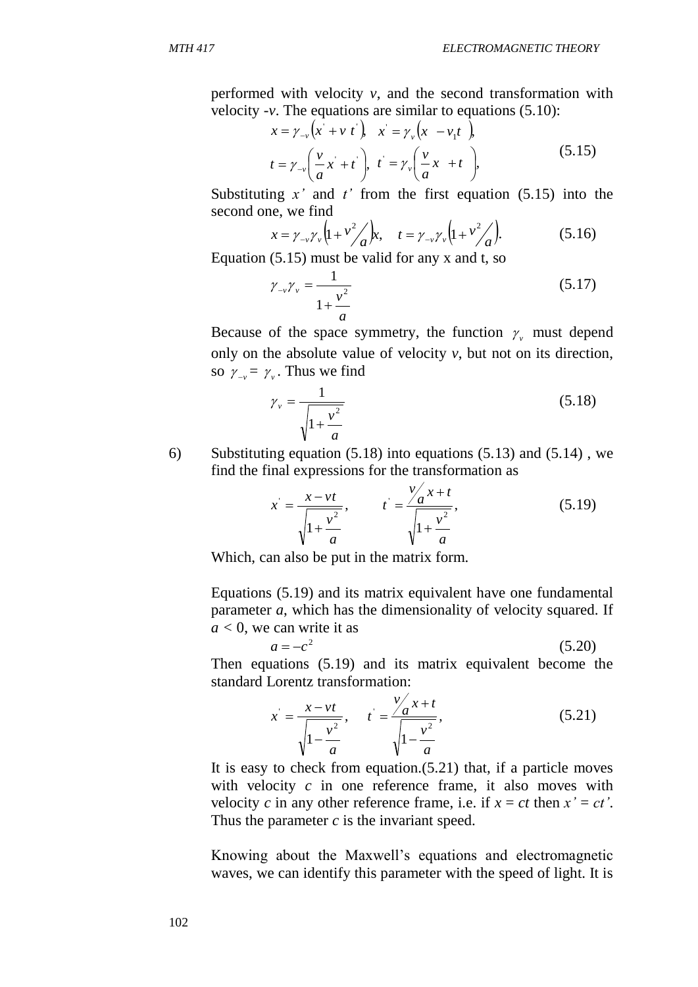performed with velocity *v*, and the second transformation with velocity *-v*. The equations are similar to equations (5.10):

$$
x = \gamma_{-v} \left( x + v \ t \right), \quad x = \gamma_{v} \left( x - v_1 t \right),
$$
  

$$
t = \gamma_{-v} \left( \frac{v}{a} x + t \right), \quad t = \gamma_{v} \left( \frac{v}{a} x + t \right),
$$
 (5.15)

Substituting  $x'$  and  $t'$  from the first equation (5.15) into the second one, we find

$$
x = \gamma_{-\nu} \gamma_{\nu} \left( 1 + v^2 / a \right) x, \quad t = \gamma_{-\nu} \gamma_{\nu} \left( 1 + v^2 / a \right). \tag{5.16}
$$

Equation  $(5.15)$  must be valid for any x and t, so

$$
\gamma_{-v}\gamma_v = \frac{1}{1 + \frac{v^2}{a}}
$$
\n(5.17)

Because of the space symmetry, the function  $\gamma$ <sup>v</sup> must depend only on the absolute value of velocity *v*, but not on its direction, so  $\gamma_{-\nu} = \gamma_{\nu}$ . Thus we find

$$
\gamma_{\nu} = \frac{1}{\sqrt{1 + \frac{v^2}{a}}} \tag{5.18}
$$

6) Substituting equation (5.18) into equations (5.13) and (5.14) , we find the final expressions for the transformation as

$$
x = \frac{x - vt}{\sqrt{1 + \frac{v^2}{a}}}, \qquad t = \frac{\frac{v}{a}x + t}{\sqrt{1 + \frac{v^2}{a}}}, \tag{5.19}
$$

Which, can also be put in the matrix form.

Equations (5.19) and its matrix equivalent have one fundamental parameter *a*, which has the dimensionality of velocity squared. If  $a < 0$ , we can write it as

$$
a = -c^2 \tag{5.20}
$$

Then equations (5.19) and its matrix equivalent become the standard Lorentz transformation:

$$
x = \frac{x - vt}{\sqrt{1 - \frac{v^2}{a}}}, \quad t = \frac{\frac{v}{a}x + t}{\sqrt{1 - \frac{v^2}{a}}}, \tag{5.21}
$$

It is easy to check from equation.(5.21) that, if a particle moves with velocity *c* in one reference frame, it also moves with velocity *c* in any other reference frame, i.e. if  $x = ct$  then  $x' = ct'$ . Thus the parameter *c* is the invariant speed.

Knowing about the Maxwell's equations and electromagnetic waves, we can identify this parameter with the speed of light. It is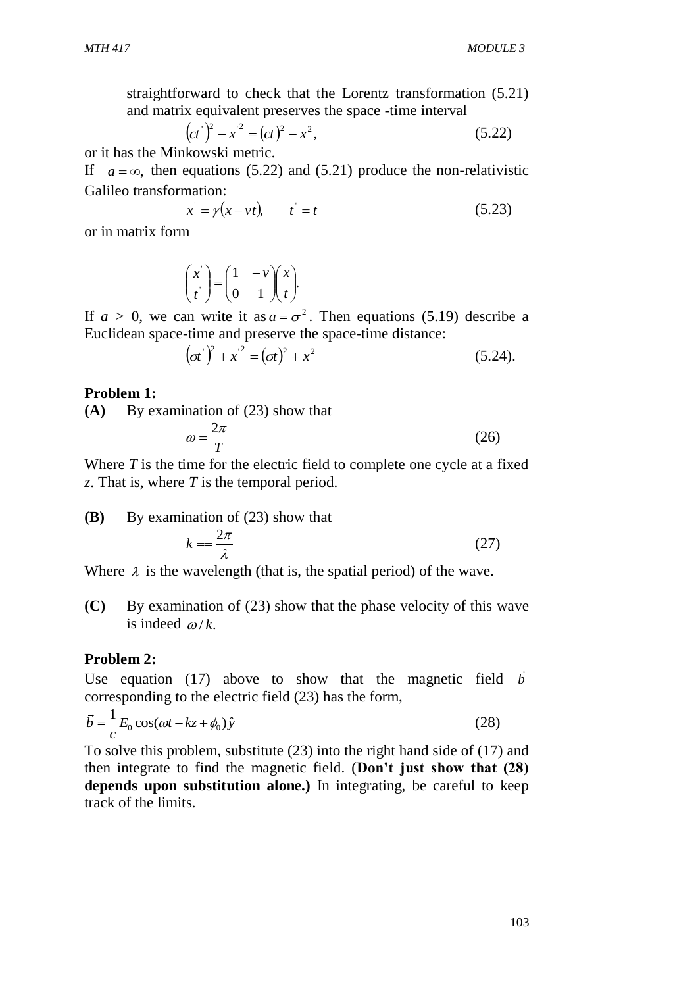straightforward to check that the Lorentz transformation (5.21) and matrix equivalent preserves the space -time interval

$$
(ct)2 - x2 = (ct)2 - x2,
$$
 (5.22)

or it has the Minkowski metric.

If  $a = \infty$ , then equations (5.22) and (5.21) produce the non-relativistic Galileo transformation:

$$
x = \gamma(x - vt), \qquad t' = t \tag{5.23}
$$

or in matrix form

$$
\begin{pmatrix} x \\ t \end{pmatrix} = \begin{pmatrix} 1 & -v \\ 0 & 1 \end{pmatrix} \begin{pmatrix} x \\ t \end{pmatrix}.
$$

If  $a > 0$ , we can write it as  $a = \sigma^2$ . Then equations (5.19) describe a Euclidean space-time and preserve the space-time distance:

$$
(\sigma t)^2 + x^2 = (\sigma t)^2 + x^2 \tag{5.24}
$$

#### **Problem 1:**

**(A)** By examination of (23) show that

$$
\omega = \frac{2\pi}{T} \tag{26}
$$

Where *T* is the time for the electric field to complete one cycle at a fixed *z*. That is, where *T* is the temporal period.

**(B)** By examination of (23) show that

$$
k = \frac{2\pi}{\lambda} \tag{27}
$$

Where  $\lambda$  is the wavelength (that is, the spatial period) of the wave.

**(C)** By examination of (23) show that the phase velocity of this wave is indeed  $\omega/k$ .

#### **Problem 2:**

Use equation (17) above to show that the magnetic field  $\vec{b}$ corresponding to the electric field (23) has the form,

$$
\vec{b} = \frac{1}{c} E_0 \cos(\omega t - kz + \phi_0) \hat{y}
$$
 (28)

To solve this problem, substitute (23) into the right hand side of (17) and then integrate to find the magnetic field. (**Don't just show that (28) depends upon substitution alone.)** In integrating, be careful to keep track of the limits.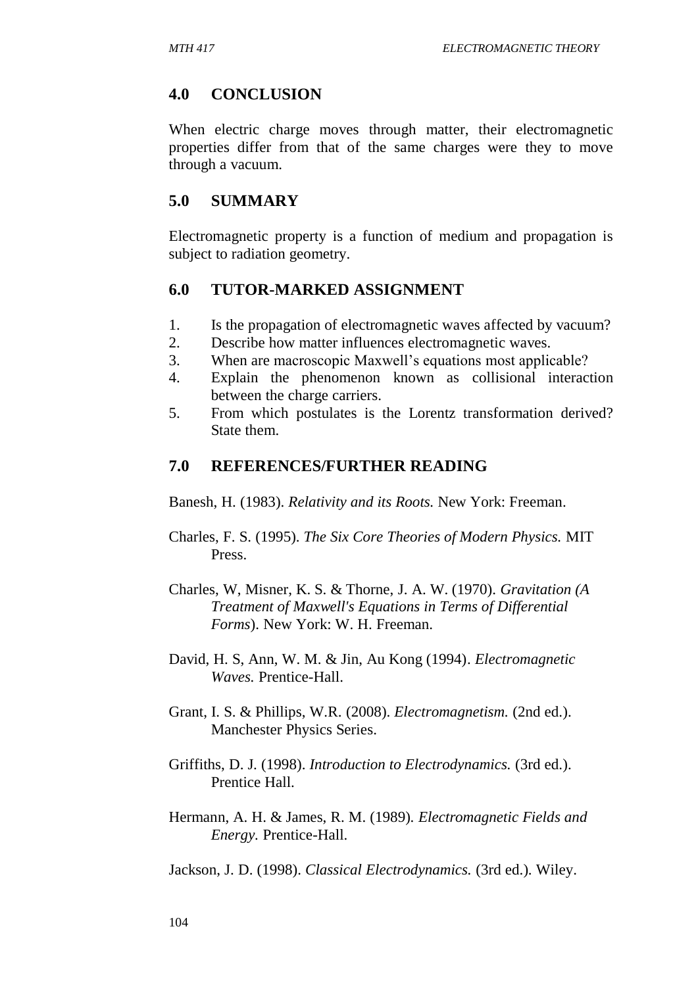# **4.0 CONCLUSION**

When electric charge moves through matter, their electromagnetic properties differ from that of the same charges were they to move through a vacuum.

## **5.0 SUMMARY**

Electromagnetic property is a function of medium and propagation is subject to radiation geometry.

## **6.0 TUTOR-MARKED ASSIGNMENT**

- 1. Is the propagation of electromagnetic waves affected by vacuum?
- 2. Describe how matter influences electromagnetic waves.
- 3. When are macroscopic Maxwell's equations most applicable?
- 4. Explain the phenomenon known as collisional interaction between the charge carriers.
- 5. From which postulates is the Lorentz transformation derived? State them.

## **7.0 REFERENCES/FURTHER READING**

Banesh, H. (1983). *Relativity and its Roots.* New York: Freeman.

- Charles, F. S. (1995). *The Six Core Theories of Modern Physics.* MIT Press.
- Charles, W, Misner, K. S. & Thorne, J. A. W. (1970). *Gravitation (A Treatment of Maxwell's Equations in Terms of Differential Forms*). New York: W. H. Freeman.
- David, H. S, Ann, W. M. & Jin, Au Kong (1994). *Electromagnetic Waves.* Prentice-Hall.
- Grant, I. S. & Phillips, W.R. (2008). *Electromagnetism.* (2nd ed.). Manchester Physics Series.
- Griffiths, D. J. (1998). *Introduction to Electrodynamics.* (3rd ed.). Prentice Hall.
- Hermann, A. H. & James, R. M. (1989). *Electromagnetic Fields and Energy.* Prentice-Hall.

Jackson, J. D. (1998). *Classical Electrodynamics.* (3rd ed.). Wiley.